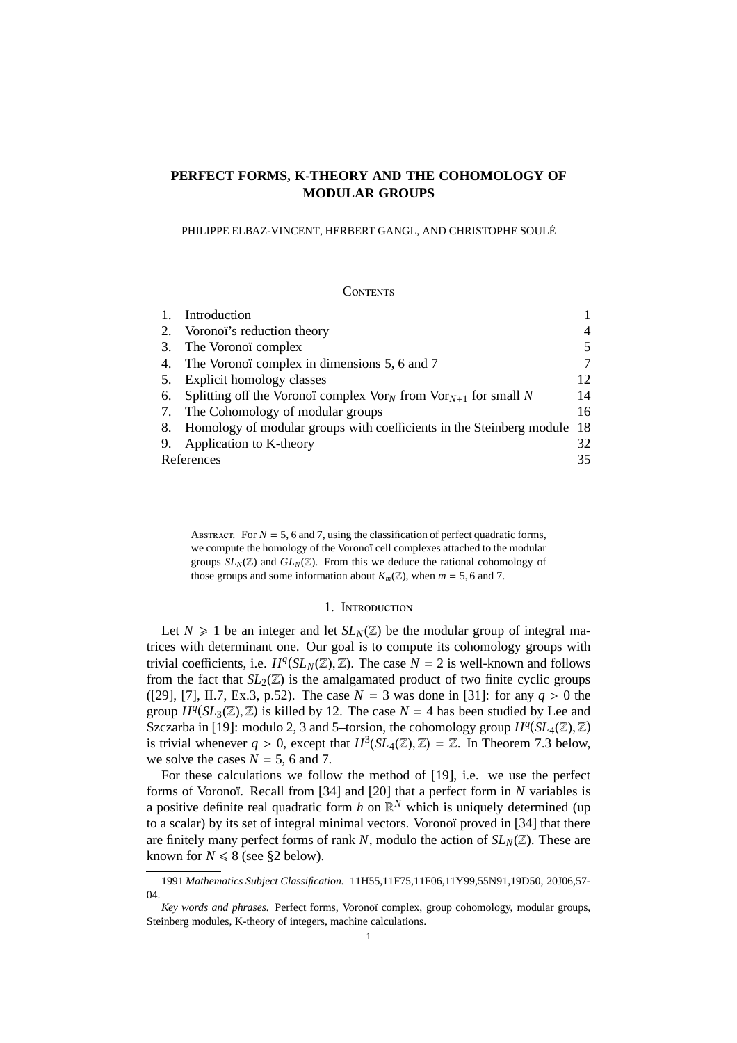# **PERFECT FORMS, K-THEORY AND THE COHOMOLOGY OF MODULAR GROUPS**

PHILIPPE ELBAZ-VINCENT, HERBERT GANGL, AND CHRISTOPHE SOULÉ

## **CONTENTS**

|    | Introduction                                                                            |                |
|----|-----------------------------------------------------------------------------------------|----------------|
| 2. | Voronoï's reduction theory                                                              | $\overline{4}$ |
| 3. | The Voronoï complex                                                                     | 5              |
| 4. | The Voronoï complex in dimensions 5, 6 and 7                                            | 7              |
| 5. | Explicit homology classes                                                               | 12             |
|    | 6. Splitting off the Voronoï complex $\text{Vor}_N$ from $\text{Vor}_{N+1}$ for small N | 14             |
| 7. | The Cohomology of modular groups                                                        | 16             |
|    | 8. Homology of modular groups with coefficients in the Steinberg module                 | -18            |
| 9. | Application to K-theory                                                                 | 32             |
|    | References                                                                              | 35             |

ABSTRACT. For  $N = 5$ , 6 and 7, using the classification of perfect quadratic forms, we compute the homology of the Voronoï cell complexes attached to the modular groups  $SL_N(\mathbb{Z})$  and  $GL_N(\mathbb{Z})$ . From this we deduce the rational cohomology of those groups and some information about  $K_m(\mathbb{Z})$ , when  $m = 5, 6$  and 7.

## 1. Introduction

Let  $N \geq 1$  be an integer and let  $SL_N(\mathbb{Z})$  be the modular group of integral matrices with determinant one. Our goal is to compute its cohomology groups with trivial coefficients, i.e.  $H^q(SL_N(\mathbb{Z}), \mathbb{Z})$ . The case  $N = 2$  is well-known and follows from the fact that  $SL_2(\mathbb{Z})$  is the amalgamated product of two finite cyclic groups ([29], [7], II.7, Ex.3, p.52). The case *N* = 3 was done in [31]: for any *q* > 0 the group  $H^q(SL_3(\mathbb{Z}), \mathbb{Z})$  is killed by 12. The case  $N = 4$  has been studied by Lee and Szczarba in [19]: modulo 2, 3 and 5-torsion, the cohomology group  $H^q(SL_4(\mathbb{Z}), \mathbb{Z})$ is trivial whenever  $q > 0$ , except that  $H^3(SL_4(\mathbb{Z}), \mathbb{Z}) = \mathbb{Z}$ . In Theorem 7.3 below, we solve the cases  $N = 5$ , 6 and 7.

For these calculations we follow the method of [19], i.e. we use the perfect forms of Voronoï. Recall from [34] and [20] that a perfect form in *N* variables is a positive definite real quadratic form  $h$  on  $\mathbb{R}^N$  which is uniquely determined (up to a scalar) by its set of integral minimal vectors. Voronoï proved in [34] that there are finitely many perfect forms of rank *N*, modulo the action of  $SL_N(\mathbb{Z})$ . These are known for  $N \le 8$  (see §2 below).

<sup>1991</sup> *Mathematics Subject Classification.* 11H55,11F75,11F06,11Y99,55N91,19D50, 20J06,57- 04.

*Key words and phrases.* Perfect forms, Voronoï complex, group cohomology, modular groups, Steinberg modules, K-theory of integers, machine calculations.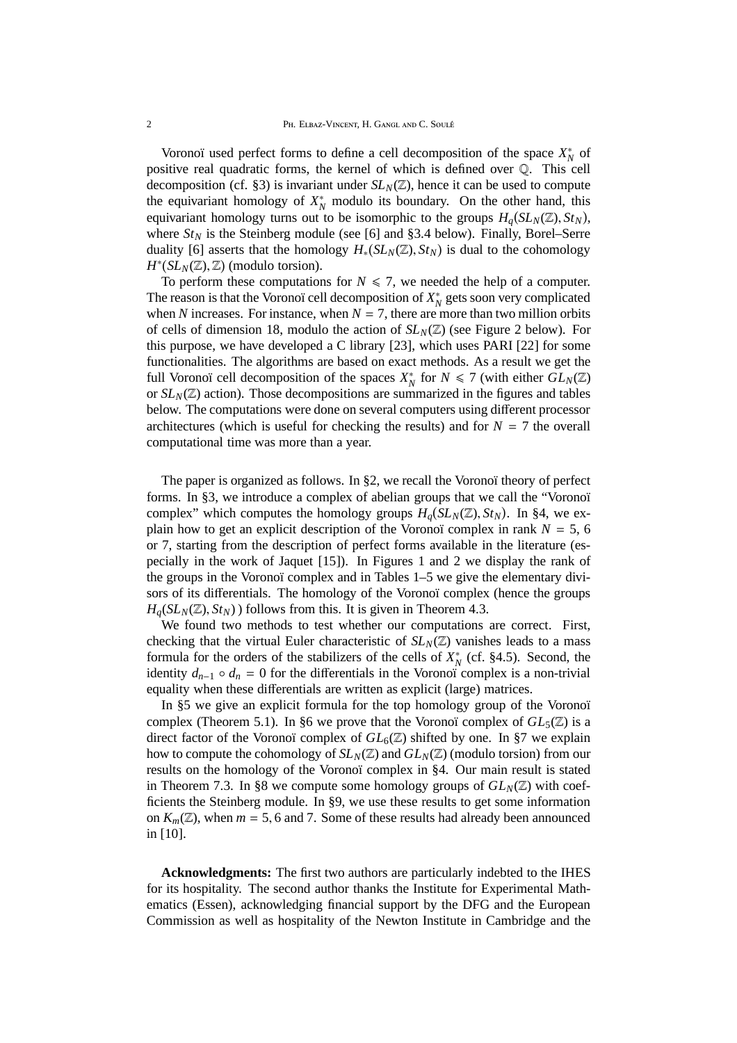Voronoï used perfect forms to define a cell decomposition of the space  $X_N^*$  of positive real quadratic forms, the kernel of which is defined over Q. This cell decomposition (cf. §3) is invariant under  $SL_N(\mathbb{Z})$ , hence it can be used to compute the equivariant homology of  $X_N^*$  modulo its boundary. On the other hand, this equivariant homology turns out to be isomorphic to the groups  $H_q(SL_N(\mathbb{Z}), St_N)$ , where  $St_N$  is the Steinberg module (see [6] and §3.4 below). Finally, Borel–Serre duality [6] asserts that the homology  $H_*(SL_N(\mathbb{Z}), St_N)$  is dual to the cohomology  $H^*(SL_N(\mathbb{Z}), \mathbb{Z})$  (modulo torsion).

To perform these computations for  $N \le 7$ , we needed the help of a computer. The reason is that the Voronoï cell decomposition of  $X_N^*$  gets soon very complicated when *N* increases. For instance, when  $N = 7$ , there are more than two million orbits of cells of dimension 18, modulo the action of  $SL_N(\mathbb{Z})$  (see Figure 2 below). For this purpose, we have developed a C library [23], which uses PARI [22] for some functionalities. The algorithms are based on exact methods. As a result we get the full Voronoï cell decomposition of the spaces  $X_N^*$  for  $N \le 7$  (with either  $GL_N(\mathbb{Z})$ ) or  $SL_N(\mathbb{Z})$  action). Those decompositions are summarized in the figures and tables below. The computations were done on several computers using different processor architectures (which is useful for checking the results) and for  $N = 7$  the overall computational time was more than a year.

The paper is organized as follows. In §2, we recall the Voronoï theory of perfect forms. In §3, we introduce a complex of abelian groups that we call the "Voronoï complex" which computes the homology groups  $H_q(SL_N(\mathbb{Z}), St_N)$ . In §4, we explain how to get an explicit description of the Voronoï complex in rank  $N = 5$ , 6 or 7, starting from the description of perfect forms available in the literature (especially in the work of Jaquet [15]). In Figures 1 and 2 we display the rank of the groups in the Voronoï complex and in Tables 1–5 we give the elementary divisors of its differentials. The homology of the Voronoï complex (hence the groups  $H<sub>a</sub>(SL<sub>N</sub>(\mathbb{Z}), St<sub>N</sub>)$  follows from this. It is given in Theorem 4.3.

We found two methods to test whether our computations are correct. First, checking that the virtual Euler characteristic of  $SL_N(\mathbb{Z})$  vanishes leads to a mass formula for the orders of the stabilizers of the cells of  $X_N^*$  (cf. §4.5). Second, the identity  $d_{n-1} \circ d_n = 0$  for the differentials in the Voronoï complex is a non-trivial equality when these differentials are written as explicit (large) matrices.

In §5 we give an explicit formula for the top homology group of the Voronoï complex (Theorem 5.1). In §6 we prove that the Voronoï complex of  $GL_5(\mathbb{Z})$  is a direct factor of the Voronoï complex of  $GL_6(\mathbb{Z})$  shifted by one. In §7 we explain how to compute the cohomology of  $SL_N(\mathbb{Z})$  and  $GL_N(\mathbb{Z})$  (modulo torsion) from our results on the homology of the Voronoï complex in §4. Our main result is stated in Theorem 7.3. In §8 we compute some homology groups of  $GL_N(\mathbb{Z})$  with coefficients the Steinberg module. In §9, we use these results to get some information on  $K_m(\mathbb{Z})$ , when  $m = 5, 6$  and 7. Some of these results had already been announced in [10].

**Acknowledgments:** The first two authors are particularly indebted to the IHES for its hospitality. The second author thanks the Institute for Experimental Mathematics (Essen), acknowledging financial support by the DFG and the European Commission as well as hospitality of the Newton Institute in Cambridge and the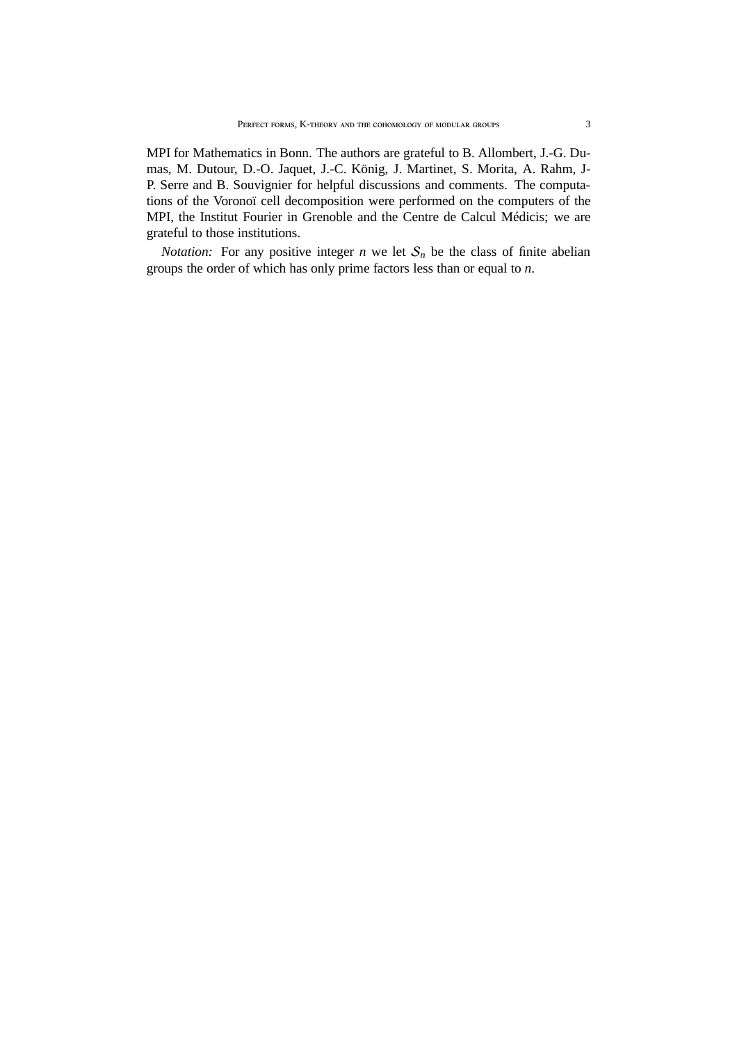MPI for Mathematics in Bonn. The authors are grateful to B. Allombert, J.-G. Dumas, M. Dutour, D.-O. Jaquet, J.-C. König, J. Martinet, S. Morita, A. Rahm, J-P. Serre and B. Souvignier for helpful discussions and comments. The computations of the Voronoï cell decomposition were performed on the computers of the MPI, the Institut Fourier in Grenoble and the Centre de Calcul Médicis; we are grateful to those institutions.

*Notation:* For any positive integer  $n$  we let  $S_n$  be the class of finite abelian groups the order of which has only prime factors less than or equal to *n*.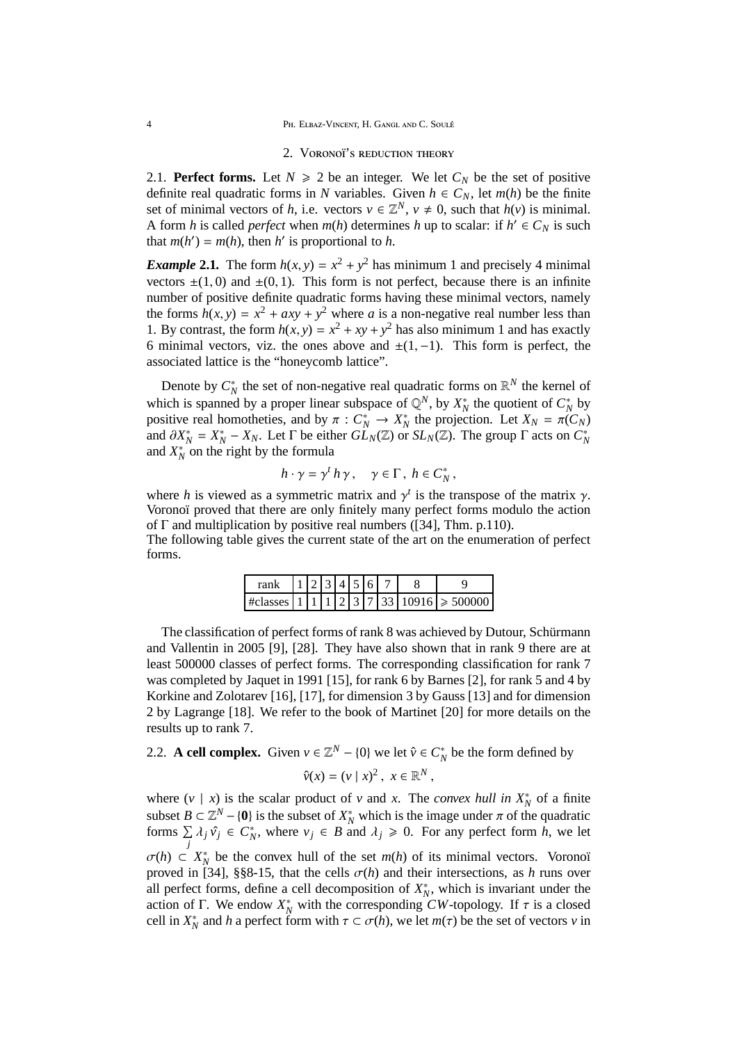4 **Ph. Elbaz-Vincent, H. Gangl and C. Soule**<sup>4</sup>

#### 2. VORONOÏ'S REDUCTION THEORY

2.1. **Perfect forms.** Let  $N \ge 2$  be an integer. We let  $C_N$  be the set of positive definite real quadratic forms in *N* variables. Given  $h \in C_N$ , let  $m(h)$  be the finite set of minimal vectors of *h*, i.e. vectors  $v \in \mathbb{Z}^N$ ,  $v \neq 0$ , such that  $h(v)$  is minimal. A form *h* is called *perfect* when *m*(*h*) determines *h* up to scalar: if  $h' \in C_N$  is such that  $m(h') = m(h)$ , then *h*' is proportional to *h*.

*Example* 2.1. The form  $h(x, y) = x^2 + y^2$  has minimum 1 and precisely 4 minimal vectors  $\pm(1, 0)$  and  $\pm(0, 1)$ . This form is not perfect, because there is an infinite number of positive definite quadratic forms having these minimal vectors, namely the forms  $h(x, y) = x^2 + axy + y^2$  where *a* is a non-negative real number less than 1. By contrast, the form  $h(x, y) = x^2 + xy + y^2$  has also minimum 1 and has exactly 6 minimal vectors, viz. the ones above and  $\pm(1,-1)$ . This form is perfect, the associated lattice is the "honeycomb lattice".

Denote by  $C_N^*$  the set of non-negative real quadratic forms on  $\mathbb{R}^N$  the kernel of *N* by  $X_N$  and set of non-negative rear quadratic forms on  $\mathbb{R}^N$  and *N* and *N* in the set of *N* by *N*<sup>\*</sup> and *N*<sup>\*</sup> and *N*<sup>\*</sup> and *N*<sup>\*</sup> and *N*<sup>\*</sup> and *N*<sup>\*</sup> and *N*<sup>\*</sup> and *N*<sup>\*</sup> and *N*<sup>\*</sup> and *N*<sup>\*</sup> and *N* positive real homotheties, and by  $\pi : C_N^* \to X_N^*$  the projection. Let  $X_N = \pi(C_N)$ and  $\partial X_N^* = X_N^* - X_N$ . Let  $\Gamma$  be either  $\widehat{GL}_N(\mathbb{Z})$  or  $SL_N(\mathbb{Z})$ . The group  $\Gamma$  acts on  $C_N^*$ and  $X_N^*$  on the right by the formula

$$
h \cdot \gamma = \gamma^t h \gamma
$$
,  $\gamma \in \Gamma$ ,  $h \in C_N^*$ ,

where *h* is viewed as a symmetric matrix and  $\gamma^t$  is the transpose of the matrix  $\gamma$ . Voronoï proved that there are only finitely many perfect forms modulo the action of Γ and multiplication by positive real numbers ([34], Thm. p.110).

The following table gives the current state of the art on the enumeration of perfect forms.

| rank |  | $1 2 3 4 5 6$ . |  |  |                                                          |
|------|--|-----------------|--|--|----------------------------------------------------------|
|      |  |                 |  |  | #classes   1   1   1   2   3   7   33   10916   > 500000 |

The classification of perfect forms of rank 8 was achieved by Dutour, Schürmann and Vallentin in 2005 [9], [28]. They have also shown that in rank 9 there are at least 500000 classes of perfect forms. The corresponding classification for rank 7 was completed by Jaquet in 1991 [15], for rank 6 by Barnes [2], for rank 5 and 4 by Korkine and Zolotarev [16], [17], for dimension 3 by Gauss [13] and for dimension 2 by Lagrange [18]. We refer to the book of Martinet [20] for more details on the results up to rank 7.

2.2. **A cell complex.** Given  $v \in \mathbb{Z}^N - \{0\}$  we let  $\hat{v} \in C_N^*$  be the form defined by

$$
\hat{v}(x) = (v \mid x)^2, \ x \in \mathbb{R}^N,
$$

where  $(v | x)$  is the scalar product of *v* and *x*. The *convex hull in*  $X_N^*$  of a finite subset  $B \subset \mathbb{Z}^N - \{0\}$  is the subset of  $X_N^*$  which is the image under  $\pi$  of the quadratic forms  $\Sigma$  $\sum_{j} \lambda_j \hat{v}_j \in C_N^*$ , where  $v_j \in B$  and  $\lambda_j \ge 0$ . For any perfect form *h*, we let  $\sigma(h) \subset X_N^*$  be the convex hull of the set  $m(h)$  of its minimal vectors. Voronoï proved in [34], §§8-15, that the cells  $\sigma(h)$  and their intersections, as *h* runs over all perfect forms, define a cell decomposition of  $X_N^*$ , which is invariant under the action of Γ. We endow  $X_N^*$  with the corresponding *CW*-topology. If  $\tau$  is a closed cell in  $X_N^*$  and *h* a perfect form with  $\tau \subset \sigma(h)$ , we let  $m(\tau)$  be the set of vectors *v* in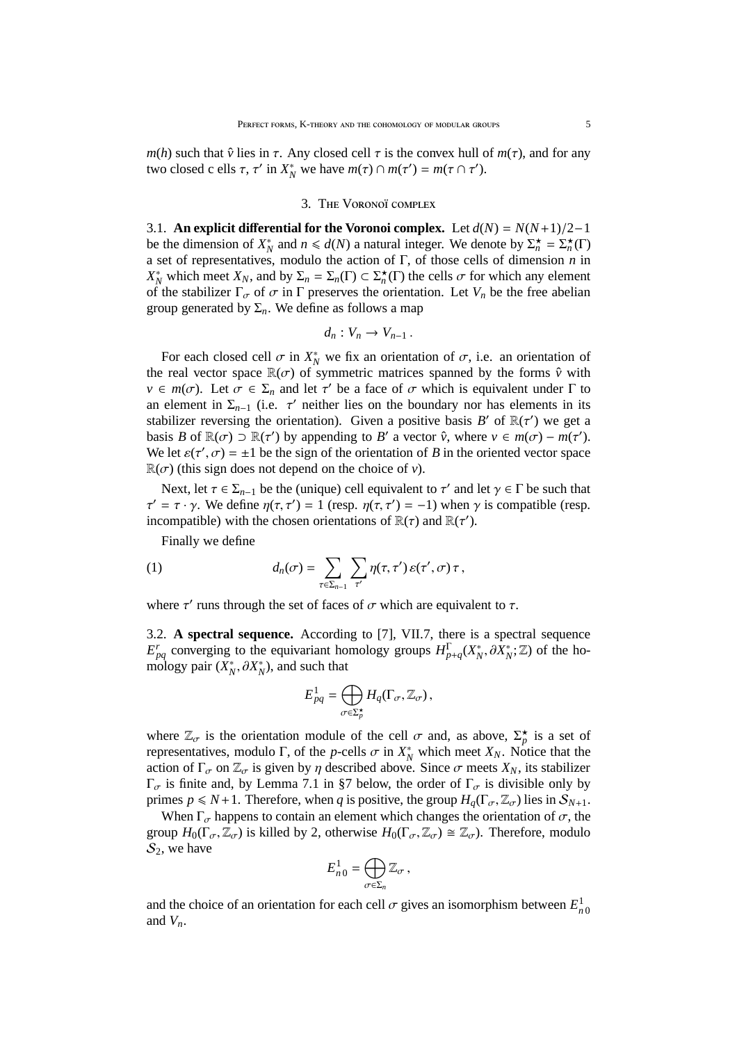*m*(*h*) such that  $\hat{v}$  lies in  $\tau$ . Any closed cell  $\tau$  is the convex hull of  $m(\tau)$ , and for any two closed c ells  $\tau$ ,  $\tau'$  in  $X_N^*$  we have  $m(\tau) \cap m(\tau') = m(\tau \cap \tau')$ .

#### 3. THE VORONOÏ COMPLEX

3.1. **An explicit differential for the Voronoi complex.** Let  $d(N) = N(N+1)/2-1$ be the dimension of  $X_N^*$  and  $n \le d(N)$  a natural integer. We denote by  $\Sigma_n^* = \Sigma_n^*(\Gamma)$ a set of representatives, modulo the action of Γ, of those cells of dimension *n* in *X*<sup>\*</sup><sub>*N*</sub> which meet *X<sub>N</sub>*, and by Σ<sub>*n*</sub> = Σ<sub>*n*</sub>(Γ) ⊂ Σ<sup>\*</sup><sub>*n*</sub></sub>(Γ) the cells *σ* for which any element of the stabilizer  $\Gamma_{\sigma}$  of  $\sigma$  in  $\Gamma$  preserves the orientation. Let  $V_n$  be the free abelian group generated by  $\Sigma_n$ . We define as follows a map

$$
d_n: V_n \to V_{n-1} \, .
$$

For each closed cell  $\sigma$  in  $X_N^*$  we fix an orientation of  $\sigma$ , i.e. an orientation of the real vector space  $\mathbb{R}(\sigma)$  of symmetric matrices spanned by the forms  $\hat{v}$  with  $v \in m(\sigma)$ . Let  $\sigma \in \Sigma_n$  and let  $\tau'$  be a face of  $\sigma$  which is equivalent under  $\Gamma$  to an element in  $\Sigma_{n-1}$  (i.e.  $\tau'$  neither lies on the boundary nor has elements in its stabilizer reversing the orientation). Given a positive basis  $B'$  of  $\mathbb{R}(\tau')$  we get a basis *B* of  $\mathbb{R}(\sigma) \supset \mathbb{R}(\tau')$  by appending to *B'* a vector  $\hat{v}$ , where  $v \in m(\sigma) - m(\tau')$ . We let  $\varepsilon(\tau', \sigma) = \pm 1$  be the sign of the orientation of *B* in the oriented vector space  $\mathbb{R}(\sigma)$  (this sign does not depend on the choice of *v*).

Next, let  $\tau \in \Sigma_{n-1}$  be the (unique) cell equivalent to  $\tau'$  and let  $\gamma \in \Gamma$  be such that  $\tau' = \tau \cdot \gamma$ . We define  $\eta(\tau, \tau') = 1$  (resp.  $\eta(\tau, \tau') = -1$ ) when  $\gamma$  is compatible (resp. incompatible) with the chosen orientations of  $\mathbb{R}(\tau)$  and  $\mathbb{R}(\tau')$ .

Finally we define

(1) 
$$
d_n(\sigma) = \sum_{\tau \in \Sigma_{n-1}} \sum_{\tau'} \eta(\tau, \tau') \, \varepsilon(\tau', \sigma) \, \tau \, ,
$$

where  $\tau'$  runs through the set of faces of  $\sigma$  which are equivalent to  $\tau$ .

3.2. **A spectral sequence.** According to [7], VII.7, there is a spectral sequence *E*<sup>*r*</sup><sub>*p<sub>4</sub>*</sub> converging to the equivariant homology groups  $H_{p+q}^{\Gamma}(X_N^*, \partial X_N^*; \mathbb{Z})$  of the homology pair  $(X_N^*, \partial X_N^*)$ , and such that

$$
E_{pq}^1 = \bigoplus_{\sigma \in \Sigma_p^{\star}} H_q(\Gamma_{\sigma}, \mathbb{Z}_{\sigma}),
$$

where  $\mathbb{Z}_{\sigma}$  is the orientation module of the cell  $\sigma$  and, as above,  $\Sigma_p^{\star}$  is a set of representatives, modulo Γ, of the *p*-cells  $\sigma$  in  $X_N^*$  which meet  $X_N$ . Notice that the action of  $\Gamma_{\sigma}$  on  $\mathbb{Z}_{\sigma}$  is given by  $\eta$  described above. Since  $\sigma$  meets  $X_N$ , its stabilizer  $Γ<sub>σ</sub>$  is finite and, by Lemma 7.1 in §7 below, the order of  $Γ<sub>σ</sub>$  is divisible only by primes  $p \le N+1$ . Therefore, when *q* is positive, the group  $H_q(\Gamma_\sigma, \mathbb{Z}_\sigma)$  lies in  $\mathcal{S}_{N+1}$ .

When  $\Gamma_{\sigma}$  happens to contain an element which changes the orientation of  $\sigma$ , the group  $H_0(\Gamma_\sigma, \mathbb{Z}_\sigma)$  is killed by 2, otherwise  $H_0(\Gamma_\sigma, \mathbb{Z}_\sigma) \cong \mathbb{Z}_\sigma$ ). Therefore, modulo  $S_2$ , we have

$$
E_{n\,0}^1=\bigoplus_{\sigma\in\Sigma_n}\mathbb{Z}_\sigma\,,
$$

and the choice of an orientation for each cell  $\sigma$  gives an isomorphism between  $E_{n0}^1$ and  $V_n$ .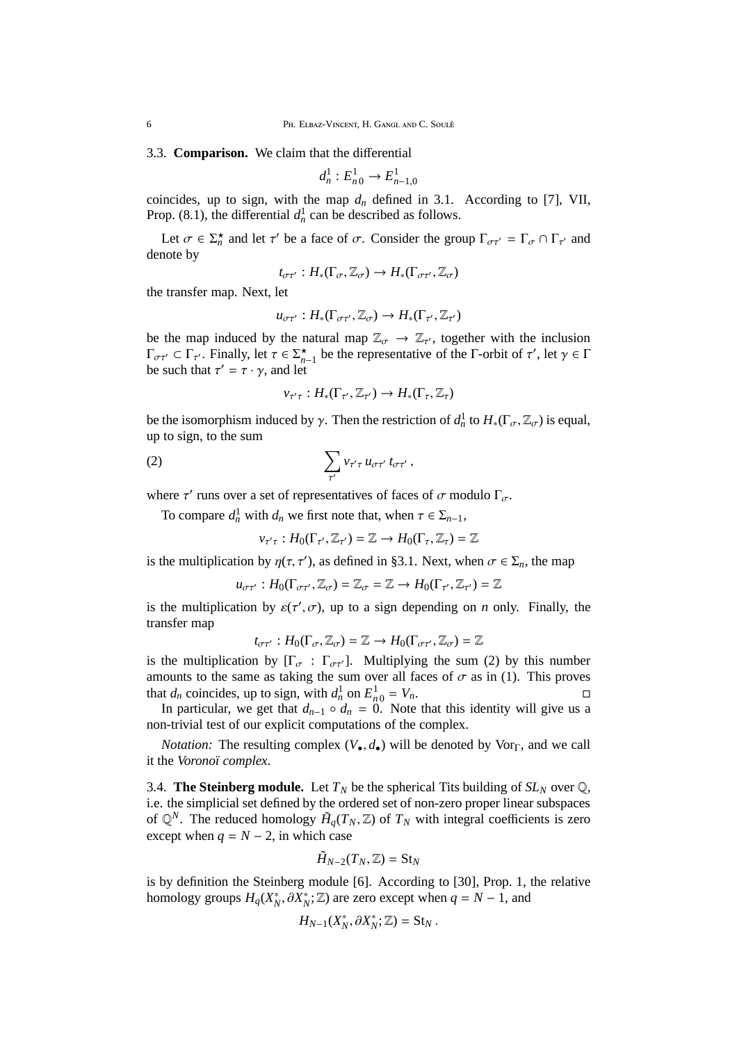6 PH. ELBAZ-VINCENT, H. GANGL AND C. SOULE

3.3. **Comparison.** We claim that the differential

$$
d_n^1: E_{n0}^1 \to E_{n-1,0}^1
$$

coincides, up to sign, with the map  $d_n$  defined in 3.1. According to [7], VII, Prop. (8.1), the differential  $d_n^1$  can be described as follows.

Let  $\sigma \in \Sigma_n^*$  and let  $\tau'$  be a face of  $\sigma$ . Consider the group  $\Gamma_{\sigma\tau'} = \Gamma_{\sigma} \cap \Gamma_{\tau'}$  and denote by

$$
t_{\sigma\tau'}:H_*(\Gamma_\sigma,\mathbb{Z}_\sigma)\to H_*(\Gamma_{\sigma\tau'},\mathbb{Z}_\sigma)
$$

the transfer map. Next, let

$$
u_{\sigma\tau'}:H_*(\Gamma_{\sigma\tau'},\mathbb{Z}_{\sigma})\to H_*(\Gamma_{\tau'},\mathbb{Z}_{\tau'})
$$

be the map induced by the natural map  $\mathbb{Z}_{\sigma} \to \mathbb{Z}_{\tau'}$ , together with the inclusion  $\Gamma_{\sigma\tau'} \subset \Gamma_{\tau'}$ . Finally, let  $\tau \in \Sigma_{n-1}^{\star}$  be the representative of the  $\Gamma$ -orbit of  $\tau'$ , let  $\gamma \in \Gamma$ be such that  $\tau' = \tau \cdot \gamma$ , and let

$$
v_{\tau'\tau}:H_*(\Gamma_{\tau'},\mathbb{Z}_{\tau'})\to H_*(\Gamma_{\tau},\mathbb{Z}_{\tau})
$$

be the isomorphism induced by  $\gamma$ . Then the restriction of  $d_n^1$  to  $H_*(\Gamma_\sigma, \mathbb{Z}_\sigma)$  is equal, up to sign, to the sum

$$
(2) \qquad \qquad \sum_{\tau'} v_{\tau'\tau} u_{\sigma\tau'} t_{\sigma\tau'},
$$

where  $\tau'$  runs over a set of representatives of faces of  $\sigma$  modulo  $\Gamma_{\sigma}$ .

To compare  $d_n^1$  with  $d_n$  we first note that, when  $\tau \in \Sigma_{n-1}$ ,

$$
\nu_{\tau'\tau}:H_0(\Gamma_{\tau'},\mathbb{Z}_{\tau'})=\mathbb{Z}\to H_0(\Gamma_{\tau},\mathbb{Z}_{\tau})=\mathbb{Z}
$$

is the multiplication by  $\eta(\tau, \tau')$ , as defined in §3.1. Next, when  $\sigma \in \Sigma_n$ , the map

$$
u_{\sigma\tau'}:H_0(\Gamma_{\sigma\tau'},\mathbb{Z}_{\sigma})=\mathbb{Z}_{\sigma}=\mathbb{Z}\to H_0(\Gamma_{\tau'},\mathbb{Z}_{\tau'})=\mathbb{Z}
$$

is the multiplication by  $\varepsilon(\tau', \sigma)$ , up to a sign depending on *n* only. Finally, the transfer map

$$
t_{\sigma\tau'}:H_0(\Gamma_\sigma,\mathbb{Z}_\sigma)=\mathbb{Z}\to H_0(\Gamma_{\sigma\tau'},\mathbb{Z}_\sigma)=\mathbb{Z}
$$

is the multiplication by  $[\Gamma_{\sigma} : \Gamma_{\sigma\tau'}]$ . Multiplying the sum (2) by this number amounts to the same as taking the sum over all faces of  $\sigma$  as in (1). This proves that  $d_n$  coincides, up to sign, with  $d_n^1$  on  $E_{n_0}^1 = V_n$ .

In particular, we get that  $d_{n-1} \circ d_n = 0$ . Note that this identity will give us a non-trivial test of our explicit computations of the complex.

*Notation:* The resulting complex  $(V_{\bullet}, d_{\bullet})$  will be denoted by Vor<sub>Γ</sub>, and we call it the *Voronoï complex*.

3.4. **The Steinberg module.** Let  $T_N$  be the spherical Tits building of  $SL_N$  over  $\mathbb{Q}$ , i.e. the simplicial set defined by the ordered set of non-zero proper linear subspaces of  $\mathbb{Q}^N$ . The reduced homology  $\tilde{H}_q(T_N, \mathbb{Z})$  of  $T_N$  with integral coefficients is zero except when  $q = N - 2$ , in which case

$$
\tilde{H}_{N-2}(T_N,\mathbb{Z})=\mathrm{St}_N
$$

is by definition the Steinberg module [6]. According to [30], Prop. 1, the relative homology groups  $H_q(X_N^*, \partial X_N^*; \mathbb{Z})$  are zero except when  $q = N - 1$ , and

$$
H_{N-1}(X_N^*,\partial X_N^*;\mathbb{Z})=\mathrm{St}_N.
$$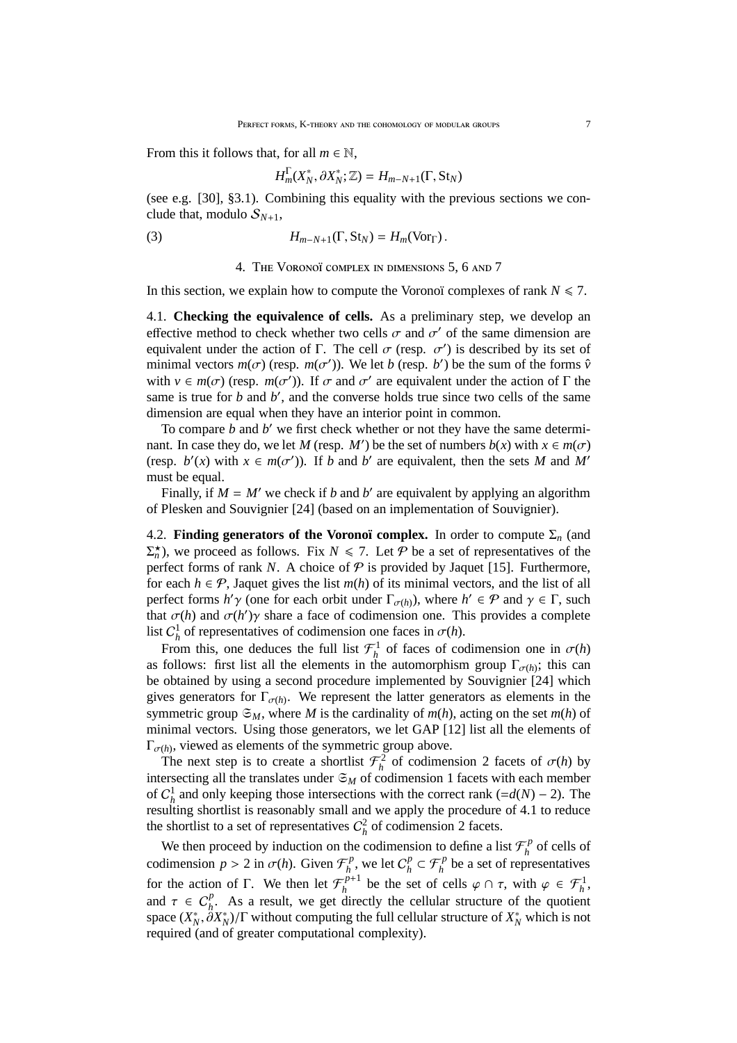From this it follows that, for all  $m \in \mathbb{N}$ ,

$$
H_m^{\Gamma}(X_N^*,\partial X_N^*;\mathbb{Z})=H_{m-N+1}(\Gamma,\text{St}_N)
$$

(see e.g. [30], §3.1). Combining this equality with the previous sections we conclude that, modulo  $S_{N+1}$ ,

(3) 
$$
H_{m-N+1}(\Gamma, \text{St}_N) = H_m(\text{Vor}_{\Gamma}).
$$

### 4. THE VORONOÏ COMPLEX IN DIMENSIONS 5, 6 AND 7

In this section, we explain how to compute the Voronoï complexes of rank  $N \le 7$ .

4.1. **Checking the equivalence of cells.** As a preliminary step, we develop an effective method to check whether two cells  $\sigma$  and  $\sigma'$  of the same dimension are equivalent under the action of  $\Gamma$ . The cell  $\sigma$  (resp.  $\sigma'$ ) is described by its set of minimal vectors  $m(\sigma)$  (resp.  $m(\sigma')$ ). We let *b* (resp. *b'*) be the sum of the forms  $\hat{v}$ with  $v \in m(\sigma)$  (resp.  $m(\sigma')$ ). If  $\sigma$  and  $\sigma'$  are equivalent under the action of  $\Gamma$  the same is true for *b* and *b'*, and the converse holds true since two cells of the same dimension are equal when they have an interior point in common.

To compare *b* and *b* ′ we first check whether or not they have the same determinant. In case they do, we let *M* (resp. *M'*) be the set of numbers  $b(x)$  with  $x \in m(\sigma)$ (resp.  $b'(x)$  with  $x \in m(\sigma')$ ). If *b* and *b'* are equivalent, then the sets *M* and *M'* must be equal.

Finally, if  $M = M'$  we check if *b* and *b'* are equivalent by applying an algorithm of Plesken and Souvignier [24] (based on an implementation of Souvignier).

4.2. **Finding generators of the Voronoï complex.** In order to compute  $\Sigma_n$  (and  $\Sigma_n^{\star}$ ), we proceed as follows. Fix  $N \le 7$ . Let P be a set of representatives of the perfect forms of rank *N*. A choice of  $P$  is provided by Jaquet [15]. Furthermore, for each  $h \in \mathcal{P}$ , Jaquet gives the list  $m(h)$  of its minimal vectors, and the list of all perfect forms  $h'$   $\gamma$  (one for each orbit under  $\Gamma_{\sigma(h)}$ ), where  $h' \in \mathcal{P}$  and  $\gamma \in \Gamma$ , such that  $\sigma(h)$  and  $\sigma(h')\gamma$  share a face of codimension one. This provides a complete list  $C_h^1$  of representatives of codimension one faces in  $\sigma(h)$ .

From this, one deduces the full list  $\mathcal{F}^1_h$  of faces of codimension one in  $\sigma(h)$ as follows: first list all the elements in the automorphism group  $\Gamma_{\sigma(h)}$ ; this can be obtained by using a second procedure implemented by Souvignier [24] which gives generators for  $\Gamma_{\sigma(h)}$ . We represent the latter generators as elements in the symmetric group  $\mathfrak{S}_M$ , where *M* is the cardinality of *m*(*h*), acting on the set *m*(*h*) of minimal vectors. Using those generators, we let GAP [12] list all the elements of  $\Gamma_{\sigma(h)}$ , viewed as elements of the symmetric group above.

The next step is to create a shortlist  $\mathcal{F}^2_h$  of codimension 2 facets of  $\sigma(h)$  by intersecting all the translates under  $\mathfrak{S}_M$  of codimension 1 facets with each member of  $C_h^1$  and only keeping those intersections with the correct rank (= $d(N)$  – 2). The resulting shortlist is reasonably small and we apply the procedure of 4.1 to reduce the shortlist to a set of representatives  $C_h^2$  of codimension 2 facets.

We then proceed by induction on the codimension to define a list  $\mathcal{F}_h^p$  $h$ <sup>*p*</sup> of cells of codimension  $p > 2$  in  $\sigma(h)$ . Given  $\mathcal{F}_h^p$  $L_h^p$ , we let  $C_h^p$  $\mathcal{F}_h^p \subset \mathcal{F}_h^p$  be a set of representatives for the action of Γ. We then let  $\mathcal{F}_h^{p+1}$  $\varphi_h^{p+1}$  be the set of cells  $\varphi \cap \tau$ , with  $\varphi \in \mathcal{F}_h^1$ , and  $\tau \in C_h^p$ . As a result, we get directly the cellular structure of the quotient space  $(X_N^*, \partial X_N^*)/\Gamma$  without computing the full cellular structure of  $X_N^*$  which is not required (and of greater computational complexity).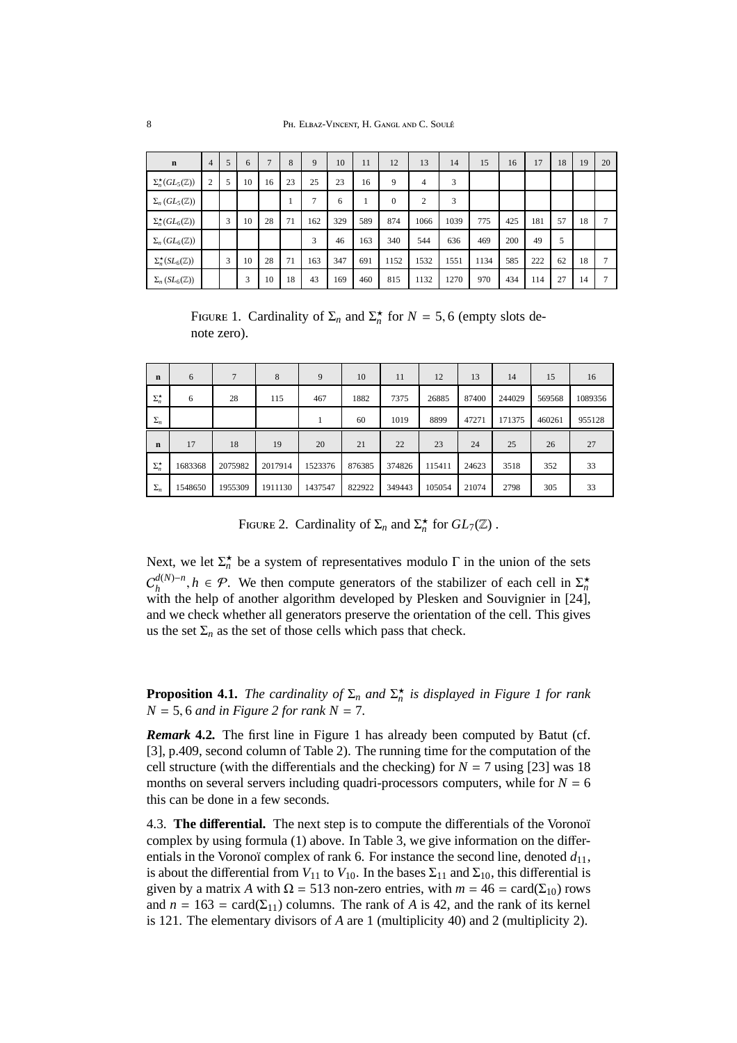| $\mathbf n$                          | $\overline{4}$ | 5 | 6  | $\overline{7}$ | 8  | 9              | 10  | 11  | 12       | 13             | 14   | 15   | 16  | 17  | 18 | 19 | 20 |
|--------------------------------------|----------------|---|----|----------------|----|----------------|-----|-----|----------|----------------|------|------|-----|-----|----|----|----|
| $\Sigma_n^{\star}(GL_5(\mathbb{Z}))$ | $\overline{2}$ | 5 | 10 | 16             | 23 | 25             | 23  | 16  | 9        | 4              | 3    |      |     |     |    |    |    |
| $\Sigma_n(GL_5(\mathbb{Z}))$         |                |   |    |                |    | $\overline{7}$ | 6   |     | $\theta$ | $\overline{c}$ | 3    |      |     |     |    |    |    |
| $\Sigma_n^{\star}(GL_6(\mathbb{Z}))$ |                | 3 | 10 | 28             | 71 | 162            | 329 | 589 | 874      | 1066           | 1039 | 775  | 425 | 181 | 57 | 18 |    |
| $\Sigma_n(GL_6(\mathbb{Z}))$         |                |   |    |                |    | 3              | 46  | 163 | 340      | 544            | 636  | 469  | 200 | 49  | 5  |    |    |
| $\Sigma_n^{\star}(SL_6(\mathbb{Z}))$ |                | 3 | 10 | 28             | 71 | 163            | 347 | 691 | 1152     | 1532           | 1551 | 1134 | 585 | 222 | 62 | 18 |    |
| $\Sigma_n(SL_6(\mathbb{Z}))$         |                |   | 3  | 10             | 18 | 43             | 169 | 460 | 815      | 1132           | 1270 | 970  | 434 | 114 | 27 | 14 |    |

FIGURE 1. Cardinality of  $\Sigma_n$  and  $\Sigma_n^*$  for  $N = 5, 6$  (empty slots denote zero).

| $\mathbf n$        | 6       | 7       | 8       | 9       | 10     | 11     | 12     | 13    | 14     | 15     | 16      |
|--------------------|---------|---------|---------|---------|--------|--------|--------|-------|--------|--------|---------|
| $\Sigma_n^{\star}$ | 6       | 28      | 115     | 467     | 1882   | 7375   | 26885  | 87400 | 244029 | 569568 | 1089356 |
| $\Sigma_n$         |         |         |         |         | 60     | 1019   | 8899   | 47271 | 171375 | 460261 | 955128  |
| $\mathbf n$        | 17      | 18      | 19      | 20      | 21     | 22     | 23     | 24    | 25     | 26     | 27      |
| $\Sigma_n^{\star}$ | 1683368 | 2075982 | 2017914 | 1523376 | 876385 | 374826 | 115411 | 24623 | 3518   | 352    | 33      |
| $\Sigma_n$         | 1548650 | 1955309 | 1911130 | 1437547 | 822922 | 349443 | 105054 | 21074 | 2798   | 305    | 33      |

FIGURE 2. Cardinality of  $\Sigma_n$  and  $\Sigma_n^*$  for  $GL_7(\mathbb{Z})$ .

Next, we let  $\Sigma_n^*$  be a system of representatives modulo  $\Gamma$  in the union of the sets  $C^{d(N)-n}_{\mu}$  $h_h^{d(N)-n}$ ,  $h \in \mathcal{P}$ . We then compute generators of the stabilizer of each cell in  $\Sigma_n^*$ with the help of another algorithm developed by Plesken and Souvignier in [24], and we check whether all generators preserve the orientation of the cell. This gives us the set  $\Sigma_n$  as the set of those cells which pass that check.

**Proposition 4.1.** *The cardinality of*  $\Sigma_n$  *and*  $\Sigma_n^{\star}$  *is displayed in Figure 1 for rank*  $N = 5, 6$  *and in Figure 2 for rank*  $N = 7$ *.* 

*Remark* **4.2***.* The first line in Figure 1 has already been computed by Batut (cf. [3], p.409, second column of Table 2). The running time for the computation of the cell structure (with the differentials and the checking) for  $N = 7$  using [23] was 18 months on several servers including quadri-processors computers, while for  $N = 6$ this can be done in a few seconds.

4.3. **The di**ff**erential.** The next step is to compute the differentials of the Voronoï complex by using formula (1) above. In Table 3, we give information on the differentials in the Voronoï complex of rank 6. For instance the second line, denoted  $d_{11}$ , is about the differential from  $V_{11}$  to  $V_{10}$ . In the bases  $\Sigma_{11}$  and  $\Sigma_{10}$ , this differential is given by a matrix *A* with  $\Omega = 513$  non-zero entries, with  $m = 46 = \text{card}(\Sigma_{10})$  rows and  $n = 163 = \text{card}(\Sigma_{11})$  columns. The rank of *A* is 42, and the rank of its kernel is 121. The elementary divisors of *A* are 1 (multiplicity 40) and 2 (multiplicity 2).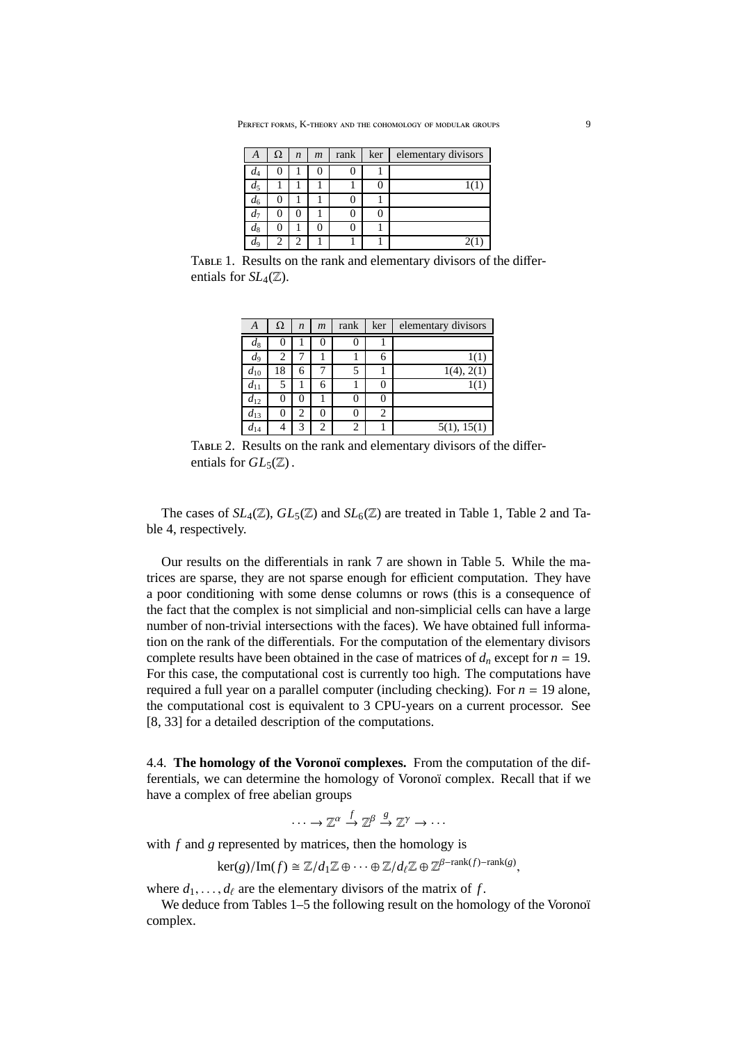| Α     | Ω | $\boldsymbol{n}$ | $\mathfrak{m}$ | rank | ker | elementary divisors |
|-------|---|------------------|----------------|------|-----|---------------------|
| $d_4$ |   |                  |                |      |     |                     |
| $d_5$ |   |                  |                |      |     | 101                 |
| $d_6$ |   |                  |                |      |     |                     |
| $d_7$ | U |                  |                |      |     |                     |
| $d_8$ |   |                  |                |      |     |                     |
| $d_9$ | 2 |                  |                |      |     |                     |

TABLE 1. Results on the rank and elementary divisors of the differentials for  $SL_4(\mathbb{Z})$ .

| А        | Ω  | $\boldsymbol{n}$ | $\boldsymbol{m}$ | rank | ker | elementary divisors |
|----------|----|------------------|------------------|------|-----|---------------------|
| $d_8$    | 0  |                  | 0                | 0    |     |                     |
| $d_{9}$  | 2  |                  |                  |      | 6   | 1(1)                |
| $d_{10}$ | 18 | 6                |                  |      |     | 1(4), 2(1)          |
| $d_{11}$ | 5  |                  | 6                |      | 0   |                     |
| $d_{12}$ | 0  | 0                |                  | 0    | 0   |                     |
| $d_{13}$ | 0  | 2                | 0                | 0    | 2   |                     |
| $d_{14}$ |    | 3                | 2                | 2    |     | 5(1), 15(1)         |

Table 2. Results on the rank and elementary divisors of the differentials for  $GL_5(\mathbb{Z})$ .

The cases of  $SL_4(\mathbb{Z})$ ,  $GL_5(\mathbb{Z})$  and  $SL_6(\mathbb{Z})$  are treated in Table 1, Table 2 and Table 4, respectively.

Our results on the differentials in rank 7 are shown in Table 5. While the matrices are sparse, they are not sparse enough for efficient computation. They have a poor conditioning with some dense columns or rows (this is a consequence of the fact that the complex is not simplicial and non-simplicial cells can have a large number of non-trivial intersections with the faces). We have obtained full information on the rank of the differentials. For the computation of the elementary divisors complete results have been obtained in the case of matrices of  $d_n$  except for  $n = 19$ . For this case, the computational cost is currently too high. The computations have required a full year on a parallel computer (including checking). For  $n = 19$  alone, the computational cost is equivalent to 3 CPU-years on a current processor. See [8, 33] for a detailed description of the computations.

4.4. **The homology of the Voronoï complexes.** From the computation of the differentials, we can determine the homology of Voronoï complex. Recall that if we have a complex of free abelian groups

$$
\cdots \to \mathbb{Z}^{\alpha} \stackrel{f}{\to} \mathbb{Z}^{\beta} \stackrel{g}{\to} \mathbb{Z}^{\gamma} \to \cdots
$$

with *f* and *g* represented by matrices, then the homology is

 $\ker(g)/\mathrm{Im}(f) \cong \mathbb{Z}/d_1\mathbb{Z} \oplus \cdots \oplus \mathbb{Z}/d_\ell\mathbb{Z} \oplus \mathbb{Z}^{\beta-\mathrm{rank}(f)-\mathrm{rank}(g)},$ 

where  $d_1, \ldots, d_\ell$  are the elementary divisors of the matrix of *f*.

We deduce from Tables 1–5 the following result on the homology of the Voronoï complex.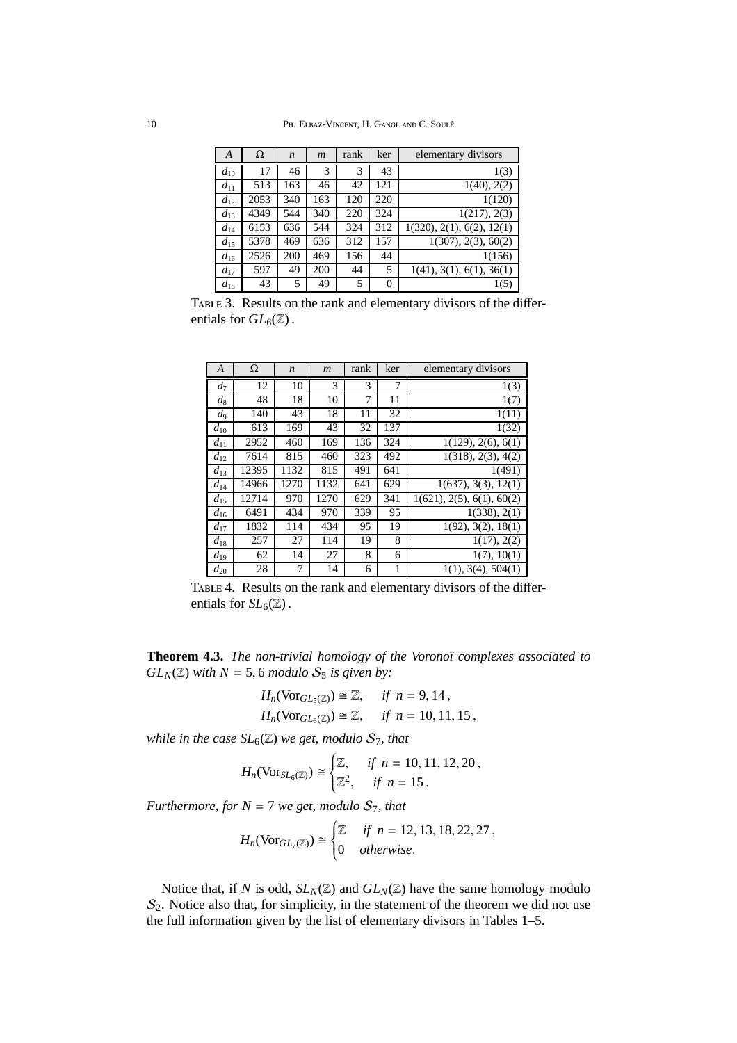| A        | Ω    | $\boldsymbol{n}$ | $\boldsymbol{m}$ | rank | ker            | elementary divisors                    |
|----------|------|------------------|------------------|------|----------------|----------------------------------------|
| $d_{10}$ | 17   | 46               | 3                | 3    | 43             | 1(3)                                   |
| $d_{11}$ | 513  | 163              | 46               | 42   | 121            | 1(40), 2(2)                            |
| $d_{12}$ | 2053 | 340              | 163              | 120  | 220            | 1(120)                                 |
| $d_{13}$ | 4349 | 544              | 340              | 220  | 324            | 1(217), 2(3)                           |
| $d_{14}$ | 6153 | 636              | 544              | 324  | 312            | 1(320), 2(1), 6(2), 12(1)              |
| $d_{15}$ | 5378 | 469              | 636              | 312  | 157            | 1(307), 2(3), 60(2)                    |
| $d_{16}$ | 2526 | 200              | 469              | 156  | 44             | 1(156)                                 |
| $d_{17}$ | 597  | 49               | 200              | 44   | 5              | $\overline{1(41)}$ , 3(1), 6(1), 36(1) |
| $d_{18}$ | 43   | 5                | 49               | 5    | $\overline{0}$ | 1(5)                                   |

TABLE 3. Results on the rank and elementary divisors of the differentials for  $GL_6(\mathbb{Z})$ .

| A        | Ω     | $\boldsymbol{n}$ | $\boldsymbol{m}$ | rank | ker | elementary divisors                     |
|----------|-------|------------------|------------------|------|-----|-----------------------------------------|
| $d_7$    | 12    | 10               | 3                | 3    | 7   | 1(3)                                    |
| $d_8$    | 48    | 18               | 10               | 7    | 11  | 1(7)                                    |
| $d_{9}$  | 140   | 43               | 18               | 11   | 32  | 1(11)                                   |
| $d_{10}$ | 613   | 169              | 43               | 32   | 137 | 1(32)                                   |
| $d_{11}$ | 2952  | 460              | 169              | 136  | 324 | 1(129), 2(6), 6(1)                      |
| $d_{12}$ | 7614  | 815              | 460              | 323  | 492 | $\overline{1(318)}$ , 2(3), 4(2)        |
| $d_{13}$ | 12395 | 1132             | 815              | 491  | 641 | 1(491)                                  |
| $d_{14}$ | 14966 | 1270             | 1132             | 641  | 629 | 1(637), 3(3), 12(1)                     |
| $d_{15}$ | 12714 | 970              | 1270             | 629  | 341 | $\overline{1(621)}$ , 2(5), 6(1), 60(2) |
| $d_{16}$ | 6491  | 434              | 970              | 339  | 95  | 1(338), 2(1)                            |
| $d_{17}$ | 1832  | 114              | 434              | 95   | 19  | 1(92), 3(2), 18(1)                      |
| $d_{18}$ | 257   | 27               | 114              | 19   | 8   | 1(17), 2(2)                             |
| $d_{19}$ | 62    | 14               | 27               | 8    | 6   | 1(7), 10(1)                             |
| $d_{20}$ | 28    | 7                | 14               | 6    | 1   | 1(1), 3(4), 504(1)                      |

TABLE 4. Results on the rank and elementary divisors of the differentials for  $SL_6(\mathbb{Z})$ .

**Theorem 4.3.** *The non-trivial homology of the Voronoï complexes associated to*  $GL_N(\mathbb{Z})$  *with*  $N = 5, 6$  *modulo*  $S_5$  *is given by:* 

$$
H_n(\text{Vor}_{GL_5(\mathbb{Z})}) \cong \mathbb{Z}, \quad \text{if } n = 9, 14,
$$
  

$$
H_n(\text{Vor}_{GL_5(\mathbb{Z})}) \cong \mathbb{Z}, \quad \text{if } n = 10, 11, 15,
$$

*while in the case*  $SL_6(\mathbb{Z})$  *we get, modulo*  $S_7$ *, that* 

$$
H_n(\text{Vor}_{SL_6(\mathbb{Z})}) \cong \begin{cases} \mathbb{Z}, & \text{if } n = 10, 11, 12, 20, \\ \mathbb{Z}^2, & \text{if } n = 15 \,. \end{cases}
$$

*Furthermore, for*  $N = 7$  *we get, modulo*  $S_7$ *, that* 

$$
H_n(\text{Vor}_{GL_7(\mathbb{Z})}) \cong \begin{cases} \mathbb{Z} & \text{if } n = 12, 13, 18, 22, 27, \\ 0 & \text{otherwise.} \end{cases}
$$

Notice that, if *N* is odd,  $SL_N(\mathbb{Z})$  and  $GL_N(\mathbb{Z})$  have the same homology modulo  $S_2$ . Notice also that, for simplicity, in the statement of the theorem we did not use the full information given by the list of elementary divisors in Tables 1–5.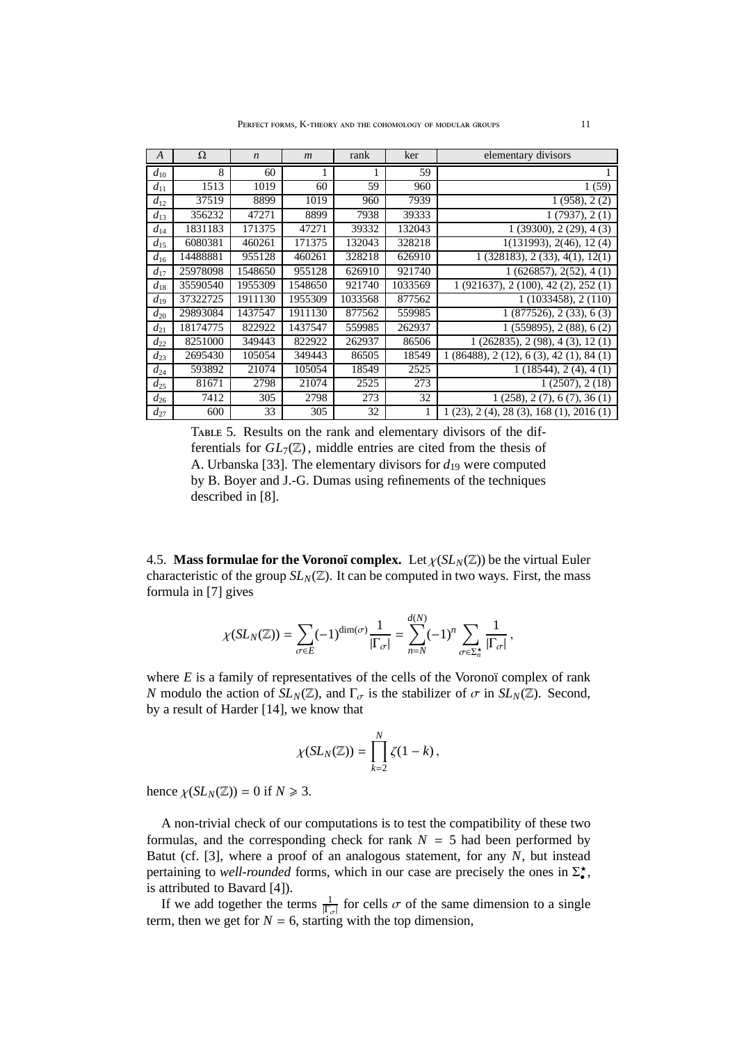| $\boldsymbol{A}$ | Ω        | $\boldsymbol{n}$ | $\mathfrak{m}$ | rank    | ker     | elementary divisors                   |
|------------------|----------|------------------|----------------|---------|---------|---------------------------------------|
| $d_{10}$         | 8        | 60               |                |         | 59      |                                       |
| $d_{11}$         | 1513     | 1019             | 60             | 59      | 960     | 1(59)                                 |
| $d_{12}$         | 37519    | 8899             | 1019           | 960     | 7939    | 1(958), 2(2)                          |
| $d_{13}$         | 356232   | 47271            | 8899           | 7938    | 39333   | 1(7937), 2(1)                         |
| $d_{14}$         | 1831183  | 171375           | 47271          | 39332   | 132043  | $\overline{1}$ (39300), 2 (29), 4 (3) |
| $d_{15}$         | 6080381  | 460261           | 171375         | 132043  | 328218  | 1(131993), 2(46), 12(4)               |
| $d_{16}$         | 14488881 | 955128           | 460261         | 328218  | 626910  | 1(328183), 2(33), 4(1), 12(1)         |
| $d_{17}$         | 25978098 | 1548650          | 955128         | 626910  | 921740  | 1(626857), 2(52), 4(1)                |
| $d_{18}$         | 35590540 | 1955309          | 1548650        | 921740  | 1033569 | 1(921637), 2(100), 42(2), 252(1)      |
| $d_{19}$         | 37322725 | 1911130          | 1955309        | 1033568 | 877562  | 1(1033458), 2(110)                    |
| $d_{20}$         | 29893084 | 1437547          | 1911130        | 877562  | 559985  | 1(877526), 2(33), 6(3)                |
| $d_{21}$         | 18174775 | 822922           | 1437547        | 559985  | 262937  | 1(559895), 2(88), 6(2)                |
| $d_{22}$         | 8251000  | 349443           | 822922         | 262937  | 86506   | 1(262835), 2(98), 4(3), 12(1)         |
| $d_{23}$         | 2695430  | 105054           | 349443         | 86505   | 18549   | 1(86488), 2(12), 6(3), 42(1), 84(1)   |
| $d_{24}$         | 593892   | 21074            | 105054         | 18549   | 2525    | 1(18544), 2(4), 4(1)                  |
| $d_{25}$         | 81671    | 2798             | 21074          | 2525    | 273     | 1(2507), 2(18)                        |
| $d_{26}$         | 7412     | 305              | 2798           | 273     | 32      | 1(258), 2(7), 6(7), 36(1)             |
| $d_{27}$         | 600      | 33               | 305            | 32      | 1       | 1(23), 2(4), 28(3), 168(1), 2016(1)   |

Table 5. Results on the rank and elementary divisors of the differentials for  $GL_7(\mathbb{Z})$ , middle entries are cited from the thesis of A. Urbanska [33]. The elementary divisors for  $d_{19}$  were computed by B. Boyer and J.-G. Dumas using refinements of the techniques described in [8].

4.5. **Mass formulae for the Voronoï complex.** Let  $\chi(SL_N(\mathbb{Z}))$  be the virtual Euler characteristic of the group  $SL_N(\mathbb{Z})$ . It can be computed in two ways. First, the mass formula in [7] gives

$$
\chi(SL_N(\mathbb{Z})) = \sum_{\sigma \in E} (-1)^{\dim(\sigma)} \frac{1}{|\Gamma_{\sigma}|} = \sum_{n=N}^{d(N)} (-1)^n \sum_{\sigma \in \Sigma_n^{\star}} \frac{1}{|\Gamma_{\sigma}|},
$$

where *E* is a family of representatives of the cells of the Voronoï complex of rank *N* modulo the action of  $SL_N(\mathbb{Z})$ , and  $\Gamma_{\sigma}$  is the stabilizer of  $\sigma$  in  $SL_N(\mathbb{Z})$ . Second, by a result of Harder [14], we know that

$$
\chi(SL_N(\mathbb{Z}))=\prod_{k=2}^N \zeta(1-k)\,,
$$

hence  $\chi(SL_N(\mathbb{Z})) = 0$  if  $N \ge 3$ .

A non-trivial check of our computations is to test the compatibility of these two formulas, and the corresponding check for rank  $N = 5$  had been performed by Batut (cf. [3], where a proof of an analogous statement, for any *N*, but instead pertaining to *well-rounded* forms, which in our case are precisely the ones in  $\Sigma_{\bullet}^{\star}$ , is attributed to Bavard [4]).

If we add together the terms  $\frac{1}{|\Gamma_{\sigma}|}$  for cells  $\sigma$  of the same dimension to a single term, then we get for  $N = 6$ , starting with the top dimension,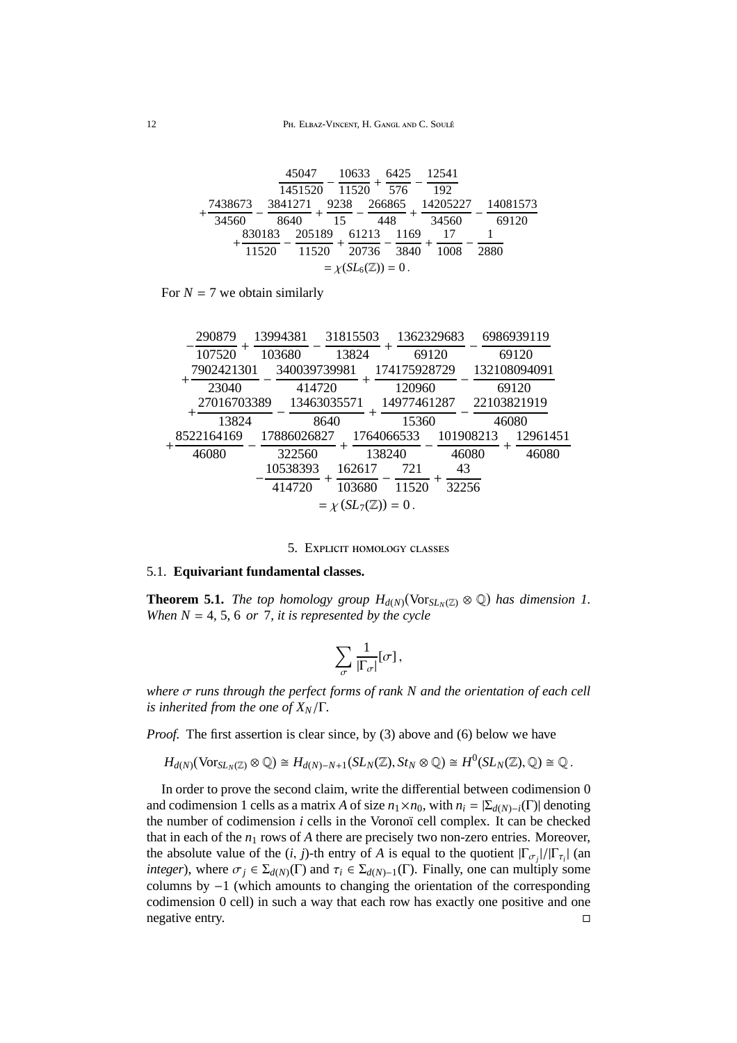|                               | 45047            | 10633 | 6425          | 12541    |          |  |  |  |  |  |
|-------------------------------|------------------|-------|---------------|----------|----------|--|--|--|--|--|
|                               | 1451520          | 11520 | 576           | 192      |          |  |  |  |  |  |
| 7438673                       | 3841271          | 9238  | 266865        | 14205227 | 14081573 |  |  |  |  |  |
| 34560                         | 8640             | 15    | 448           | 34560    | 69120    |  |  |  |  |  |
|                               | 205189<br>830183 |       | 61213<br>1169 |          |          |  |  |  |  |  |
|                               | 11520<br>11520   |       | 20736<br>3840 | 1008     | 2880     |  |  |  |  |  |
| $=\chi(SL_6(\mathbb{Z}))=0$ . |                  |       |               |          |          |  |  |  |  |  |

For  $N = 7$  we obtain similarly

| 290879               | 13994381               | 31815503                      | 1362329683            |             | 6986939119            |
|----------------------|------------------------|-------------------------------|-----------------------|-------------|-----------------------|
| 107520<br>7902421301 | 103680<br>340039739981 | 13824                         | 69120<br>174175928729 |             | 69120<br>132108094091 |
| 23040<br>27016703389 | 414720                 | 13463035571                   | 120960<br>14977461287 |             | 69120<br>22103821919  |
| 13824                |                        | 8640                          | 15360                 |             | 46080                 |
| 8522164169           | 17886026827            |                               | 1764066533            | 101908213   | 12961451              |
| 46080                | 322560<br>10538393     | 162617                        | 138240<br>721         | 46080<br>43 | 46080                 |
|                      | 414720                 | 103680                        | 11520                 | 32256       |                       |
|                      |                        | $=\chi(SL_7(\mathbb{Z}))=0$ . |                       |             |                       |

### 5. Explicit homology classes

# 5.1. **Equivariant fundamental classes.**

**Theorem 5.1.** *The top homology group*  $H_{d(N)}(\text{Vor}_{SL_N(\mathbb{Z})}\otimes\mathbb{Q})$  *has dimension 1. When*  $N = 4$ , 5, 6 *or* 7, *it is represented by the cycle* 

$$
\sum_{\sigma} \frac{1}{|\Gamma_{\sigma}|} [\sigma],
$$

*where* σ *runs through the perfect forms of rank N and the orientation of each cell is inherited from the one of XN*/Γ*.*

*Proof.* The first assertion is clear since, by (3) above and (6) below we have

$$
H_{d(N)}(\text{Vor}_{SL_N(\mathbb{Z})}\otimes\mathbb{Q})\cong H_{d(N)-N+1}(SL_N(\mathbb{Z}), St_N\otimes\mathbb{Q})\cong H^0(SL_N(\mathbb{Z}),\mathbb{Q})\cong\mathbb{Q}.
$$

In order to prove the second claim, write the differential between codimension 0 and codimension 1 cells as a matrix *A* of size  $n_1 \times n_0$ , with  $n_i = \sum_{d(N)-i}(\Gamma)$  denoting the number of codimension *i* cells in the Voronoï cell complex. It can be checked that in each of the  $n_1$  rows of  $A$  there are precisely two non-zero entries. Moreover, the absolute value of the  $(i, j)$ -th entry of *A* is equal to the quotient  $|\Gamma_{\sigma_j}|/|\Gamma_{\tau_i}|$  (and *integer*), where  $\sigma_j \in \Sigma_{d(N)}(\Gamma)$  and  $\tau_i \in \Sigma_{d(N)-1}(\Gamma)$ . Finally, one can multiply some columns by −1 (which amounts to changing the orientation of the corresponding codimension 0 cell) in such a way that each row has exactly one positive and one negative entry.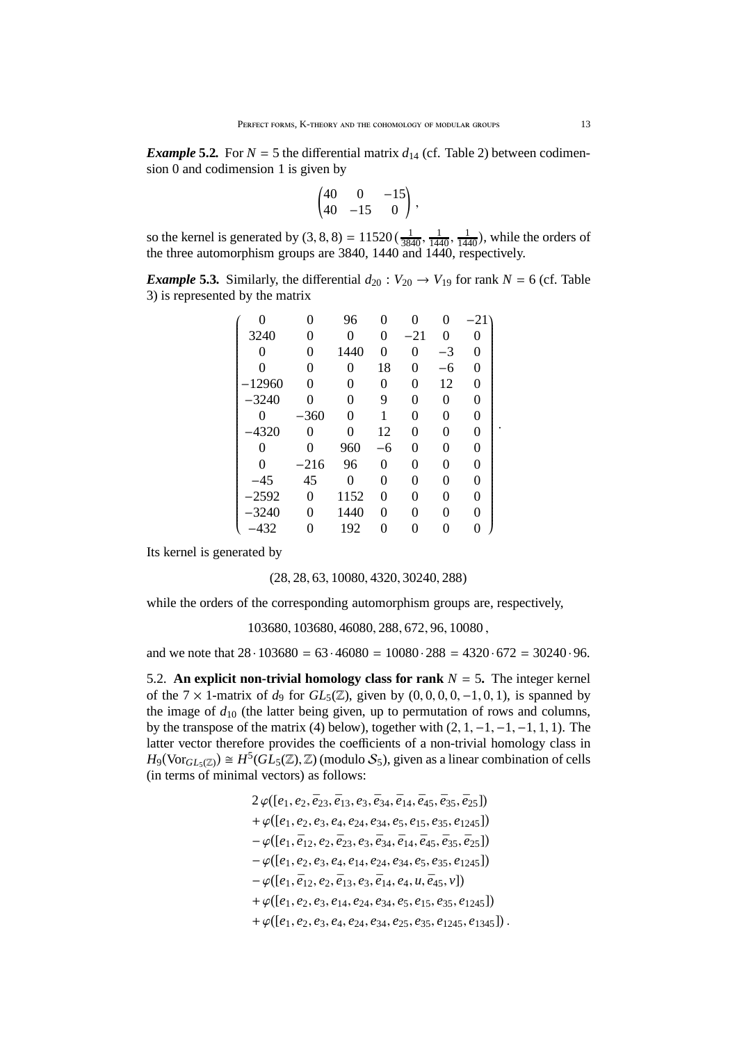*Example* 5.2. For  $N = 5$  the differential matrix  $d_{14}$  (cf. Table 2) between codimension 0 and codimension 1 is given by

$$
\begin{pmatrix} 40 & 0 & -15 \ 40 & -15 & 0 \end{pmatrix},
$$

so the kernel is generated by  $(3, 8, 8) = 11520 \left( \frac{1}{3840}, \frac{1}{1440}, \frac{1}{1440} \right)$  $\frac{1}{1440}$ , while the orders of the three automorphism groups are 3840, 1440 and 1440, respectively.

*Example* 5.3*.* Similarly, the differential  $d_{20}$  :  $V_{20} \rightarrow V_{19}$  for rank  $N = 6$  (cf. Table 3) is represented by the matrix

|          | 0              | 96   | 0  |       |      | $-21$ <sup>-</sup> |  |
|----------|----------------|------|----|-------|------|--------------------|--|
| 3240     | 0              | 0    | 0  | $-21$ | 0    | 0                  |  |
| 0        | 0              | 1440 | 0  | 0     | $-3$ | 0                  |  |
| $\theta$ | 0              | 0    | 18 | 0     | -6   | 0                  |  |
| 12960    | 0              | 0    | 0  | 0     | 12   | 0                  |  |
| $-3240$  | 0              | 0    | 9  | 0     | 0    | 0                  |  |
| 0        | $-360$         | 0    |    | 0     | 0    | 0                  |  |
| $-4320$  | 0              | 0    | 12 | 0     | 0    | 0                  |  |
| 0        | 0              | 960  | -6 | 0     | 0    | 0                  |  |
| 0        | $-216$         | 96   | 0  | 0     | 0    | 0                  |  |
| -45      | 45             | 0    | 0  | 0     | 0    | 0                  |  |
| $-2592$  | $\overline{0}$ | 1152 | 0  | 0     | 0    | 0                  |  |
| $-3240$  | 0              | 1440 | 0  | 0     | 0    | 0                  |  |
| $-432$   | 0              | 192  | 0  |       |      | 0                  |  |

Its kernel is generated by

(28, 28, 63, 10080, 4320, 30240, 288)

while the orders of the corresponding automorphism groups are, respectively,

103680, 103680, 46080, 288, 672, 96, 10080 ,

and we note that  $28 \cdot 103680 = 63 \cdot 46080 = 10080 \cdot 288 = 4320 \cdot 672 = 30240 \cdot 96$ .

5.2. An explicit non-trivial homology class for rank  $N = 5$ . The integer kernel of the  $7 \times 1$ -matrix of  $d_9$  for  $GL_5(\mathbb{Z})$ , given by  $(0, 0, 0, 0, -1, 0, 1)$ , is spanned by the image of  $d_{10}$  (the latter being given, up to permutation of rows and columns, by the transpose of the matrix (4) below), together with  $(2, 1, -1, -1, -1, 1, 1)$ . The latter vector therefore provides the coefficients of a non-trivial homology class in  $H_9(\text{Vor}_{GL_5(\mathbb{Z})}) \cong H^5(GL_5(\mathbb{Z}), \mathbb{Z})$  (modulo  $S_5$ ), given as a linear combination of cells (in terms of minimal vectors) as follows:

> $2\varphi([e_1, e_2, \bar{e}_{23}, \bar{e}_{13}, e_3, \bar{e}_{34}, \bar{e}_{14}, \bar{e}_{45}, \bar{e}_{35}, \bar{e}_{25}])$  $+ \varphi([\mathit{e}_1, \mathit{e}_2, \mathit{e}_3, \mathit{e}_4, \mathit{e}_{24}, \mathit{e}_{34}, \mathit{e}_5, \mathit{e}_{15}, \mathit{e}_{35}, \mathit{e}_{1245}])$  $-\varphi([e_1, \bar{e}_{12}, e_2, \bar{e}_{23}, e_3, \bar{e}_{34}, \bar{e}_{14}, \bar{e}_{45}, \bar{e}_{35}, \bar{e}_{25}])$ − ϕ [*e*1, *e*2, *e*3, *e*4, *e*14, *e*24, *e*34, *e*5, *e*35, *e*1245]  $-\varphi([e_1, \bar{e}_{12}, e_2, \bar{e}_{13}, e_3, \bar{e}_{14}, e_4, u, \bar{e}_{45}, v])$  $+ \varphi([\mathit{e}_1, \mathit{e}_2, \mathit{e}_3, \mathit{e}_{14}, \mathit{e}_{24}, \mathit{e}_{34}, \mathit{e}_5, \mathit{e}_{15}, \mathit{e}_{35}, \mathit{e}_{1245}])$  $+ \varphi([e_1, e_2, e_3, e_4, e_{24}, e_{34}, e_{25}, e_{35}, e_{1245}, e_{1345}]).$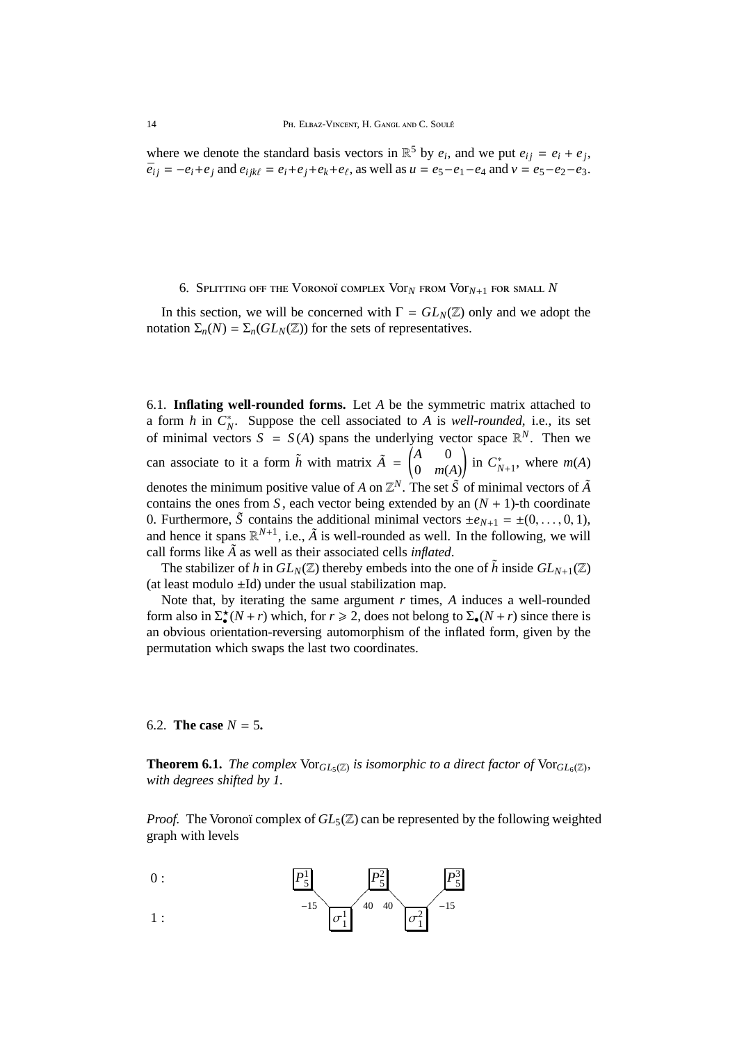where we denote the standard basis vectors in  $\mathbb{R}^5$  by  $e_i$ , and we put  $e_{ij} = e_i + e_j$ ,  $\bar{e}_{ij} = -e_i + e_j$  and  $e_{ijk\ell} = e_i + e_j + e_k + e_\ell$ , as well as  $u = e_5 - e_1 - e_4$  and  $v = e_5 - e_2 - e_3$ .

#### 6. SPLITTING OFF THE VORONOÏ COMPLEX VOT<sub>N</sub> FROM VOT<sub>N+1</sub> FOR SMALL N

In this section, we will be concerned with  $\Gamma = GL_N(\mathbb{Z})$  only and we adopt the notation  $\Sigma_n(N) = \Sigma_n(GL_N(\mathbb{Z}))$  for the sets of representatives.

6.1. **Inflating well-rounded forms.** Let *A* be the symmetric matrix attached to a form *h* in  $C_N^*$ . Suppose the cell associated to *A* is *well-rounded*, i.e., its set of minimal vectors  $S = S(A)$  spans the underlying vector space  $\mathbb{R}^N$ . Then we can associate to it a form  $\tilde{h}$  with matrix  $\tilde{A} = \begin{pmatrix} A & 0 \\ 0 & m \end{pmatrix}$ 0 *m*(*A*) ! in  $C_{N+1}^*$ , where  $m(A)$ denotes the minimum positive value of *A* on  $\mathbb{Z}^N$ . The set  $\tilde{S}$  of minimal vectors of  $\tilde{A}$ contains the ones from *S*, each vector being extended by an  $(N + 1)$ -th coordinate 0. Furthermore,  $\tilde{S}$  contains the additional minimal vectors  $\pm e_{N+1} = \pm (0, \ldots, 0, 1)$ , and hence it spans  $\mathbb{R}^{N+1}$ , i.e.,  $\tilde{A}$  is well-rounded as well. In the following, we will call forms like  $\tilde{A}$  as well as their associated cells *inflated*.

The stabilizer of *h* in  $GL_N(\mathbb{Z})$  thereby embeds into the one of  $\tilde{h}$  inside  $GL_{N+1}(\mathbb{Z})$ (at least modulo  $\pm$ Id) under the usual stabilization map.

Note that, by iterating the same argument *r* times, *A* induces a well-rounded form also in  $\Sigma^*(N+r)$  which, for  $r \ge 2$ , does not belong to  $\Sigma^*(N+r)$  since there is an obvious orientation-reversing automorphism of the inflated form, given by the permutation which swaps the last two coordinates.

# 6.2. **The case**  $N = 5$ .

**Theorem 6.1.** *The complex*  $\text{Vor}_{GL_5(\mathbb{Z})}$  *is isomorphic to a direct factor of*  $\text{Vor}_{GL_6(\mathbb{Z})}$ *, with degrees shifted by 1.*

*Proof.* The Voronoï complex of  $GL_5(\mathbb{Z})$  can be represented by the following weighted graph with levels

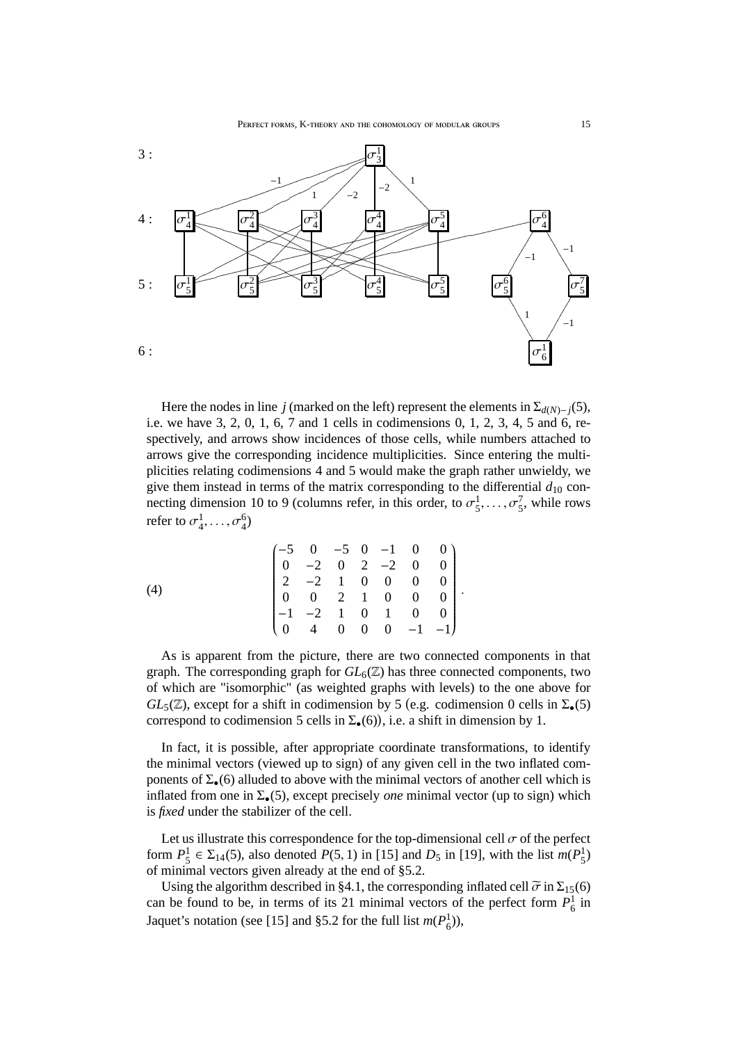

Here the nodes in line *j* (marked on the left) represent the elements in  $\Sigma_{d(N)-j}(5)$ , i.e. we have 3, 2, 0, 1, 6, 7 and 1 cells in codimensions 0, 1, 2, 3, 4, 5 and 6, respectively, and arrows show incidences of those cells, while numbers attached to arrows give the corresponding incidence multiplicities. Since entering the multiplicities relating codimensions 4 and 5 would make the graph rather unwieldy, we give them instead in terms of the matrix corresponding to the differential  $d_{10}$  connecting dimension 10 to 9 (columns refer, in this order, to  $\sigma_5^1, \ldots, \sigma_5^7$ , while rows refer to  $\sigma_4^1, \ldots, \sigma_4^6$ 

(4) 
$$
\begin{pmatrix}\n-5 & 0 & -5 & 0 & -1 & 0 & 0 \\
0 & -2 & 0 & 2 & -2 & 0 & 0 \\
2 & -2 & 1 & 0 & 0 & 0 & 0 \\
0 & 0 & 2 & 1 & 0 & 0 & 0 \\
-1 & -2 & 1 & 0 & 1 & 0 & 0 \\
0 & 4 & 0 & 0 & 0 & -1 & -1\n\end{pmatrix}.
$$

As is apparent from the picture, there are two connected components in that graph. The corresponding graph for  $GL_6(\mathbb{Z})$  has three connected components, two of which are "isomorphic" (as weighted graphs with levels) to the one above for  $GL_5(\mathbb{Z})$ , except for a shift in codimension by 5 (e.g. codimension 0 cells in  $\Sigma_{\bullet}(5)$ correspond to codimension 5 cells in  $\Sigma_{\bullet}(6)$ , i.e. a shift in dimension by 1.

In fact, it is possible, after appropriate coordinate transformations, to identify the minimal vectors (viewed up to sign) of any given cell in the two inflated components of  $\Sigma_{\bullet}(6)$  alluded to above with the minimal vectors of another cell which is inflated from one in  $\Sigma_{\bullet}(5)$ , except precisely *one* minimal vector (up to sign) which is *fixed* under the stabilizer of the cell.

Let us illustrate this correspondence for the top-dimensional cell  $\sigma$  of the perfect form  $P_5^1 \in \Sigma_{14}(5)$ , also denoted  $P(5, 1)$  in [15] and  $D_5$  in [19], with the list  $m(P_5^1)$ of minimal vectors given already at the end of §5.2.

Using the algorithm described in §4.1, the corresponding inflated cell  $\tilde{\sigma}$  in  $\Sigma_{15}(6)$ can be found to be, in terms of its 21 minimal vectors of the perfect form  $P_6^1$  in Jaquet's notation (see [15] and §5.2 for the full list  $m(P_6^1)$ ),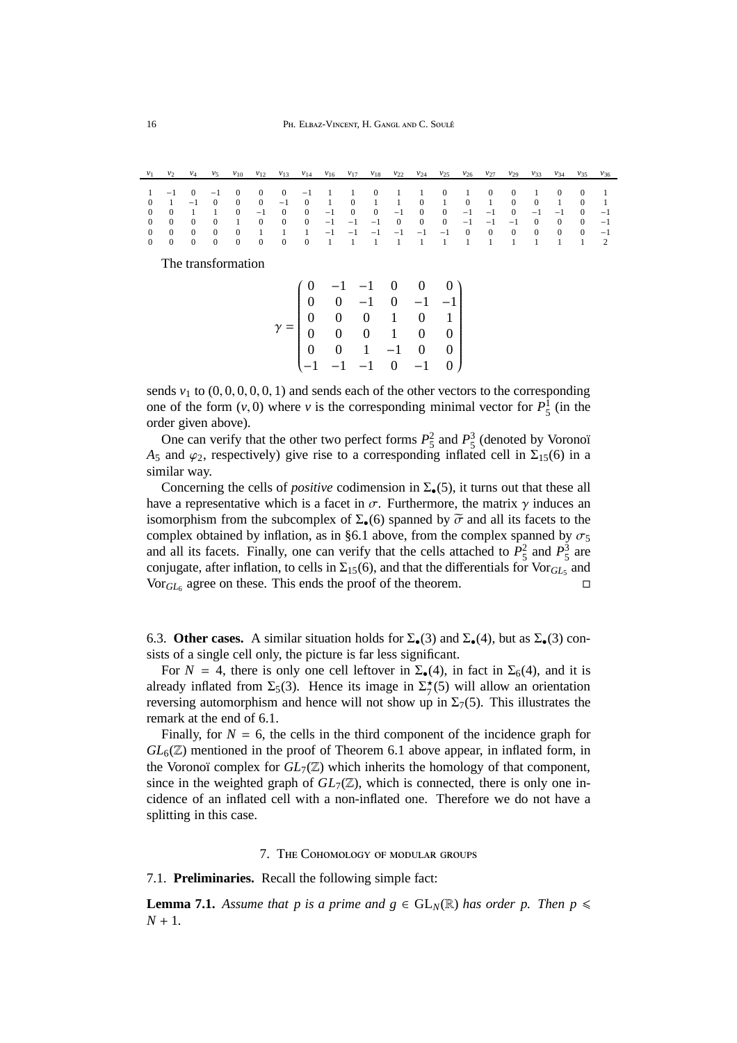|             |  |  |  |  |  |  |  |  | $v_1$ $v_2$ $v_4$ $v_5$ $v_{10}$ $v_{12}$ $v_{13}$ $v_{14}$ $v_{16}$ $v_{17}$ $v_{18}$ $v_{22}$ $v_{24}$ $v_{25}$ $v_{26}$ $v_{27}$ $v_{29}$ $v_{33}$ $v_{34}$ $v_{35}$ $v_{36}$ |  |
|-------------|--|--|--|--|--|--|--|--|----------------------------------------------------------------------------------------------------------------------------------------------------------------------------------|--|
|             |  |  |  |  |  |  |  |  |                                                                                                                                                                                  |  |
|             |  |  |  |  |  |  |  |  | 1 -1 0 -1 0 0 0 -1 1 1 0 1 1 0 1 0 0 1 0 0 1                                                                                                                                     |  |
| $0 \quad 1$ |  |  |  |  |  |  |  |  | $-1$ 0 0 0 -1 0 1 0 1 1 0 1 0 1 0 0 1 0 1                                                                                                                                        |  |
|             |  |  |  |  |  |  |  |  | 0 0 1 1 0 -1 0 0 -1 0 0 -1 0 0 -1 -1 0 -1 -1 0 -1                                                                                                                                |  |
|             |  |  |  |  |  |  |  |  | 0 0 0 0 1 0 0 0 -1 -1 -1 0 0 0 -1 -1 -1 0 0 0 -1                                                                                                                                 |  |
|             |  |  |  |  |  |  |  |  |                                                                                                                                                                                  |  |
|             |  |  |  |  |  |  |  |  |                                                                                                                                                                                  |  |
|             |  |  |  |  |  |  |  |  |                                                                                                                                                                                  |  |

The transformation

|  | $\begin{pmatrix} 0 & -1 & -1 & 0 & 0 & 0 \\ 0 & 0 & -1 & 0 & -1 & -1 \\ 0 & 0 & 0 & 1 & 0 & 1 \\ 0 & 0 & 0 & 1 & 0 & 0 \\ 0 & 0 & 1 & -1 & 0 & 0 \\ -1 & -1 & -1 & 0 & -1 & 0 \end{pmatrix}$ |  |  |
|--|----------------------------------------------------------------------------------------------------------------------------------------------------------------------------------------------|--|--|
|  |                                                                                                                                                                                              |  |  |

sends  $v_1$  to  $(0, 0, 0, 0, 0, 1)$  and sends each of the other vectors to the corresponding one of the form  $(v, 0)$  where *v* is the corresponding minimal vector for  $P_5^1$  (in the order given above).

One can verify that the other two perfect forms  $P_5^2$  and  $P_5^3$  (denoted by Voronoï *A*<sub>5</sub> and  $\varphi$ <sub>2</sub>, respectively) give rise to a corresponding inflated cell in  $\Sigma$ <sub>15</sub>(6) in a similar way.

Concerning the cells of *positive* codimension in  $\Sigma_{\bullet}(5)$ , it turns out that these all have a representative which is a facet in  $\sigma$ . Furthermore, the matrix  $\gamma$  induces an isomorphism from the subcomplex of  $\Sigma_{\bullet}(6)$  spanned by  $\widetilde{\sigma}$  and all its facets to the complex obtained by inflation, as in §6.1 above, from the complex spanned by  $\sigma_5$ and all its facets. Finally, one can verify that the cells attached to  $P_5^2$  and  $P_5^3$  $\frac{3}{5}$  are conjugate, after inflation, to cells in  $\Sigma_{15}(6)$ , and that the differentials for  $\text{Vor}_{GL_5}$  and  $\text{Vor}_{GL_6}$  agree on these. This ends the proof of the theorem.

6.3. **Other cases.** A similar situation holds for  $\Sigma_{\bullet}(3)$  and  $\Sigma_{\bullet}(4)$ , but as  $\Sigma_{\bullet}(3)$  consists of a single cell only, the picture is far less significant.

For  $N = 4$ , there is only one cell leftover in  $\Sigma_{\bullet}(4)$ , in fact in  $\Sigma_{6}(4)$ , and it is already inflated from  $\Sigma_5(3)$ . Hence its image in  $\Sigma_7^*(5)$  will allow an orientation reversing automorphism and hence will not show up in  $\Sigma_7(5)$ . This illustrates the remark at the end of 6.1.

Finally, for  $N = 6$ , the cells in the third component of the incidence graph for  $GL_6(\mathbb{Z})$  mentioned in the proof of Theorem 6.1 above appear, in inflated form, in the Voronoï complex for  $GL_7(\mathbb{Z})$  which inherits the homology of that component, since in the weighted graph of  $GL_7(\mathbb{Z})$ , which is connected, there is only one incidence of an inflated cell with a non-inflated one. Therefore we do not have a splitting in this case.

#### 7. The Cohomology of modular groups

### 7.1. **Preliminaries.** Recall the following simple fact:

**Lemma 7.1.** Assume that p is a prime and  $g \in GL_N(\mathbb{R})$  has order p. Then  $p \leq$ *N* + 1*.*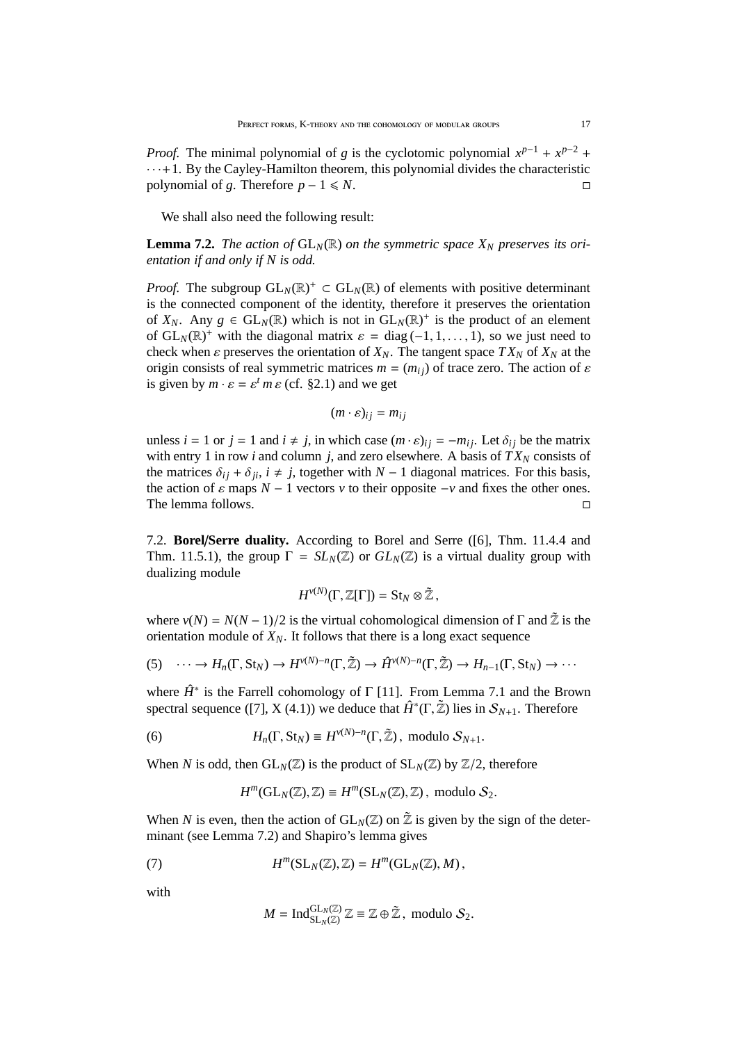*Proof.* The minimal polynomial of *g* is the cyclotomic polynomial  $x^{p-1} + x^{p-2}$  +  $\cdots$  + 1. By the Cayley-Hamilton theorem, this polynomial divides the characteristic polynomial of *g*. Therefore  $p - 1 \le N$ .

We shall also need the following result:

**Lemma 7.2.** *The action of*  $GL_N(\mathbb{R})$  *on the symmetric space*  $X_N$  *preserves its orientation if and only if N is odd.*

*Proof.* The subgroup  $GL_N(\mathbb{R})^+ \subset GL_N(\mathbb{R})$  of elements with positive determinant is the connected component of the identity, therefore it preserves the orientation of  $X_N$ . Any  $g \in GL_N(\mathbb{R})$  which is not in  $GL_N(\mathbb{R})^+$  is the product of an element of  $GL_N(\mathbb{R})^+$  with the diagonal matrix  $\varepsilon = diag(-1, 1, ..., 1)$ , so we just need to check when  $\varepsilon$  preserves the orientation of  $X_N$ . The tangent space  $TX_N$  of  $X_N$  at the origin consists of real symmetric matrices  $m = (m_{ij})$  of trace zero. The action of  $\varepsilon$ is given by  $m \cdot \varepsilon = \varepsilon^t m \varepsilon$  (cf. §2.1) and we get

$$
(m \cdot \varepsilon)_{ij} = m_{ij}
$$

unless  $i = 1$  or  $j = 1$  and  $i \neq j$ , in which case  $(m \cdot \varepsilon)_{ij} = -m_{ij}$ . Let  $\delta_{ij}$  be the matrix with entry 1 in row *i* and column *j*, and zero elsewhere. A basis of  $TX_N$  consists of the matrices  $\delta_{ij} + \delta_{ji}$ ,  $i \neq j$ , together with *N* − 1 diagonal matrices. For this basis, the action of  $\varepsilon$  maps  $N-1$  vectors  $v$  to their opposite  $-v$  and fixes the other ones. The lemma follows.

7.2. **Borel**/**Serre duality.** According to Borel and Serre ([6], Thm. 11.4.4 and Thm. 11.5.1), the group  $\Gamma = SL_N(\mathbb{Z})$  or  $GL_N(\mathbb{Z})$  is a virtual duality group with dualizing module

$$
H^{\nu(N)}(\Gamma,\mathbb{Z}[\Gamma])=\mathrm{St}_N\otimes\tilde{\mathbb{Z}},
$$

where  $v(N) = N(N-1)/2$  is the virtual cohomological dimension of  $\Gamma$  and  $\tilde{Z}$  is the orientation module of  $X_N$ . It follows that there is a long exact sequence

$$
(5) \quad \cdots \to H_n(\Gamma, \text{St}_N) \to H^{\nu(N)-n}(\Gamma, \tilde{\mathbb{Z}}) \to \hat{H}^{\nu(N)-n}(\Gamma, \tilde{\mathbb{Z}}) \to H_{n-1}(\Gamma, \text{St}_N) \to \cdots
$$

where  $\hat{H}^*$  is the Farrell cohomology of  $\Gamma$  [11]. From Lemma 7.1 and the Brown spectral sequence ([7], X (4.1)) we deduce that  $\hat{H}^*(\Gamma, \tilde{Z})$  lies in  $\mathcal{S}_{N+1}$ . Therefore

(6) 
$$
H_n(\Gamma, \text{St}_N) \equiv H^{\nu(N)-n}(\Gamma, \tilde{\mathbb{Z}}), \text{ modulo } \mathcal{S}_{N+1}.
$$

When *N* is odd, then  $GL_N(\mathbb{Z})$  is the product of  $SL_N(\mathbb{Z})$  by  $\mathbb{Z}/2$ , therefore

$$
H^m(\mathrm{GL}_N(\mathbb{Z}), \mathbb{Z}) \equiv H^m(\mathrm{SL}_N(\mathbb{Z}), \mathbb{Z}), \text{ modulo } \mathcal{S}_2.
$$

When *N* is even, then the action of  $GL_N(\mathbb{Z})$  on  $\tilde{\mathbb{Z}}$  is given by the sign of the determinant (see Lemma 7.2) and Shapiro's lemma gives

(7) 
$$
H^m(\mathrm{SL}_N(\mathbb{Z}),\mathbb{Z})=H^m(\mathrm{GL}_N(\mathbb{Z}),M),
$$

with

$$
M = \operatorname{Ind}_{\operatorname{SL}_N(\mathbb{Z})}^{\operatorname{GL}_N(\mathbb{Z})} \mathbb{Z} \equiv \mathbb{Z} \oplus \mathbb{\tilde{Z}}, \text{ modulo } \mathcal{S}_2.
$$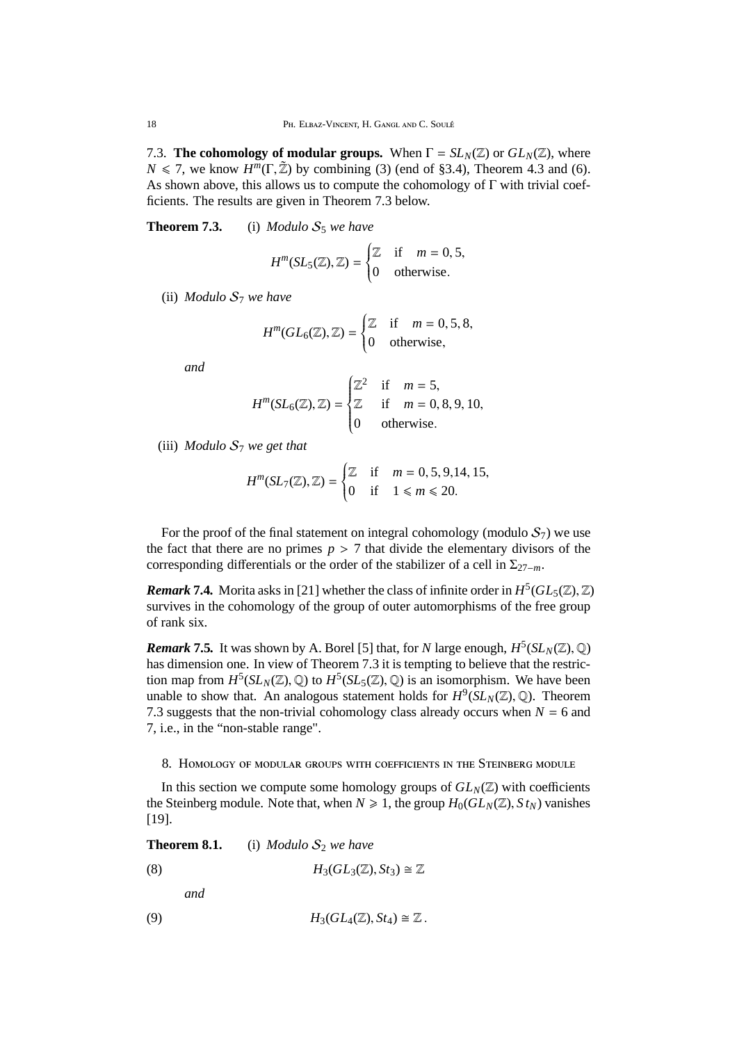7.3. **The cohomology of modular groups.** When  $\Gamma = SL_N(\mathbb{Z})$  or  $GL_N(\mathbb{Z})$ , where *N*  $\leq$  7, we know *H<sup>m</sup>*(Γ,  $\tilde{Z}$ ) by combining (3) (end of §3.4), Theorem 4.3 and (6). As shown above, this allows us to compute the cohomology of Γ with trivial coefficients. The results are given in Theorem 7.3 below.

**Theorem 7.3.** (i) *Modulo*  $S_5$  *we have* 

$$
H^m(SL_5(\mathbb{Z}), \mathbb{Z}) = \begin{cases} \mathbb{Z} & \text{if } m = 0, 5, \\ 0 & \text{otherwise.} \end{cases}
$$

(ii) *Modulo* S<sup>7</sup> *we have*

$$
H^m(GL_6(\mathbb{Z}), \mathbb{Z}) = \begin{cases} \mathbb{Z} & \text{if } m = 0, 5, 8, \\ 0 & \text{otherwise,} \end{cases}
$$

*and*

$$
H^{m}(SL_6(\mathbb{Z}), \mathbb{Z}) = \begin{cases} \mathbb{Z}^2 & \text{if } m = 5, \\ \mathbb{Z} & \text{if } m = 0, 8, 9, 10, \\ 0 & \text{otherwise.} \end{cases}
$$

(iii) *Modulo* S<sup>7</sup> *we get that*

$$
H^m(SL_7(\mathbb{Z}), \mathbb{Z}) = \begin{cases} \mathbb{Z} & \text{if } m = 0, 5, 9, 14, 15, \\ 0 & \text{if } 1 \le m \le 20. \end{cases}
$$

For the proof of the final statement on integral cohomology (modulo  $S_7$ ) we use the fact that there are no primes  $p > 7$  that divide the elementary divisors of the corresponding differentials or the order of the stabilizer of a cell in Σ27−*m*.

**Remark 7.4.** Morita asks in [21] whether the class of infinite order in  $H^5(GL_5(\mathbb{Z}), \mathbb{Z})$ survives in the cohomology of the group of outer automorphisms of the free group of rank six.

*Remark* 7.5. It was shown by A. Borel [5] that, for *N* large enough,  $H^5(SL_N(\mathbb{Z}),\mathbb{Q})$ has dimension one. In view of Theorem 7.3 it is tempting to believe that the restriction map from  $H^5(SL_N(\mathbb{Z}), \mathbb{Q})$  to  $H^5(SL_5(\mathbb{Z}), \mathbb{Q})$  is an isomorphism. We have been unable to show that. An analogous statement holds for  $H^9(SL_N(\mathbb{Z}), \mathbb{Q})$ . Theorem 7.3 suggests that the non-trivial cohomology class already occurs when  $N = 6$  and 7, i.e., in the "non-stable range".

8. Homology of modular groups with coefficients in the Steinberg module

In this section we compute some homology groups of  $GL_N(\mathbb{Z})$  with coefficients the Steinberg module. Note that, when  $N \ge 1$ , the group  $H_0(GL_N(\mathbb{Z}), St_N)$  vanishes [19].

**Theorem 8.1.** (i) *Modulo*  $S_2$  *we have* 

(8) 
$$
H_3(GL_3(\mathbb{Z}), St_3) \cong \mathbb{Z}
$$

*and*

(9)  $H_3(GL_4(\mathbb{Z}), St_4) \cong \mathbb{Z}$ .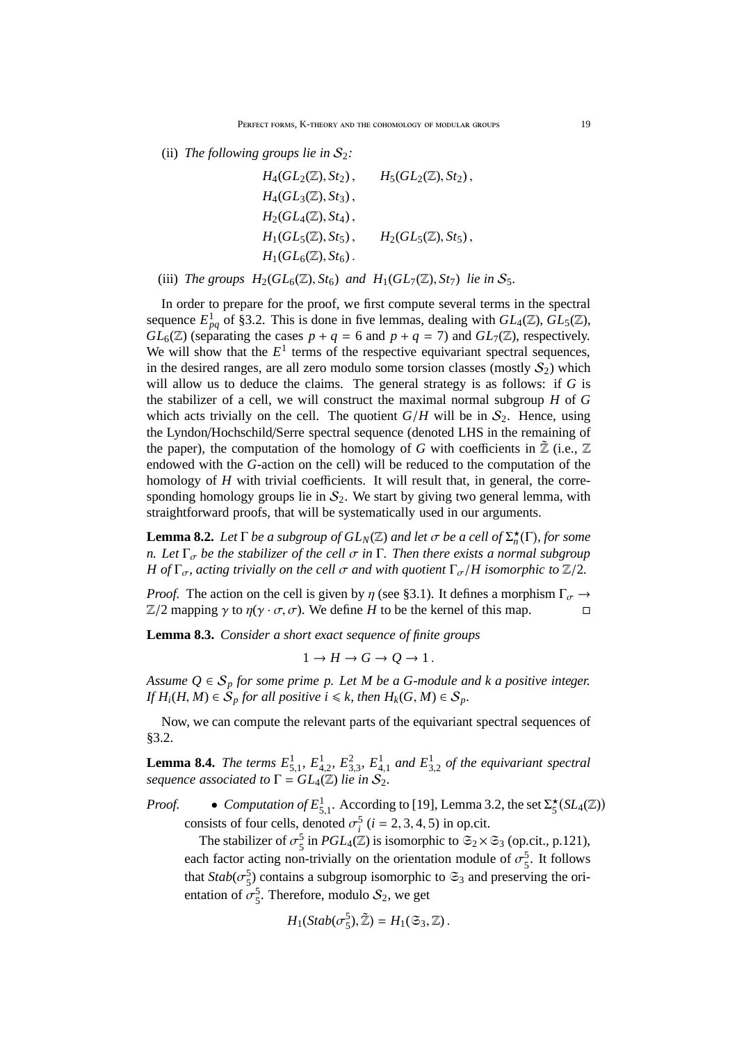(ii) *The following groups lie in*  $S_2$ *:* 

$$
H_4(GL_2(\mathbb{Z}), St_2), \t H_5(GL_2(\mathbb{Z}), St_2),H_4(GL_3(\mathbb{Z}), St_3),H_2(GL_4(\mathbb{Z}), St_4),H_1(GL_5(\mathbb{Z}), St_5), \t H_2(GL_5(\mathbb{Z}), St_5),H_1(GL_6(\mathbb{Z}), St_6).
$$

(iii) *The groups*  $H_2(GL_6(\mathbb{Z}), St_6)$  *and*  $H_1(GL_7(\mathbb{Z}), St_7)$  *lie in*  $S_5$ *.* 

In order to prepare for the proof, we first compute several terms in the spectral sequence  $E_{pq}^1$  of §3.2. This is done in five lemmas, dealing with  $GL_4(\mathbb{Z})$ ,  $GL_5(\mathbb{Z})$ ,  $GL_6(\mathbb{Z})$  (separating the cases  $p + q = 6$  and  $p + q = 7$ ) and  $GL_7(\mathbb{Z})$ , respectively. We will show that the  $E^1$  terms of the respective equivariant spectral sequences, in the desired ranges, are all zero modulo some torsion classes (mostly  $S_2$ ) which will allow us to deduce the claims. The general strategy is as follows: if *G* is the stabilizer of a cell, we will construct the maximal normal subgroup *H* of *G* which acts trivially on the cell. The quotient  $G/H$  will be in  $S_2$ . Hence, using the Lyndon/Hochschild/Serre spectral sequence (denoted LHS in the remaining of the paper), the computation of the homology of *G* with coefficients in  $\mathbb{Z}$  (i.e.,  $\mathbb{Z}$ ) endowed with the *G*-action on the cell) will be reduced to the computation of the homology of *H* with trivial coefficients. It will result that, in general, the corresponding homology groups lie in  $S_2$ . We start by giving two general lemma, with straightforward proofs, that will be systematically used in our arguments.

**Lemma 8.2.** *Let*  $\Gamma$  *be a subgroup of*  $GL_N(\mathbb{Z})$  *and let*  $\sigma$  *be a cell of*  $\Sigma_n^{\star}(\Gamma)$ *, for some n.* Let  $\Gamma_{\sigma}$  be the stabilizer of the cell  $\sigma$  in  $\Gamma$ . Then there exists a normal subgroup *H* of  $\Gamma_{\sigma}$ , acting trivially on the cell  $\sigma$  and with quotient  $\Gamma_{\sigma}/H$  isomorphic to  $\mathbb{Z}/2$ .

*Proof.* The action on the cell is given by  $\eta$  (see §3.1). It defines a morphism  $\Gamma_{\sigma} \rightarrow$  $\mathbb{Z}/2$  mapping  $\gamma$  to  $\eta(\gamma \cdot \sigma, \sigma)$ . We define *H* to be the kernel of this map.

**Lemma 8.3.** *Consider a short exact sequence of finite groups*

$$
1 \to H \to G \to Q \to 1.
$$

*Assume*  $Q \in S_p$  *for some prime p. Let M be a G-module and k a positive integer. If*  $H_i(H, M) \in S_p$  *for all positive i*  $\leq k$ *, then*  $H_k(G, M) \in S_p$ *.* 

Now, we can compute the relevant parts of the equivariant spectral sequences of §3.2.

**Lemma 8.4.** *The terms*  $E_{5,1}^1$ ,  $E_{4,2}^1$ ,  $E_{3,3}^2$ ,  $E_{4,1}^1$  and  $E_{3,2}^1$  of the equivariant spectral *sequence associated to*  $\Gamma = GL_4(\mathbb{Z})$  *lie in*  $S_2$ *.* 

*Proof.* • *Computation of*  $E_{5,1}^1$ . According to [19], Lemma 3.2, the set  $\Sigma_5^{\star}(SL_4(\mathbb{Z}))$ consists of four cells, denoted  $\sigma_i^5$  ( $i = 2, 3, 4, 5$ ) in op.cit.

The stabilizer of  $\sigma_5^5$  $\frac{5}{5}$  in *PGL*<sub>4</sub>( $\mathbb{Z}$ ) is isomorphic to  $\mathfrak{S}_2 \times \mathfrak{S}_3$  (op.cit., p.121), each factor acting non-trivially on the orientation module of  $\sigma_5^5$  $\frac{5}{5}$ . It follows that  $Stab(\sigma_5^5)$  contains a subgroup isomorphic to  $\mathfrak{S}_3$  and preserving the orientation of  $\sigma_5^5$ . Therefore, modulo  $S_2$ , we get

$$
H_1(Stab(\sigma_5^5), \tilde{\mathbb{Z}}) = H_1(\mathfrak{S}_3, \mathbb{Z}).
$$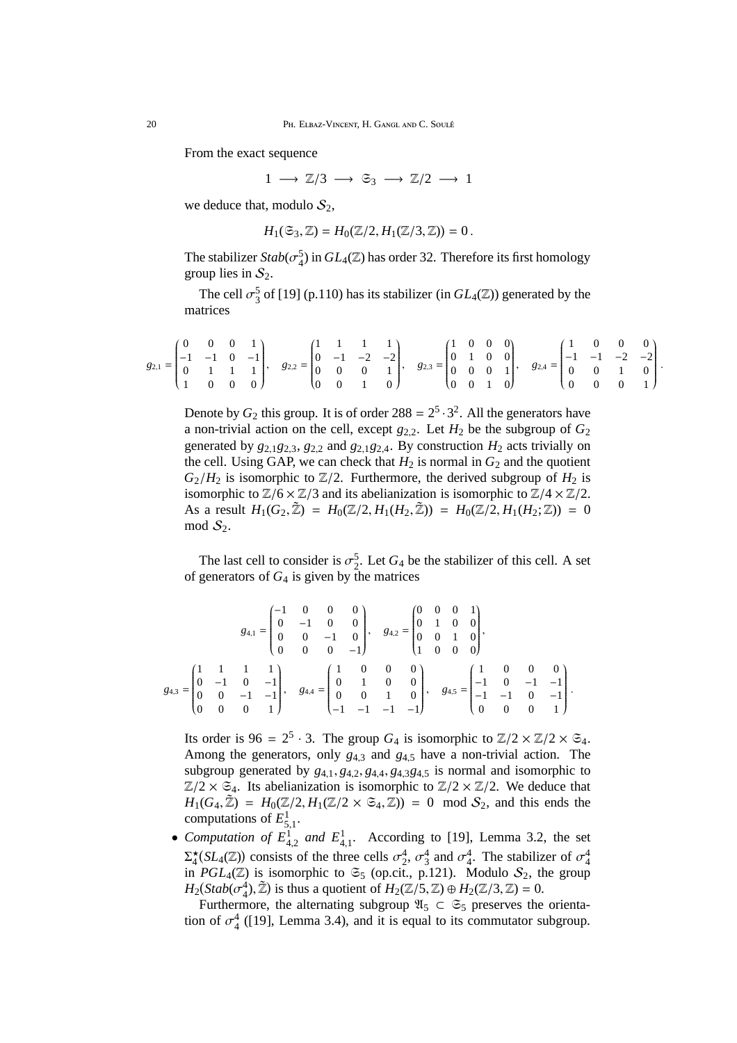From the exact sequence

 $1 \rightarrow \mathbb{Z}/3 \rightarrow \mathfrak{S}_3 \rightarrow \mathbb{Z}/2 \rightarrow 1$ 

we deduce that, modulo  $S_2$ ,

$$
H_1(\mathfrak{S}_3,\mathbb{Z})=H_0(\mathbb{Z}/2,H_1(\mathbb{Z}/3,\mathbb{Z}))=0.
$$

The stabilizer  $Stab(\sigma_4^5)$  in  $GL_4(\mathbb{Z})$  has order 32. Therefore its first homology group lies in  $S_2$ .

The cell  $\sigma_3^5$  of [19] (p.110) has its stabilizer (in  $GL_4(\mathbb{Z})$ ) generated by the matrices

|  |  | $\begin{pmatrix} 0 & 0 & 1 \end{pmatrix}$ |  | $\cdots$ 1 1 $\cdots$ |                |  |  | $(1 \ 0 \ 0 \ 0)$                             |                                                                                                                                                                                                                                                                                                             | $0 \quad 0 \quad 0$ |  |  |
|--|--|-------------------------------------------|--|-----------------------|----------------|--|--|-----------------------------------------------|-------------------------------------------------------------------------------------------------------------------------------------------------------------------------------------------------------------------------------------------------------------------------------------------------------------|---------------------|--|--|
|  |  |                                           |  |                       |                |  |  |                                               | $g_{2,1} = \begin{vmatrix} -1 & -1 & 0 & -1 \\ 0 & 1 & 1 & 1 \end{vmatrix}, g_{2,2} = \begin{vmatrix} 0 & -1 & -2 & -2 \\ 0 & 0 & 0 & 1 \end{vmatrix}, g_{2,3} = \begin{vmatrix} 0 & 1 & 0 & 0 \\ 0 & 0 & 0 & 1 \end{vmatrix}, g_{2,4} = \begin{vmatrix} -1 & -1 & -2 & -2 \\ 0 & 0 & 1 & 0 \end{vmatrix}.$ |                     |  |  |
|  |  |                                           |  |                       |                |  |  |                                               |                                                                                                                                                                                                                                                                                                             |                     |  |  |
|  |  | $0 \quad 0 \quad 0$                       |  | $(0 \t 0 \t 1$        | 0 <sup>1</sup> |  |  | $\begin{pmatrix} 0 & 0 & 1 & 0 \end{pmatrix}$ | $(0 \t 0 \t 1)$                                                                                                                                                                                                                                                                                             |                     |  |  |

Denote by  $G_2$  this group. It is of order  $288 = 2^5 \cdot 3^2$ . All the generators have a non-trivial action on the cell, except  $g_{2,2}$ . Let  $H_2$  be the subgroup of  $G_2$ generated by  $g_{2,1}g_{2,3}$ ,  $g_{2,2}$  and  $g_{2,1}g_{2,4}$ . By construction  $H_2$  acts trivially on the cell. Using GAP, we can check that  $H_2$  is normal in  $G_2$  and the quotient  $G_2/H_2$  is isomorphic to  $\mathbb{Z}/2$ . Furthermore, the derived subgroup of  $H_2$  is isomorphic to  $\mathbb{Z}/6 \times \mathbb{Z}/3$  and its abelianization is isomorphic to  $\mathbb{Z}/4 \times \mathbb{Z}/2$ . As a result  $H_1(G_2, \tilde{Z}) = H_0(\mathbb{Z}/2, H_1(H_2, \tilde{Z})) = H_0(\mathbb{Z}/2, H_1(H_2; \mathbb{Z})) = 0$ mod  $S_2$ .

The last cell to consider is  $\sigma_2^5$ . Let  $G_4$  be the stabilizer of this cell. A set of generators of  $G_4$  is given by the matrices

|  | $g_{4,1}=\begin{pmatrix} -1 & 0 & 0 & 0 \\ 0 & -1 & 0 & 0 \\ 0 & 0 & -1 & 0 \\ 0 & 0 & 0 & -1 \end{pmatrix},\quad g_{4,2}=\begin{pmatrix} 0 & 0 & 0 & 1 \\ 0 & 1 & 0 & 0 \\ 0 & 0 & 1 & 0 \\ 1 & 0 & 0 & 0 \end{pmatrix},$                                       |  |
|--|------------------------------------------------------------------------------------------------------------------------------------------------------------------------------------------------------------------------------------------------------------------|--|
|  | $g_{4,3}=\begin{pmatrix} 1&1&1&1\\ 0&-1&0&-1\\ 0&0&-1&-1\\ 0&0&0&1 \end{pmatrix},\quad g_{4,4}=\begin{pmatrix} 1&0&0&0\\ 0&1&0&0\\ 0&0&1&0\\ -1&-1&-1&-1 \end{pmatrix},\quad g_{4,5}=\begin{pmatrix} 1&0&0&0\\ -1&0&-1&-1\\ -1&-1&0&-1\\ 0&0&0&1 \end{pmatrix}.$ |  |

Its order is  $96 = 2^5 \cdot 3$ . The group  $G_4$  is isomorphic to  $\mathbb{Z}/2 \times \mathbb{Z}/2 \times \mathbb{S}_4$ . Among the generators, only  $g_{4,3}$  and  $g_{4,5}$  have a non-trivial action. The subgroup generated by  $g_{4,1}, g_{4,2}, g_{4,4}, g_{4,3}g_{4,5}$  is normal and isomorphic to  $\mathbb{Z}/2 \times \mathfrak{S}_4$ . Its abelianization is isomorphic to  $\mathbb{Z}/2 \times \mathbb{Z}/2$ . We deduce that  $H_1(G_4, \mathbb{Z}) = H_0(\mathbb{Z}/2, H_1(\mathbb{Z}/2 \times \mathfrak{S}_4, \mathbb{Z})) = 0 \mod S_2$ , and this ends the computations of  $E_{5,1}^1$ .

• *Computation of*  $E_{4,2}^1$  *and*  $E_{4,1}^1$ . According to [19], Lemma 3.2, the set  $\Sigma_4^{\star}(\mathrm{SL}_4(\mathbb{Z}))$  consists of the three cells  $\sigma_2^4$ ,  $\sigma_3^4$  and  $\sigma_4^4$ . The stabilizer of  $\sigma_4^4$ in *PGL*<sub>4</sub>( $\mathbb{Z}$ ) is isomorphic to  $\mathfrak{S}_5$  (op.cit., p.121). Modulo  $S_2$ , the group  $H_2(Stab(\sigma_4^4), \tilde{\mathbb{Z}})$  is thus a quotient of  $H_2(\mathbb{Z}/5, \mathbb{Z}) \oplus H_2(\mathbb{Z}/3, \mathbb{Z}) = 0$ .

Furthermore, the alternating subgroup  $\mathfrak{A}_5 \subset \mathfrak{S}_5$  preserves the orientation of  $\sigma_4^4$  ([19], Lemma 3.4), and it is equal to its commutator subgroup.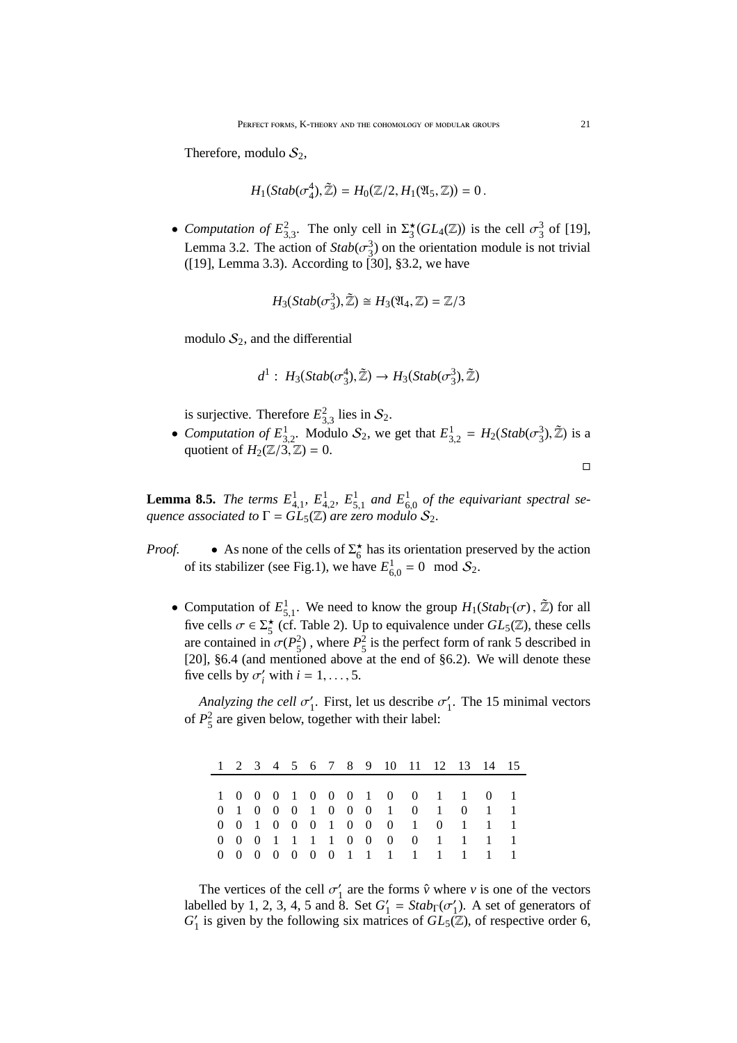Therefore, modulo  $S_2$ ,

$$
H_1(Stab(\sigma_4^4),\tilde{\mathbb{Z}})=H_0(\mathbb{Z}/2,H_1(\mathfrak{A}_5,\mathbb{Z}))=0.
$$

• *Computation of*  $E_{3,3}^2$ . The only cell in  $\Sigma_3^{\star}(GL_4(\mathbb{Z}))$  is the cell  $\sigma_3^3$  of [19], Lemma 3.2. The action of  $Stab(\sigma_3^3)$  on the orientation module is not trivial ([19], Lemma 3.3). According to [30], §3.2, we have

$$
H_3(Stab(\sigma_3^3), \tilde{\mathbb{Z}}) \cong H_3(\mathfrak{A}_4, \mathbb{Z}) = \mathbb{Z}/3
$$

modulo  $S_2$ , and the differential

$$
d^1: H_3(Stab(\sigma_3^4), \tilde{\mathbb{Z}}) \to H_3(Stab(\sigma_3^3), \tilde{\mathbb{Z}})
$$

is surjective. Therefore  $E_{3,3}^2$  lies in  $S_2$ .

• *Computation of*  $E_{3,2}^1$ . Modulo  $S_2$ , we get that  $E_{3,2}^1 = H_2(Stab(\sigma_3^3), \tilde{Z})$  is a quotient of  $H_2(\mathbb{Z}/3, \mathbb{Z}) = 0$ .

$$
\Box
$$

**Lemma 8.5.** *The terms*  $E_{4,1}^1$ ,  $E_{4,2}^1$ ,  $E_{5,1}^1$  and  $E_{6,0}^1$  of the equivariant spectral se*quence associated to*  $\Gamma = GL_5(\mathbb{Z})$  *are zero modulo*  $S_2$ .

- *Proof.* As none of the cells of  $\Sigma_6^*$  has its orientation preserved by the action of its stabilizer (see Fig.1), we have  $E_{6,0}^1 = 0 \mod S_2$ .
	- Computation of  $E_{5,1}^1$ . We need to know the group  $H_1(Stab_\Gamma(\sigma), \tilde{Z})$  for all five cells  $\sigma \in \Sigma_5^{\star}$  (cf. Table 2). Up to equivalence under  $GL_5(\mathbb{Z})$ , these cells are contained in  $\sigma(P_5^2)$ , where  $P_5^2$  is the perfect form of rank 5 described in [20], §6.4 (and mentioned above at the end of §6.2). We will denote these five cells by  $\sigma'_i$  with  $i = 1, \ldots, 5$ .

*Analyzing the cell* σ ′ <sup>'</sup><sub>1</sub>. First, let us describe  $\sigma'_{1}$  $\frac{1}{1}$ . The 15 minimal vectors of  $P_5^2$  are given below, together with their label:

|  |  |  |  |  | 1 2 3 4 5 6 7 8 9 10 11 12 13 14 15 |  |  |
|--|--|--|--|--|-------------------------------------|--|--|
|  |  |  |  |  |                                     |  |  |
|  |  |  |  |  | 1 0 0 0 1 0 0 0 1 0 0 1 1 0 1       |  |  |
|  |  |  |  |  | 0 1 0 0 0 1 0 0 0 1 0 1 0 1 1       |  |  |
|  |  |  |  |  | 0 0 1 0 0 0 1 0 0 0 1 0 1 1 1       |  |  |
|  |  |  |  |  | 0 0 0 1 1 1 1 0 0 0 0 1 1 1 1       |  |  |
|  |  |  |  |  | 0 0 0 0 0 0 0 1 1 1 1 1 1 1 1       |  |  |

The vertices of the cell  $\sigma'_1$  are the forms  $\hat{v}$  where *v* is one of the vectors labelled by 1, 2, 3, 4, 5 and 8. Set  $G_1'$  $y'_1 = Stab<sub>Γ</sub>(\sigma'_1)$  $\binom{1}{1}$ . A set of generators of  $G'_1$  is given by the following six matrices of  $GL_5(\mathbb{Z})$ , of respective order 6,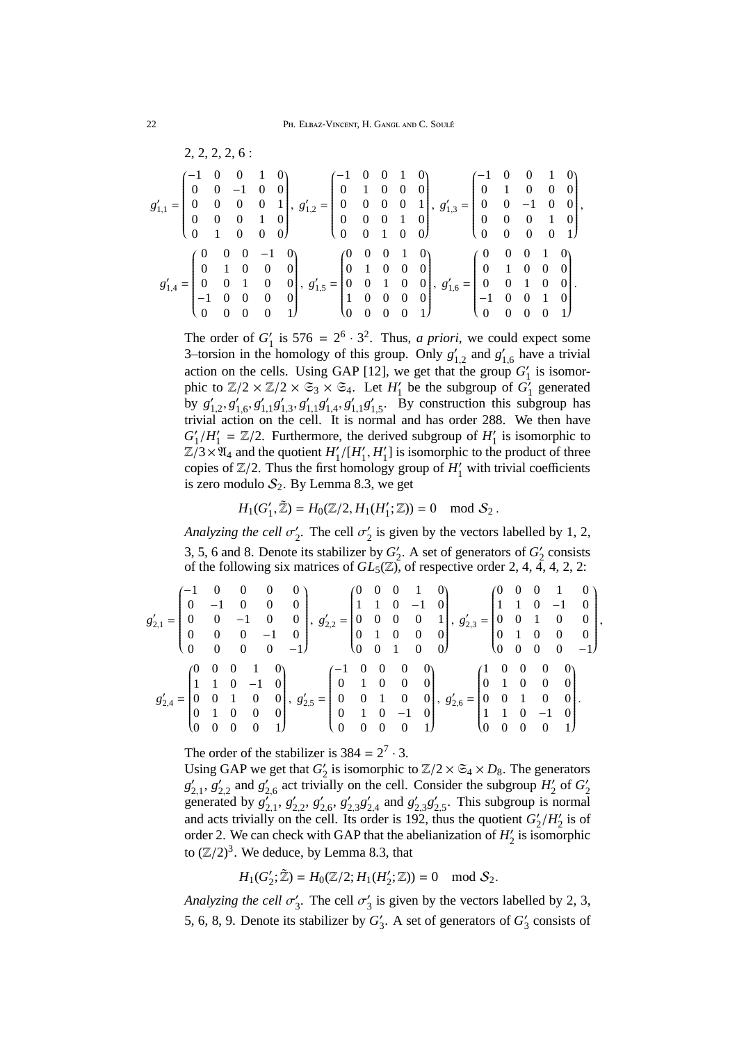$$
g'_{1,1} = \begin{pmatrix} -1 & 0 & 0 & 1 & 0 \\ 0 & 0 & -1 & 0 & 0 \\ 0 & 0 & 0 & 0 & 1 \\ 0 & 0 & 0 & 1 & 0 \\ 0 & 1 & 0 & 0 & 0 \end{pmatrix}, g'_{1,2} = \begin{pmatrix} -1 & 0 & 0 & 1 & 0 \\ 0 & 1 & 0 & 0 & 0 \\ 0 & 0 & 0 & 0 & 1 \\ 0 & 0 & 0 & 1 & 0 \\ 0 & 0 & 1 & 0 & 0 \end{pmatrix}, g'_{1,3} = \begin{pmatrix} -1 & 0 & 0 & 1 & 0 \\ 0 & 1 & 0 & 0 & 0 \\ 0 & 0 & 0 & 1 & 0 \\ 0 & 0 & 0 & 1 & 0 \\ 0 & 0 & 0 & 0 & 1 \end{pmatrix}, g'_{1,4} = \begin{pmatrix} 0 & 0 & 0 & 1 & 0 \\ 0 & 1 & 0 & 0 & 0 \\ 0 & 0 & 0 & 1 & 0 \\ 0 & 0 & 0 & 0 & 1 \end{pmatrix}, g'_{1,5} = \begin{pmatrix} 0 & 0 & 0 & 1 & 0 \\ 0 & 1 & 0 & 0 & 0 \\ 0 & 0 & 1 & 0 & 0 \\ 1 & 0 & 0 & 0 & 0 \\ 1 & 0 & 0 & 0 & 0 \end{pmatrix}, g'_{1,6} = \begin{pmatrix} 0 & 0 & 0 & 1 & 0 \\ 0 & 1 & 0 & 0 & 0 \\ 0 & 0 & 1 & 0 & 0 \\ -1 & 0 & 0 & 1 & 0 \\ 0 & 0 & 0 & 0 & 1 \end{pmatrix}.
$$

The order of  $G_1'$  $\gamma_1'$  is 576 =  $2^6 \cdot 3^2$ . Thus, *a priori*, we could expect some 3–torsion in the homology of this group. Only *g* ′  $'_{1,2}$  and  $g'_{1}$  $_{1,6}'$  have a trivial action on the cells. Using GAP [12], we get that the group  $G'_1$  is isomorphic to  $\mathbb{Z}/2 \times \mathbb{Z}/2 \times \mathfrak{S}_3 \times \mathfrak{S}_4$ . Let  $H'_1$  be the subgroup of  $G'_1$  generated by  $g'_{1,2}, g'_{1,6}, g'_{1,1} g'_{1,3}, g'_{1,1} g'_{1,4}, g'_{1,1} g'_{1,5}$ . By construction this sub $g'_{1,1}g'_{1,3}, g'_{1,1}g'_{1,4}, g'_{1,1}g'_{1,2}$  $'_{1,5}$ . By construction this subgroup has trivial action on the cell. It is normal and has order 288. We then have  $G_1'$  $'_{1}/H'_{1}$  $I_1' = \mathbb{Z}/2$ . Furthermore, the derived subgroup of  $H_1'$  $i_1$  is isomorphic to  $\mathbb{Z}/3 \times \mathbb{Z}_4$  and the quotient  $H_1'$  $\frac{1}{1}$ /[ $H_1'$  $'_{1}$ ,  $H'_{1}$  $j_1$ ] is isomorphic to the product of three copies of  $\mathbb{Z}/2$ . Thus the first homology group of  $H'_1$  with trivial coefficients is zero modulo  $S_2$ . By Lemma 8.3, we get

$$
H_1(G'_1, \tilde{\mathbb{Z}}) = H_0(\mathbb{Z}/2, H_1(H'_1; \mathbb{Z})) = 0 \mod S_2.
$$

*Analyzing the cell* σ ′  $\frac{1}{2}$ . The cell  $\sigma_2'$  $\frac{1}{2}$  is given by the vectors labelled by 1, 2, 3, 5, 6 and 8. Denote its stabilizer by  $G_2'$  $\frac{1}{2}$ . A set of generators of  $G_2'$  $\frac{1}{2}$  consists of the following six matrices of  $GL_5(\mathbb{Z})$ , of respective order 2, 4, 4, 4, 2, 2:

,

$$
g_{2,1}' = \begin{pmatrix} -1 & 0 & 0 & 0 & 0 \\ 0 & -1 & 0 & 0 & 0 \\ 0 & 0 & -1 & 0 & 0 \\ 0 & 0 & 0 & -1 & 0 \\ 0 & 0 & 0 & 0 & -1 \end{pmatrix}, g_{2,2}' = \begin{pmatrix} 0 & 0 & 0 & 1 & 0 \\ 1 & 1 & 0 & -1 & 0 \\ 0 & 0 & 0 & 0 & 1 \\ 0 & 1 & 0 & 0 & 0 \\ 0 & 0 & 1 & 0 & 0 \end{pmatrix}, g_{2,3}' = \begin{pmatrix} 0 & 0 & 0 & 1 & 0 \\ 1 & 1 & 0 & -1 & 0 \\ 0 & 0 & 0 & 0 & 1 \\ 0 & 1 & 0 & 0 & 0 \\ 0 & 0 & 0 & 0 & 0 \end{pmatrix}, g_{2,4}' = \begin{pmatrix} -1 & 0 & 0 & 0 & 0 \\ 0 & 1 & 0 & 0 & 0 \\ 0 & 1 & 0 & 0 & 0 \\ 0 & 0 & 1 & 0 & 0 \\ 0 & 0 & 0 & 0 & 1 \end{pmatrix}, g_{2,5}' = \begin{pmatrix} 1 & 0 & 0 & 0 & 0 \\ 0 & 1 & 0 & 0 & 0 \\ 0 & 1 & 0 & 0 & 0 \\ 0 & 0 & 0 & 0 & 1 \end{pmatrix}.
$$

The order of the stabilizer is  $384 = 2^7 \cdot 3$ .

Using GAP we get that  $G_2'$  $\frac{1}{2}$  is isomorphic to  $\mathbb{Z}/2 \times \mathfrak{S}_4 \times D_8$ . The generators *g* ′  $'_{2,1}, g'_{2}$  $'_{2,2}$  and  $g'_{2}$  $_{2,6}^{\prime}$  act trivially on the cell. Consider the subgroup  $H_2^{\prime}$  $\frac{1}{2}$  of  $G_2'$ 2 generated by  $g'_2$ *r*<sup>o</sup><sub>2,1</sub>, *g*<sup>/</sup><sub>2</sub>  $'_{2,2}$ ,  $g'_{2}$  $'_{2,6}$ ,  $g'_{2}$  $'_{2,3}g'_{2}$  $'_{2,4}$  and  $g'_{2}$  $'_{2,3}g'_{2}$  $_{2,5}^{\prime}$ . This subgroup is normal and acts trivially on the cell. Its order is 192, thus the quotient  $G'_{\alpha}$  $_{2}^{\prime}/H_{2}^{\prime}$  $\frac{7}{2}$  is of order 2. We can check with GAP that the abelianization of *H* ′  $y_2$  is isomorphic to  $(\mathbb{Z}/2)^3$ . We deduce, by Lemma 8.3, that

$$
H_1(G_2';\widetilde{\mathbb{Z}})=H_0(\mathbb{Z}/2;H_1(H_2';\mathbb{Z}))=0\mod\mathcal{S}_2.
$$

*Analyzing the cell* σ ′  $\frac{1}{3}$ . The cell  $\sigma_3'$  $\frac{1}{3}$  is given by the vectors labelled by 2, 3, 5, 6, 8, 9. Denote its stabilizer by  $G'_{3}$ . A set of generators of  $G'_{3}$  consists of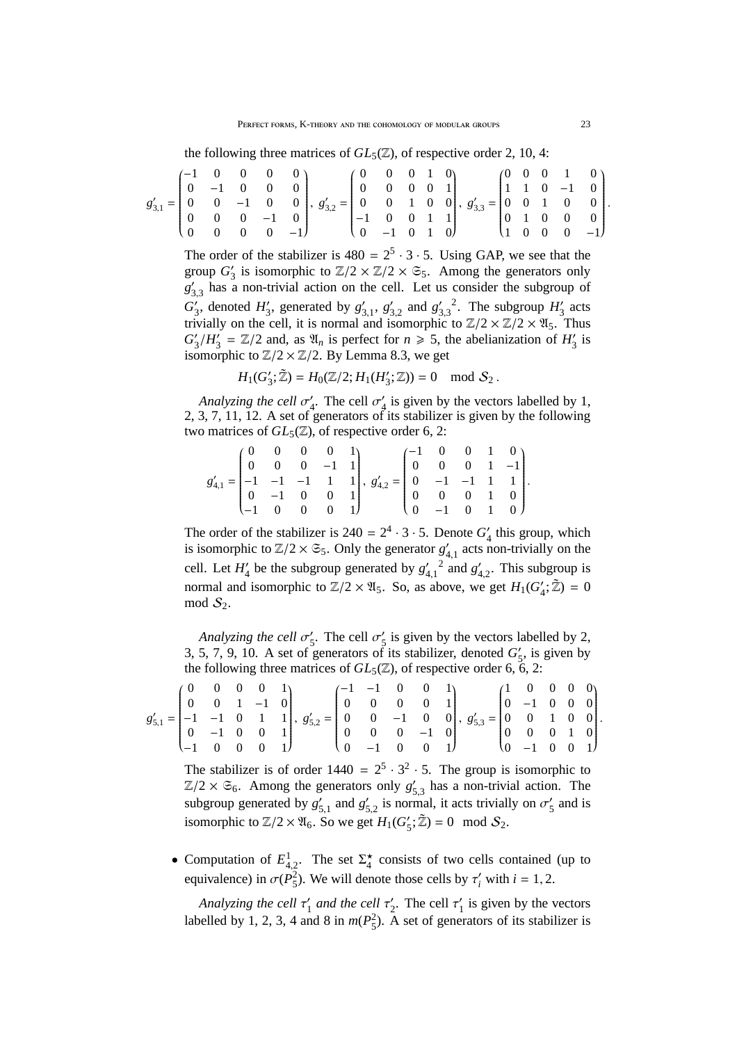the following three matrices of  $GL_5(\mathbb{Z})$ , of respective order 2, 10, 4:

$$
g_{3,1}^{\prime}=\begin{pmatrix}-1&0&0&0&0\\0&-1&0&0&0\\0&0&-1&0&0\\0&0&0&-1&0\\0&0&0&0&-1\end{pmatrix},\;g_{3,2}^{\prime}=\begin{pmatrix}0&0&0&1&0\\0&0&0&0&1\\0&0&1&0&0\\-1&0&0&1&1\\0&-1&0&1&0\end{pmatrix},\;g_{3,3}^{\prime}=\begin{pmatrix}0&0&0&1&0\\1&1&0&-1&0\\0&0&1&0&0\\1&0&0&0&-1\end{pmatrix}.
$$

The order of the stabilizer is  $480 = 2^5 \cdot 3 \cdot 5$ . Using GAP, we see that the group *G* ′  $\zeta_3$  is isomorphic to  $\mathbb{Z}/2 \times \mathbb{Z}/2 \times \mathfrak{S}_5$ . Among the generators only *g* ′  $'_{3,3}$  has a non-trivial action on the cell. Let us consider the subgroup of  $G'_{\alpha}$  $'_{3}$ , denoted  $H'_{3}$  $'_{3}$ , generated by  $g'_{3}$  $'_{3,1}$ ,  $g'_{3}$  $'_{3,2}$  and  $g'_{3}$ 3,3 <sup>2</sup>. The subgroup  $H_3'$  $\frac{7}{3}$  acts trivially on the cell, it is normal and isomorphic to  $\mathbb{Z}/2 \times \mathbb{Z}/2 \times \mathfrak{A}_5$ . Thus  $G'_{\sigma}$  $\frac{1}{3}/H_3'$  $\frac{1}{3}$  =  $\mathbb{Z}/2$  and, as  $\mathfrak{A}_n$  is perfect for  $n \ge 5$ , the abelianization of  $H'_3$  $\frac{7}{3}$  is isomorphic to  $\mathbb{Z}/2 \times \mathbb{Z}/2$ . By Lemma 8.3, we get

$$
H_1(G'_3; \tilde{Z}) = H_0(Z/2; H_1(H'_3; Z)) = 0 \mod S_2.
$$

*Analyzing the cell* σ ′  $\frac{7}{4}$ . The cell  $\sigma_4'$  $\frac{7}{4}$  is given by the vectors labelled by 1, 2, 3, 7, 11, 12. A set of generators of its stabilizer is given by the following two matrices of  $GL_5(\mathbb{Z})$ , of respective order 6, 2:

$$
g'_{4,1} = \begin{pmatrix} 0 & 0 & 0 & 0 & 1 \\ 0 & 0 & 0 & -1 & 1 \\ -1 & -1 & -1 & 1 & 1 \\ 0 & -1 & 0 & 0 & 1 \\ -1 & 0 & 0 & 0 & 1 \end{pmatrix}, g'_{4,2} = \begin{pmatrix} -1 & 0 & 0 & 1 & 0 \\ 0 & 0 & 0 & 1 & -1 \\ 0 & -1 & -1 & 1 & 1 \\ 0 & 0 & 0 & 1 & 0 \\ 0 & -1 & 0 & 1 & 0 \end{pmatrix}.
$$

The order of the stabilizer is  $240 = 2^4 \cdot 3 \cdot 5$ . Denote  $G'_{\Lambda}$  $'_{4}$  this group, which is isomorphic to  $\mathbb{Z}/2 \times \mathfrak{S}_5$ . Only the generator  $g'_4$  $'_{4,1}$  acts non-trivially on the cell. Let  $H'_4$  be the subgroup generated by  $g'_{4,1}$ <sup>2</sup> and  $g'_{4,2}$ . This subgroup is normal and isomorphic to  $\mathbb{Z}/2 \times \mathfrak{A}_5$ . So, as above, we get  $H_1(G'_4; \tilde{\mathbb{Z}}) = 0$ mod  $S_2$ .

*Analyzing the cell* σ ′  $\frac{7}{5}$ . The cell  $\sigma'_{\frac{5}{5}}$  $\frac{1}{5}$  is given by the vectors labelled by 2, 3, 5, 7, 9, 10. A set of generators of its stabilizer, denoted  $G'_{\epsilon}$  $\frac{7}{5}$ , is given by the following three matrices of  $GL_5(\mathbb{Z})$ , of respective order 6, 6, 2:

$$
g_{5,1}' = \begin{pmatrix} 0 & 0 & 0 & 0 & 1 \\ 0 & 0 & 1 & -1 & 0 \\ -1 & -1 & 0 & 1 & 1 \\ 0 & -1 & 0 & 0 & 1 \\ -1 & 0 & 0 & 0 & 1 \end{pmatrix}, g_{5,2}' = \begin{pmatrix} -1 & -1 & 0 & 0 & 1 \\ 0 & 0 & 0 & 0 & 1 \\ 0 & 0 & -1 & 0 & 0 \\ 0 & 0 & 0 & -1 & 0 \\ 0 & -1 & 0 & 0 & 1 \end{pmatrix}, g_{5,3}' = \begin{pmatrix} 1 & 0 & 0 & 0 & 0 \\ 0 & -1 & 0 & 0 & 0 \\ 0 & 0 & 1 & 0 & 0 \\ 0 & 0 & 0 & 1 & 0 \\ 0 & -1 & 0 & 0 & 1 \end{pmatrix}
$$

The stabilizer is of order  $1440 = 2^5 \cdot 3^2 \cdot 5$ . The group is isomorphic to  $\mathbb{Z}/2 \times \mathfrak{S}_6$ . Among the generators only  $g'_5$  $\zeta_{5,3}$  has a non-trivial action. The subgroup generated by *g* ′  $'_{5,1}$  and  $g'_{5}$  $\zeta_{5,2}$  is normal, it acts trivially on  $\sigma'_{5}$  $\zeta$  and is isomorphic to  $\mathbb{Z}/2 \times \mathfrak{A}_6$ . So we get  $H_1(G)$ ,  $S'_5$ ;  $\tilde{Z}$ ) = 0 mod  $S_2$ .

• Computation of  $E_{4,2}^1$ . The set  $\Sigma_4^{\star}$  consists of two cells contained (up to equivalence) in  $\sigma(P_5^2)$ . We will denote those cells by  $\tau'_i$  with  $i = 1, 2$ .

*Analyzing the cell* τ ′  $\frac{1}{1}$  and the cell  $\tau_2'$  $\frac{1}{2}$ . The cell  $\tau_1'$  $\frac{1}{1}$  is given by the vectors labelled by 1, 2, 3, 4 and 8 in  $m(P_5^2)$ . A set of generators of its stabilizer is .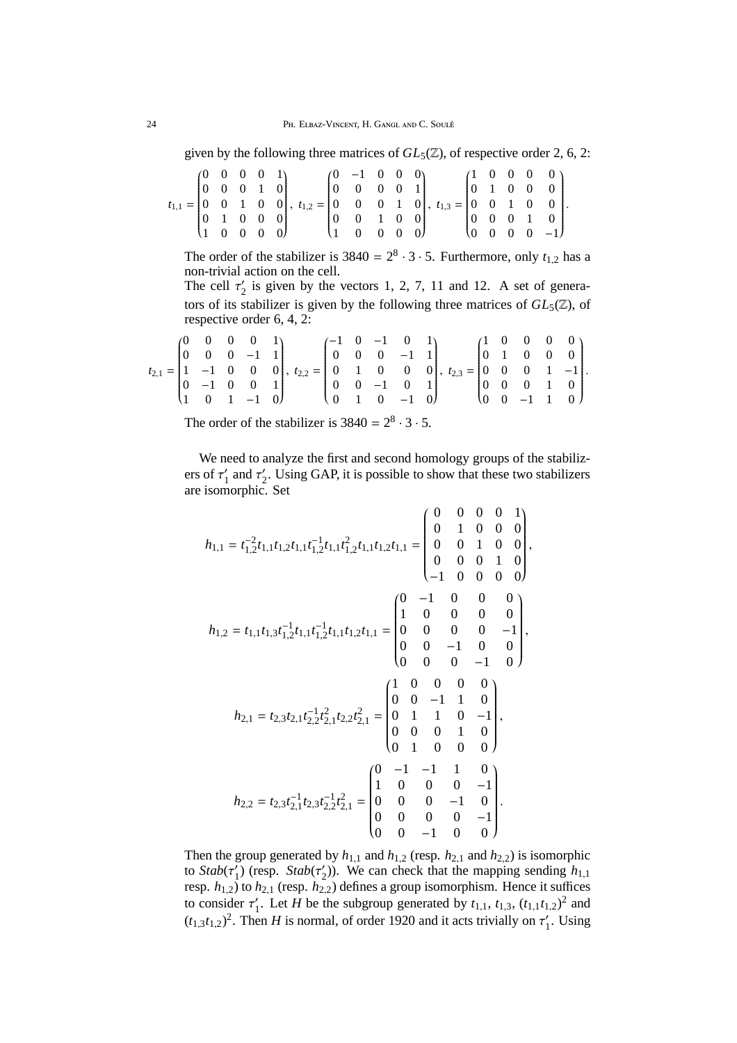given by the following three matrices of  $GL_5(\mathbb{Z})$ , of respective order 2, 6, 2:

|  | $(0 \t 0 \t 0 \t 0 \t 1)$                         |  |                                                                                                                                                                                    | $(0 -1 0 0 0)$                                    |  |  |  |  | $(1 \ 0 \ 0 \ 0 \ 0)$                             |  |
|--|---------------------------------------------------|--|------------------------------------------------------------------------------------------------------------------------------------------------------------------------------------|---------------------------------------------------|--|--|--|--|---------------------------------------------------|--|
|  | $\begin{bmatrix} 0 & 0 & 0 & 1 & 0 \end{bmatrix}$ |  |                                                                                                                                                                                    | $\begin{bmatrix} 0 & 0 & 0 & 0 & 1 \end{bmatrix}$ |  |  |  |  | $\begin{bmatrix} 0 & 1 & 0 & 0 & 0 \end{bmatrix}$ |  |
|  |                                                   |  | $t_{1,1} = \begin{bmatrix} 0 & 0 & 1 & 0 & 0 \end{bmatrix}, t_{1,2} = \begin{bmatrix} 0 & 0 & 0 & 1 & 0 \end{bmatrix}, t_{1,3} = \begin{bmatrix} 0 & 0 & 1 & 0 & 0 \end{bmatrix}.$ |                                                   |  |  |  |  |                                                   |  |
|  |                                                   |  | $\begin{bmatrix} 0 & 1 & 0 & 0 & 0 \end{bmatrix}$                                                                                                                                  | $\begin{bmatrix} 0 & 0 & 1 & 0 & 0 \end{bmatrix}$ |  |  |  |  | $\begin{bmatrix} 0 & 0 & 0 & 1 & 0 \end{bmatrix}$ |  |
|  | $(1 \ 0 \ 0 \ 0 \ 0)$                             |  |                                                                                                                                                                                    | $(1 \t 0 \t 0 \t 0 \t 0)$                         |  |  |  |  | $(0 \t 0 \t 0 \t -1)$                             |  |

The order of the stabilizer is  $3840 = 2^8 \cdot 3 \cdot 5$ . Furthermore, only  $t_{1,2}$  has a non-trivial action on the cell.

The cell  $\tau'_2$  is given by the vectors 1, 2, 7, 11 and 12. A set of generators of its stabilizer is given by the following three matrices of  $GL_5(\mathbb{Z})$ , of respective order 6, 4, 2:

|  | $(0 \t 0 \t 0 \t 1)$ |  |                                                                                                                                                                                      |  | $(-1 \ 0 \ -1 \ 0 \ 1)$ |  |  | $(1 \ 0 \ 0 \ 0 \ 0)$                             |  |  |
|--|----------------------|--|--------------------------------------------------------------------------------------------------------------------------------------------------------------------------------------|--|-------------------------|--|--|---------------------------------------------------|--|--|
|  |                      |  | $\begin{bmatrix} 0 & 0 & 0 & -1 & 1 \end{bmatrix}$ $\begin{bmatrix} 0 & 0 & 0 & -1 & 1 \end{bmatrix}$ $\begin{bmatrix} 0 & 1 & 0 & 0 & 0 \end{bmatrix}$                              |  |                         |  |  |                                                   |  |  |
|  |                      |  | $t_{2,1} = \begin{bmatrix} 1 & -1 & 0 & 0 & 0 \end{bmatrix}, t_{2,2} = \begin{bmatrix} 0 & 1 & 0 & 0 & 0 \end{bmatrix}, t_{2,3} = \begin{bmatrix} 0 & 0 & 0 & 1 & -1 \end{bmatrix}.$ |  |                         |  |  |                                                   |  |  |
|  |                      |  | $\begin{bmatrix} 0 & -1 & 0 & 0 & 1 \end{bmatrix}$ $\begin{bmatrix} 0 & 0 & -1 & 0 & 1 \end{bmatrix}$                                                                                |  |                         |  |  | $\begin{bmatrix} 0 & 0 & 0 & 1 & 0 \end{bmatrix}$ |  |  |
|  |                      |  | $\begin{pmatrix} 1 & 0 & 1 & -1 & 0 \end{pmatrix}$ $\begin{pmatrix} 0 & 1 & 0 & -1 & 0 \end{pmatrix}$ $\begin{pmatrix} 0 & 0 & -1 & 1 & 0 \end{pmatrix}$                             |  |                         |  |  |                                                   |  |  |

The order of the stabilizer is  $3840 = 2^8 \cdot 3 \cdot 5$ .

We need to analyze the first and second homology groups of the stabilizers of  $\tau_1'$  $\frac{1}{1}$  and  $\tau_2'$  $\frac{1}{2}$ . Using GAP, it is possible to show that these two stabilizers are isomorphic. Set

$$
h_{1,1} = t_{1,2}^{-2}t_{1,1}t_{1,2}t_{1,1}t_{1,2}^{-1}t_{1,1}t_{1,2}t_{1,1}t_{1,2}t_{1,1} = \begin{pmatrix} 0 & 0 & 0 & 0 & 1 \\ 0 & 1 & 0 & 0 & 0 \\ 0 & 0 & 1 & 0 & 0 \\ 0 & 0 & 0 & 1 & 0 \\ 0 & 0 & 0 & 1 & 0 \\ -1 & 0 & 0 & 0 & 0 \end{pmatrix},
$$

$$
h_{1,2} = t_{1,1}t_{1,3}t_{1,2}^{-1}t_{1,1}t_{1,2}^{-1}t_{1,1}t_{1,2}t_{1,1} = \begin{pmatrix} 0 & -1 & 0 & 0 & 0 \\ 1 & 0 & 0 & 0 & 0 \\ 0 & 0 & 0 & 0 & -1 \\ 0 & 0 & 0 & 0 & -1 \\ 0 & 0 & 0 & -1 & 0 \end{pmatrix},
$$

$$
h_{2,1} = t_{2,3}t_{2,1}t_{2,2}^{-1}t_{2,1}t_{2,2}t_{2,1}^{2} = \begin{pmatrix} 1 & 0 & 0 & 0 & 0 \\ 0 & 0 & -1 & 1 & 0 \\ 0 & 1 & 1 & 0 & -1 \\ 0 & 0 & 0 & 1 & 0 \\ 0 & 1 & 0 & 0 & 0 \end{pmatrix},
$$

$$
h_{2,2} = t_{2,3}t_{2,1}^{-1}t_{2,3}t_{2,2}^{-1}t_{2,1}^{2} = \begin{pmatrix} 0 & -1 & -1 & 1 & 0 \\ 1 & 0 & 0 & 0 & -1 \\ 0 & 0 & 0 & -1 & 0 \\ 0 & 0 & 0 & -1 & 0 \\ 0 & 0 & 0 & -1 & 0 \end{pmatrix}.
$$

Then the group generated by  $h_{1,1}$  and  $h_{1,2}$  (resp.  $h_{2,1}$  and  $h_{2,2}$ ) is isomorphic to  $Stab(\tau'_1)$  $\binom{1}{1}$  (resp. *Stab*( $\tau'_2$  $\mathcal{L}_2$ )). We can check that the mapping sending  $h_{1,1}$ resp.  $h_{1,2}$ ) to  $h_{2,1}$  (resp.  $h_{2,2}$ ) defines a group isomorphism. Hence it suffices to consider  $\tau'_{1}$  $t_1'$ . Let *H* be the subgroup generated by  $t_{1,1}$ ,  $t_{1,3}$ ,  $(t_{1,1}t_{1,2})^2$  and  $(t_{1,3}t_{1,2})^2$ . Then *H* is normal, of order 1920 and it acts trivially on  $\tau'_1$ . Using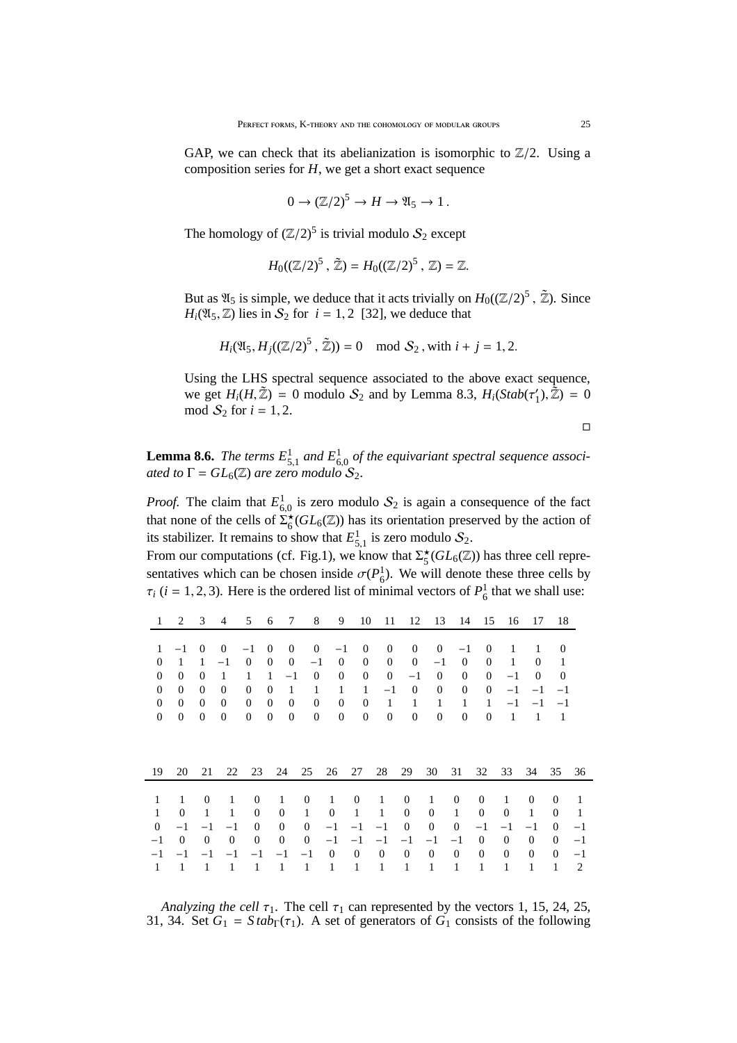GAP, we can check that its abelianization is isomorphic to  $\mathbb{Z}/2$ . Using a composition series for *H*, we get a short exact sequence

$$
0 \to (\mathbb{Z}/2)^5 \to H \to \mathfrak{A}_5 \to 1.
$$

The homology of  $(\mathbb{Z}/2)^5$  is trivial modulo  $S_2$  except

$$
H_0((\mathbb{Z}/2)^5 \,,\, \tilde{\mathbb{Z}}) = H_0((\mathbb{Z}/2)^5 \,,\, \mathbb{Z}) = \mathbb{Z}.
$$

But as  $\mathfrak{A}_5$  is simple, we deduce that it acts trivially on  $H_0((\mathbb{Z}/2)^5, \mathbb{Z})$ . Since  $H_i(\mathfrak{A}_5, \mathbb{Z})$  lies in  $S_2$  for  $i = 1, 2$  [32], we deduce that

$$
H_i(\mathfrak{A}_5, H_j((\mathbb{Z}/2)^5, \mathbb{Z})) = 0 \mod S_2
$$
, with  $i + j = 1, 2$ .

Using the LHS spectral sequence associated to the above exact sequence, we get  $H_i(H, \tilde{Z}) = 0$  modulo  $S_2$  and by Lemma 8.3,  $H_i(Stab(\tau_1))$  $'_{1}$ ),  $\tilde{Z}$ ) = 0 mod  $S_2$  for  $i = 1, 2$ .

$$
\qquad \qquad \Box
$$

**Lemma 8.6.** The terms  $E_{5,1}^1$  and  $E_{6,0}^1$  of the equivariant spectral sequence associ*ated to*  $\Gamma = GL_6(\mathbb{Z})$  *are zero modulo*  $S_2$ .

*Proof.* The claim that  $E_{6,0}^1$  is zero modulo  $S_2$  is again a consequence of the fact that none of the cells of  $\Sigma_6^{\star}(GL_6(\mathbb{Z}))$  has its orientation preserved by the action of its stabilizer. It remains to show that  $E_{5,1}^1$  is zero modulo  $S_2$ .

From our computations (cf. Fig.1), we know that  $\Sigma_5^{\star}(GL_6(\mathbb{Z}))$  has three cell representatives which can be chosen inside  $\sigma(P_6^1)$ . We will denote these three cells by  $\tau_i$  (*i* = 1, 2, 3). Here is the ordered list of minimal vectors of  $P_6^1$  that we shall use:

| 1                | 2            | 3            | 4            | 5              | 6              | 7              | 8            | 9              | 10               | 11               | 12               | 13               | 14           | 15               | 16           | 17           | 18               |         |
|------------------|--------------|--------------|--------------|----------------|----------------|----------------|--------------|----------------|------------------|------------------|------------------|------------------|--------------|------------------|--------------|--------------|------------------|---------|
| 1                | $-1$         | $\Omega$     | $\theta$     | $-1$           | $\theta$       | $\overline{0}$ | $\mathbf{0}$ | $-1$           | $\boldsymbol{0}$ | $\mathbf{0}$     | $\mathbf{0}$     | $\theta$         | $^{-1}$      | $\mathbf{0}$     | $\mathbf{1}$ | $\mathbf{1}$ | $\mathbf{0}$     |         |
| $\overline{0}$   | 1            | 1            | $-1$         | $\mathbf{0}$   | $\overline{0}$ | $\mathbf{0}$   | $^{-1}$      | $\overline{0}$ | $\mathbf{0}$     | $\mathbf{0}$     | $\overline{0}$   | $-1$             | $\theta$     | $\overline{0}$   | $\mathbf{1}$ | $\mathbf{0}$ | 1                |         |
| $\overline{0}$   | $\Omega$     | $\Omega$     | 1            | 1              | 1              | $-1$           | $\theta$     | $\overline{0}$ | $\mathbf{0}$     | $\mathbf{0}$     | $-1$             | $\theta$         | $\mathbf{0}$ | $\mathbf{0}$     | $-1$         | $\mathbf{0}$ | $\Omega$         |         |
| $\overline{0}$   | $\mathbf{0}$ | $\Omega$     | $\mathbf{0}$ | $\overline{0}$ | $\theta$       | 1              | 1            | $\mathbf{1}$   | $\mathbf{1}$     | $-1$             | $\boldsymbol{0}$ | $\mathbf{0}$     | $\mathbf{0}$ | $\boldsymbol{0}$ | $-1$         | $-1$         | $-1$             |         |
| $\boldsymbol{0}$ | $\mathbf{0}$ | $\Omega$     | $\Omega$     | $\mathbf{0}$   | $\mathbf{0}$   | $\mathbf{0}$   | $\mathbf{0}$ | $\mathbf{0}$   | $\mathbf{0}$     | 1                | $\mathbf{1}$     | 1                | $\mathbf{1}$ | 1                | $-1$         | $-1$         | $-1$             |         |
| $\mathbf{0}$     | $\mathbf{0}$ | $\Omega$     | $\theta$     | $\mathbf{0}$   | $\mathbf{0}$   | $\mathbf{0}$   | $\mathbf{0}$ | $\mathbf{0}$   | $\mathbf{0}$     | $\mathbf{0}$     | $\mathbf{0}$     | $\mathbf{0}$     | $\mathbf{0}$ | $\mathbf{0}$     | 1            | 1            | 1                |         |
| 19               | 20           | 21           | 22           | 23             |                | 24             | 25           | 26             | 27               | 28               | 29               | 30               | 31           | 32               | 33           | 34           | 35               | 36      |
| 1                | 1            | $\mathbf{0}$ | 1            | $\mathbf{0}$   |                | 1              | $\mathbf{0}$ | $\mathbf{1}$   | $\theta$         | 1                | $\mathbf{0}$     | $\mathbf{1}$     | $\mathbf{0}$ | $\theta$         | 1            | $\mathbf{0}$ | $\mathbf{0}$     | -1      |
| $\mathbf{1}$     | $\mathbf{0}$ | 1            | 1            | $\theta$       |                | $\mathbf{0}$   | $\mathbf{1}$ | $\mathbf{0}$   | $\mathbf{1}$     | $\mathbf{1}$     | $\mathbf{0}$     | $\mathbf{0}$     | $\mathbf{1}$ | $\theta$         | $\theta$     | $\mathbf{1}$ | $\mathbf{0}$     | 1       |
| $\mathbf{0}$     | $-1$         | $-1$         | $-1$         | $\theta$       |                | $\mathbf{0}$   | $\mathbf{0}$ | $-1$           | $-1$             | $-1$             | $\boldsymbol{0}$ | $\boldsymbol{0}$ | $\mathbf{0}$ | $-1$             | $-1$         | $-1$         | $\overline{0}$   | $-1$    |
| $-1$             | $\mathbf{0}$ | $\mathbf{0}$ | $\mathbf{0}$ | $\mathbf{0}$   |                | $\mathbf{0}$   | $\mathbf{0}$ | $-1$           | $-1$             | $-1$             | $-1$             | $^{-1}$          | $^{-1}$      | $\mathbf{0}$     | $\mathbf{0}$ | $\mathbf{0}$ | $\overline{0}$   | $^{-1}$ |
| $-1$             | $^{-1}$      | $-1$         | $-1$         | $-1$           |                | $^{-1}$        | $^{-1}$      | $\mathbf{0}$   | $\theta$         | $\boldsymbol{0}$ | $\boldsymbol{0}$ | $\boldsymbol{0}$ | $\mathbf{0}$ | $\theta$         | $\mathbf{0}$ | $\mathbf{0}$ | $\boldsymbol{0}$ | $^{-1}$ |
| 1                | 1            | 1            | 1            | 1              |                | 1              | 1            | 1              | 1                | $\mathbf{1}$     | 1                | 1                | 1            | 1                | 1            | 1            | 1                | 2       |

*Analyzing the cell*  $\tau_1$ . The cell  $\tau_1$  can represented by the vectors 1, 15, 24, 25, 31, 34. Set  $G_1 = Stab<sub>\Gamma</sub>(\tau_1)$ . A set of generators of  $G_1$  consists of the following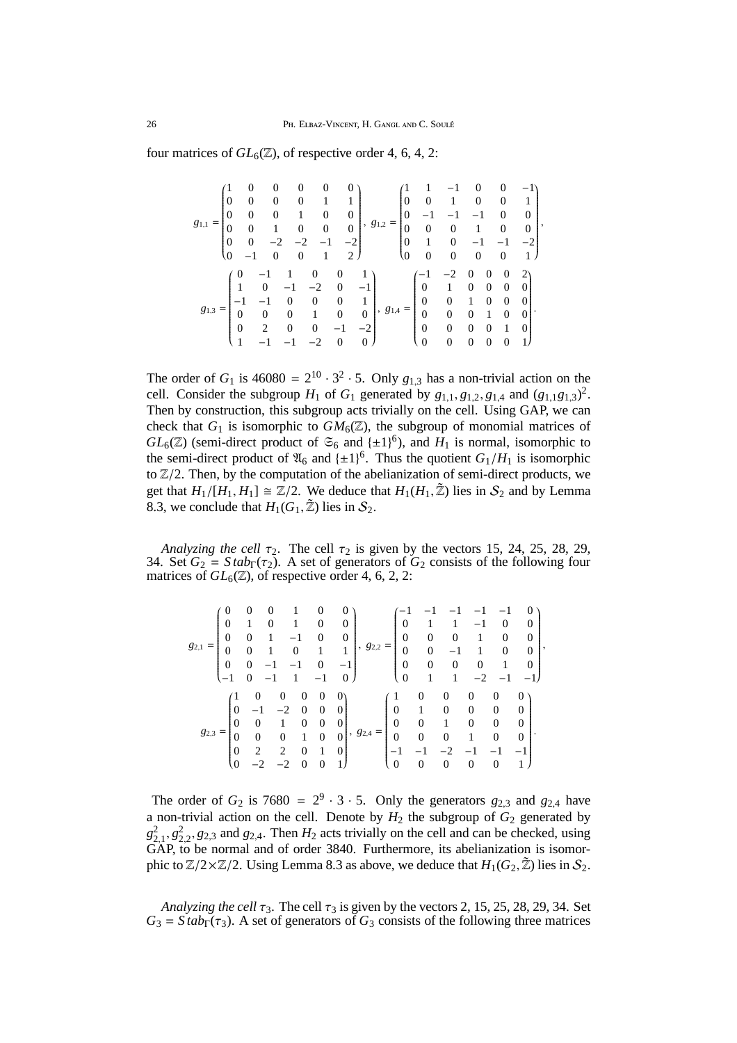four matrices of  $GL_6(\mathbb{Z})$ , of respective order 4, 6, 4, 2:

$$
g_{1,1} = \begin{pmatrix} 1 & 0 & 0 & 0 & 0 & 0 \\ 0 & 0 & 0 & 0 & 1 & 1 \\ 0 & 0 & 0 & 1 & 0 & 0 \\ 0 & 0 & 1 & 0 & 0 & 0 \\ 0 & 0 & -2 & -2 & -1 & -2 \\ 0 & -1 & 0 & 0 & 1 & 2 \end{pmatrix}, g_{1,2} = \begin{pmatrix} 1 & 1 & -1 & 0 & 0 & -1 \\ 0 & 0 & 1 & 0 & 0 & 1 \\ 0 & -1 & -1 & -1 & 0 & 0 \\ 0 & 0 & 0 & 1 & 0 & 0 \\ 0 & 1 & 0 & -1 & -1 & -2 \\ 0 & 0 & 0 & 0 & 0 & 1 \end{pmatrix}, g_{1,4} = \begin{pmatrix} -1 & -2 & 0 & 0 & 0 & 2 \\ 0 & 1 & 0 & 0 & 0 & 2 \\ 0 & 1 & 0 & 0 & 0 & 0 \\ 0 & 1 & 0 & 0 & 0 & 0 \\ 0 & 0 & 0 & 0 & 0 & 0 \\ 0 & 0 & 0 & 1 & 0 & 0 \\ 0 & 0 & 0 & 0 & 1 & 0 \\ 0 & 0 & 0 & 0 & 0 & 1 \end{pmatrix}.
$$

The order of  $G_1$  is 46080 =  $2^{10} \cdot 3^2 \cdot 5$ . Only  $g_{1,3}$  has a non-trivial action on the cell. Consider the subgroup  $H_1$  of  $G_1$  generated by  $g_{1,1}, g_{1,2}, g_{1,4}$  and  $(g_{1,1}g_{1,3})^2$ . Then by construction, this subgroup acts trivially on the cell. Using GAP, we can check that  $G_1$  is isomorphic to  $GM_6(\mathbb{Z})$ , the subgroup of monomial matrices of  $GL_6(\mathbb{Z})$  (semi-direct product of  $\mathfrak{S}_6$  and  $\{\pm 1\}^6$ ), and  $H_1$  is normal, isomorphic to the semi-direct product of  $\mathfrak{A}_6$  and  $\{\pm 1\}^6$ . Thus the quotient  $G_1/H_1$  is isomorphic to  $\mathbb{Z}/2$ . Then, by the computation of the abelianization of semi-direct products, we get that  $H_1/[H_1, H_1] \cong \mathbb{Z}/2$ . We deduce that  $H_1(H_1, \mathbb{Z})$  lies in  $S_2$  and by Lemma 8.3, we conclude that  $H_1(G_1, \tilde{Z})$  lies in  $S_2$ .

*Analyzing the cell*  $\tau_2$ . The cell  $\tau_2$  is given by the vectors 15, 24, 25, 28, 29, 34. Set  $G_2 = Stab<sub>\Gamma</sub>(\tau_2)$ . A set of generators of  $G_2$  consists of the following four matrices of  $GL_6(\mathbb{Z})$ , of respective order 4, 6, 2, 2:

| 82.  | 0<br>$\boldsymbol{0}$<br>0<br>$\boldsymbol{0}$ | 0                                |                |        | 0<br>$\theta$<br>0 | $\overline{0}$<br>$\overline{0}$<br>1 |      | 0<br>$\overline{0}$<br>$\overline{0}$<br>$\Omega$ | 0<br>$\overline{0}$   | $\overline{0}$ | $\theta$    | 0<br>0<br>0                      | 0 |
|------|------------------------------------------------|----------------------------------|----------------|--------|--------------------|---------------------------------------|------|---------------------------------------------------|-----------------------|----------------|-------------|----------------------------------|---|
|      |                                                |                                  |                |        |                    |                                       |      | $\theta$                                          |                       |                |             |                                  |   |
|      | $\Omega$<br>$\theta$                           | 0<br>0                           | 0              | 0<br>0 | O<br>0<br>0        |                                       | $=$  | 0<br>$\boldsymbol{0}$                             | $\boldsymbol{0}$<br>0 | 0<br>0         | 0<br>0<br>0 | $\overline{0}$<br>0<br>0         | 0 |
| 82,3 | $\overline{0}$<br>$\Omega$<br>$\overline{0}$   | $\overline{0}$<br>$\overline{c}$ | $\overline{2}$ | 0      | 0<br>1<br>0        | 0                                     | 82,4 | $\mathbf{0}$<br>0                                 | 0<br>0                | 0              | 0           | $\overline{0}$<br>$\overline{0}$ |   |

The order of  $G_2$  is 7680 =  $2^9 \cdot 3 \cdot 5$ . Only the generators  $g_{2,3}$  and  $g_{2,4}$  have a non-trivial action on the cell. Denote by  $H_2$  the subgroup of  $G_2$  generated by  $g_{2,1}^2$ ,  $g_{2,2}^2$ ,  $g_{2,3}$  and  $g_{2,4}$ . Then  $H_2$  acts trivially on the cell and can be checked, using GAP, to be normal and of order 3840. Furthermore, its abelianization is isomorphic to  $\mathbb{Z}/2 \times \mathbb{Z}/2$ . Using Lemma 8.3 as above, we deduce that  $H_1(G_2, \tilde{\mathbb{Z}})$  lies in  $\mathcal{S}_2$ .

*Analyzing the cell*  $\tau_3$ . The cell  $\tau_3$  is given by the vectors 2, 15, 25, 28, 29, 34. Set  $G_3 = Stab<sub>\Gamma</sub>(\tau_3)$ . A set of generators of  $G_3$  consists of the following three matrices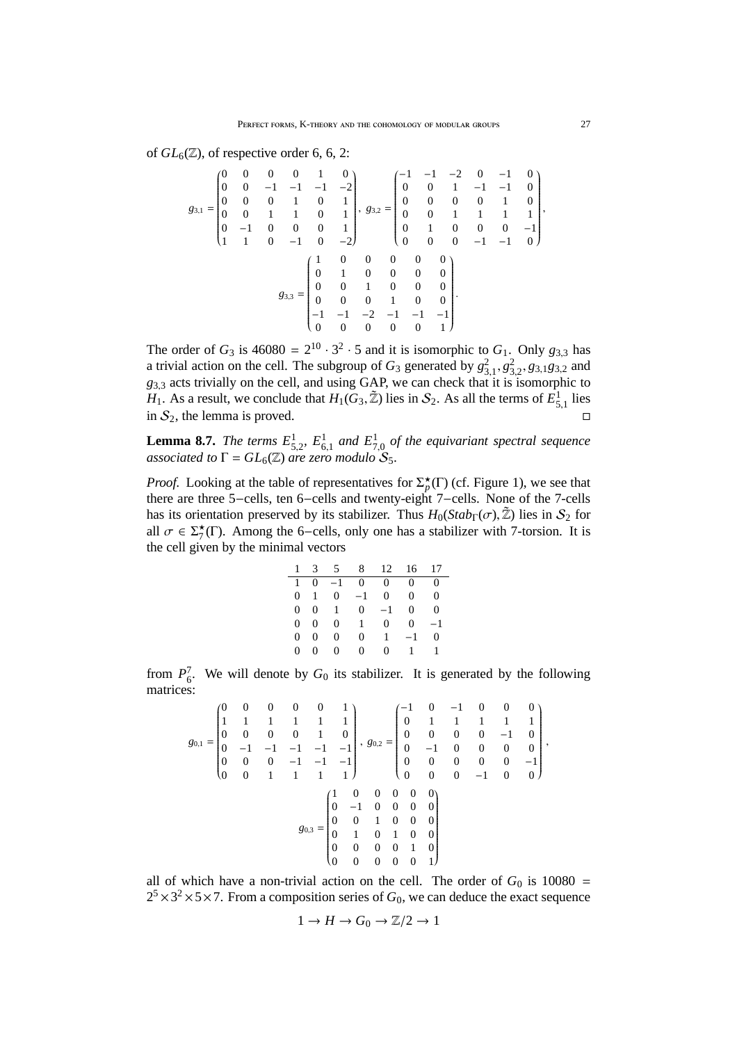of  $GL_6(\mathbb{Z})$ , of respective order 6, 6, 2:

$$
g_{3,1} = \begin{pmatrix} 0 & 0 & 0 & 0 & 1 & 0 \\ 0 & 0 & -1 & -1 & -1 & -2 \\ 0 & 0 & 0 & 1 & 0 & 1 \\ 0 & -1 & 0 & 0 & 0 & 1 \\ 1 & 1 & 0 & -1 & 0 & -2 \end{pmatrix}, g_{3,2} = \begin{pmatrix} -1 & -1 & -2 & 0 & -1 & 0 \\ 0 & 0 & 1 & -1 & -1 & 0 \\ 0 & 0 & 0 & 0 & 1 & 0 \\ 0 & 0 & 1 & 1 & 1 & 1 \\ 0 & 1 & 0 & 0 & 0 & -1 \\ 0 & 0 & 0 & -1 & -1 & 0 \end{pmatrix}, g_{3,3} = \begin{pmatrix} 1 & 0 & 0 & 0 & 0 \\ 0 & 1 & 0 & 0 & 0 \\ 0 & 0 & 0 & 0 & 0 \\ 0 & 0 & 0 & 0 & 0 \\ 0 & 0 & 0 & 1 & 0 \\ -1 & -1 & -2 & -1 & -1 & -1 \\ 0 & 0 & 0 & 0 & 0 & 1 \end{pmatrix}.
$$

The order of  $G_3$  is 46080 =  $2^{10} \cdot 3^2 \cdot 5$  and it is isomorphic to  $G_1$ . Only  $g_{3,3}$  has a trivial action on the cell. The subgroup of  $G_3$  generated by  $g_{3,1}^2, g_{3,2}^2, g_{3,1}g_{3,2}$  and *g*3,<sup>3</sup> acts trivially on the cell, and using GAP, we can check that it is isomorphic to  $H_1$ . As a result, we conclude that  $H_1(G_3, \tilde{Z})$  lies in  $S_2$ . As all the terms of  $\tilde{E}^1_{5,1}$  lies in  $S_2$ , the lemma is proved.

**Lemma 8.7.** *The terms*  $E^1_{5,2}$ ,  $E^1_{6,1}$  and  $E^1_{7,0}$  of the equivariant spectral sequence *associated to*  $\Gamma = GL_6(\mathbb{Z})$  *are zero modulo*  $S_5$ *.* 

*Proof.* Looking at the table of representatives for  $\Sigma_p^{\star}(\Gamma)$  (cf. Figure 1), we see that there are three 5−cells, ten 6−cells and twenty-eight 7−cells. None of the 7-cells has its orientation preserved by its stabilizer. Thus  $H_0(Stab_{\Gamma}(\sigma), \mathbb{Z})$  lies in  $S_2$  for all  $\sigma \in \Sigma^{\star}(T)$ . Among the 6-cells, only one has a stabilizer with 7-torsion. It is the cell given by the minimal vectors

|                |              |           | 1 3 5 8 12 16 17 |                |              |          |
|----------------|--------------|-----------|------------------|----------------|--------------|----------|
| $\mathbf{1}$   |              |           | $0 -1 0$         | $\overline{0}$ | $\Omega$     | 0        |
| $\overline{0}$ | $\mathbf{1}$ |           | $0 \quad -1$     | $\overline{0}$ | $\Omega$     | $\Omega$ |
| $\Omega$       | 0            | $1 \quad$ | $\Omega$         | $-1$           | 0            | $\Omega$ |
| $\overline{0}$ | $\Omega$     | $\Omega$  | $\mathbf{1}$     | $\mathbf{0}$   | $\mathbf{0}$ | $-1$     |
| $\Omega$       | 0            | 0         | 0                |                | $1 - 1$      | 0        |
| 0.             | 0.           | 0         | 0.               | 0              | $\mathbf{1}$ | 1        |

from  $P_6^7$ . We will denote by  $G_0$  its stabilizer. It is generated by the following matrices:

$$
g_{0,1} = \begin{pmatrix} 0 & 0 & 0 & 0 & 0 & 1 \\ 1 & 1 & 1 & 1 & 1 & 1 \\ 0 & 0 & 0 & 0 & 1 & 0 \\ 0 & -1 & -1 & -1 & -1 & -1 \\ 0 & 0 & 1 & 1 & 1 & 1 \end{pmatrix}, g_{0,2} = \begin{pmatrix} -1 & 0 & -1 & 0 & 0 & 0 \\ 0 & 1 & 1 & 1 & 1 & 1 \\ 0 & 0 & 0 & 0 & -1 & 0 \\ 0 & -1 & 0 & 0 & 0 & 0 \\ 0 & 0 & 0 & 0 & -1 & 0 \\ 0 & 0 & 0 & 0 & -1 & 0 \end{pmatrix}, g_{0,3} = \begin{pmatrix} 1 & 0 & 0 & 0 & 0 \\ 0 & -1 & 0 & 0 & 0 & 0 \\ 0 & 0 & 0 & 0 & 0 & -1 \\ 0 & 0 & 0 & 0 & 0 \\ 0 & 1 & 0 & 0 & 0 & 0 \\ 0 & 0 & 0 & 0 & 1 & 0 \\ 0 & 0 & 0 & 0 & 1 & 0 \\ 0 & 0 & 0 & 0 & 0 & 1 \end{pmatrix}, g_{0,4} = \begin{pmatrix} 1 & 0 & 0 & 0 & 0 \\ 0 & 1 & 1 & 0 & 0 & 0 \\ 0 & 0 & 0 & 0 & 0 & 0 \\ 0 & 0 & 0 & 0 & 0 & 0 \\ 0 & 0 & 0 & 0 & 1 & 0 \\ 0 & 0 & 0 & 0 & 0 & 1 \end{pmatrix}, g_{0,5} = \begin{pmatrix} 1 & 0 & 0 & 0 & 0 \\ 0 & 1 & 0 & 0 & 0 & 0 \\ 0 & 0 & 0 & 0 & 0 & 0 \\ 0 & 0 & 0 & 0 & 1 & 0 \\ 0 & 0 & 0 & 0 & 1 & 0 \\ 0 & 0 & 0 & 0 & 0 & 1 \end{pmatrix}, g_{0,6} = \begin{pmatrix} 1 & 0 & 0 & 0 & 0 \\ 0 & 0 & 0 & 0 & 0 \\ 0 & 0 & 0 & 0 & 0 \\ 0 & 0 & 0 & 0 & 1 \\ 0 & 0 & 0 & 0 & 1 \end{pmatrix}, g_{0,7} = \begin{pmatrix} 1 & 0 & 0 & 0 & 0 \\ 0
$$

all of which have a non-trivial action on the cell. The order of  $G_0$  is 10080 =  $2^5 \times 3^2 \times 5 \times 7$ . From a composition series of  $G_0$ , we can deduce the exact sequence

$$
1 \to H \to G_0 \to \mathbb{Z}/2 \to 1
$$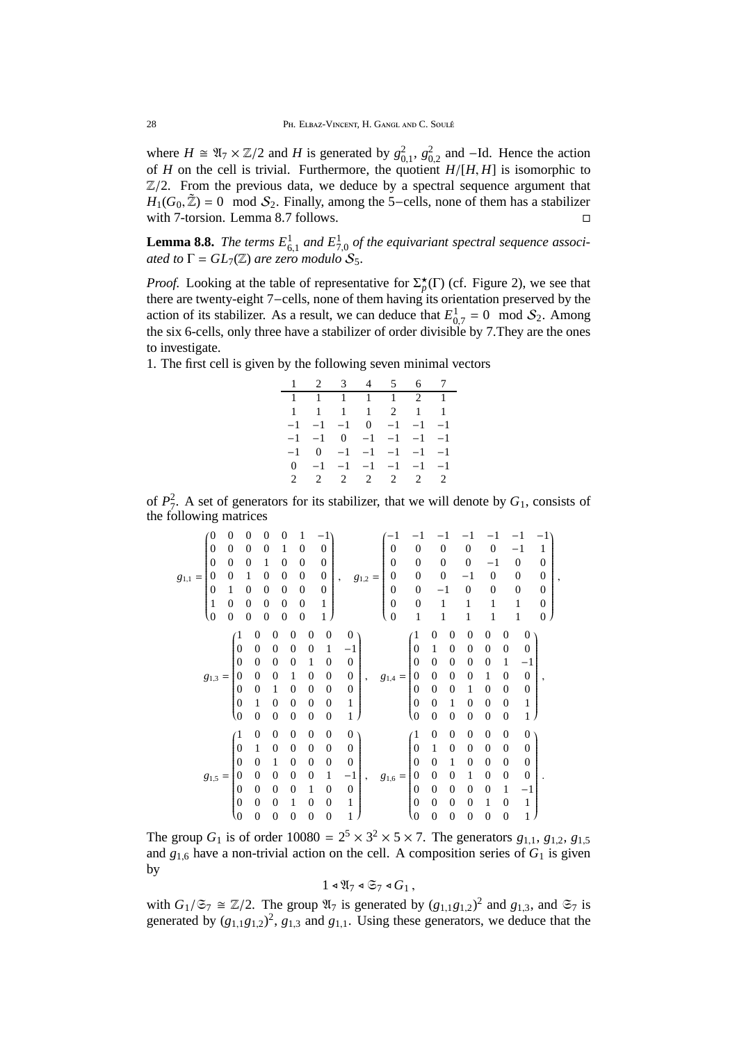where  $H \cong \mathfrak{A}_7 \times \mathbb{Z}/2$  and *H* is generated by  $g_{0,1}^2$ ,  $g_{0,2}^2$  and -Id. Hence the action of *H* on the cell is trivial. Furthermore, the quotient *H*/[*H*, *H*] is isomorphic to  $\mathbb{Z}/2$ . From the previous data, we deduce by a spectral sequence argument that  $H_1(G_0, \tilde{Z}) = 0 \mod S_2$ . Finally, among the 5-cells, none of them has a stabilizer with 7-torsion. Lemma 8.7 follows.

**Lemma 8.8.** The terms  $E_{6,1}^1$  and  $E_{7,0}^1$  of the equivariant spectral sequence associ*ated to*  $\Gamma = GL_7(\mathbb{Z})$  *are zero modulo*  $S_5$ .

*Proof.* Looking at the table of representative for  $\Sigma_p^{\star}(\Gamma)$  (cf. Figure 2), we see that there are twenty-eight 7−cells, none of them having its orientation preserved by the action of its stabilizer. As a result, we can deduce that  $E_{0,7}^1 = 0 \mod S_2$ . Among the six 6-cells, only three have a stabilizer of order divisible by 7.They are the ones to investigate.

1. The first cell is given by the following seven minimal vectors

|  | $1 \t2 \t3 \t4 \t5 \t6 \t7$             |  |  |
|--|-----------------------------------------|--|--|
|  | 1 1 1 1 1 2 1                           |  |  |
|  | 1 1 1 1 2 1 1                           |  |  |
|  | $-1$ $-1$ $-1$ 0 $-1$ $-1$ $-1$         |  |  |
|  | $-1$ $-1$ 0 $-1$ $-1$ $-1$ $-1$         |  |  |
|  | $-1$ 0 $-1$ $-1$ $-1$ $-1$ $-1$         |  |  |
|  | $0 \t -1 \t -1 \t -1 \t -1 \t -1 \t -1$ |  |  |
|  | 2 2 2 2 2 2 2                           |  |  |

of  $P_7^2$ . A set of generators for its stabilizer, that we will denote by  $G_1$ , consists of the following matrices

|             | 0                | 0                |                  | 0                | 0              | 0                | $\mathbf{1}$     |                  |                  |                  |             |                                      |                  |                  |                  |    |                  |                  |                  |                  |   |
|-------------|------------------|------------------|------------------|------------------|----------------|------------------|------------------|------------------|------------------|------------------|-------------|--------------------------------------|------------------|------------------|------------------|----|------------------|------------------|------------------|------------------|---|
|             | $\boldsymbol{0}$ | $\boldsymbol{0}$ |                  | $\overline{0}$   | 0              |                  | $\mathbf{0}$     |                  | $\boldsymbol{0}$ |                  |             | $\mathbf{0}$                         | 0                | $\boldsymbol{0}$ |                  | 0  | $\boldsymbol{0}$ |                  | -1               | 1                |   |
|             | $\boldsymbol{0}$ | $\boldsymbol{0}$ |                  | 0                |                | 0                | $\boldsymbol{0}$ |                  | $\boldsymbol{0}$ |                  |             | $\overline{0}$                       | $\boldsymbol{0}$ | $\boldsymbol{0}$ |                  | 0  | $^{-1}$          |                  | $\boldsymbol{0}$ | $\overline{0}$   |   |
| $g_{1,1} =$ | $\overline{0}$   | $\boldsymbol{0}$ |                  |                  | 0              | 0                | $\boldsymbol{0}$ |                  | $\boldsymbol{0}$ | $\cdot$          | $g_{1,2} =$ | $\boldsymbol{0}$                     | $\overline{0}$   | $\boldsymbol{0}$ |                  | -1 | $\boldsymbol{0}$ |                  | 0                | $\boldsymbol{0}$ | 5 |
|             | 0                | 1                |                  | 0                | 0              | 0                | $\boldsymbol{0}$ |                  | $\boldsymbol{0}$ |                  |             |                                      | $\boldsymbol{0}$ |                  |                  | 0  | $\boldsymbol{0}$ |                  | $\boldsymbol{0}$ | $\mathbf{0}$     |   |
|             | $\mathbf{1}$     | $\boldsymbol{0}$ |                  | 0                | 0              | 0                | $\boldsymbol{0}$ |                  | 1                |                  |             | $\begin{matrix} 0 \\ 0 \end{matrix}$ | 0                | 1                |                  | 1  | 1                |                  | 1                | $\boldsymbol{0}$ |   |
|             | $\overline{0}$   | $\boldsymbol{0}$ |                  | $\boldsymbol{0}$ | $\overline{0}$ | $\boldsymbol{0}$ | $\boldsymbol{0}$ |                  | 1                |                  |             | $\overline{0}$                       | 1                |                  | 1                | 1  | 1                |                  | 1                | $\boldsymbol{0}$ |   |
|             |                  |                  |                  | $\overline{0}$   | 0              | $\boldsymbol{0}$ |                  | $\boldsymbol{0}$ | $\boldsymbol{0}$ | $\boldsymbol{0}$ |             |                                      | $\mathbf{1}$     | 0                | 0                | 0  | 0                | 0                | $\boldsymbol{0}$ |                  |   |
|             |                  |                  | $\boldsymbol{0}$ | $\boldsymbol{0}$ | $\overline{0}$ | $\boldsymbol{0}$ |                  | $\boldsymbol{0}$ | 1                | $^{-1}$          |             |                                      | $\boldsymbol{0}$ | $\mathbf{1}$     | 0                | 0  | 0                | $\boldsymbol{0}$ | $\mathbf{0}$     |                  |   |
|             |                  |                  | $\overline{0}$   | $\boldsymbol{0}$ | $\theta$       | 0                |                  | 1                | 0                | $\boldsymbol{0}$ |             |                                      | $\overline{0}$   | $\boldsymbol{0}$ | 0                | 0  | 0                | 1                | $^{-1}$          |                  |   |
|             |                  |                  | $\overline{0}$   | $\overline{0}$   | 0              |                  |                  | $\boldsymbol{0}$ | $\boldsymbol{0}$ | $\boldsymbol{0}$ |             |                                      | $\theta$         | $\overline{0}$   | $\boldsymbol{0}$ | 0  |                  | 0                | $\boldsymbol{0}$ |                  |   |
|             | $g_{1,3}$        | $=$              |                  |                  |                |                  |                  |                  |                  |                  | ,           | $g_{1,4} =$                          |                  | $\overline{0}$   |                  |    |                  |                  |                  | ,                |   |
|             |                  |                  | $\boldsymbol{0}$ | 0                | 1              | $\boldsymbol{0}$ |                  | 0                | $\boldsymbol{0}$ | $\boldsymbol{0}$ |             |                                      | $\mathbf{0}$     |                  | 0                |    | 0                | $\boldsymbol{0}$ | $\mathbf{0}$     |                  |   |
|             |                  |                  | $\boldsymbol{0}$ | 1                | 0              | $\boldsymbol{0}$ |                  | $\boldsymbol{0}$ | $\boldsymbol{0}$ | 1                |             |                                      | $\mathbf{0}$     | $\boldsymbol{0}$ | 1                | 0  | 0                | $\boldsymbol{0}$ | 1                |                  |   |
|             |                  |                  | $\langle 0$      | $\overline{0}$   | $\theta$       | $\boldsymbol{0}$ |                  | $\boldsymbol{0}$ | $\boldsymbol{0}$ | 1                |             |                                      | (0               | $\boldsymbol{0}$ | 0                | 0  | $\boldsymbol{0}$ | $\boldsymbol{0}$ | 1                |                  |   |
|             |                  |                  | $\sqrt{1}$       | $\boldsymbol{0}$ | $\overline{0}$ | $\overline{0}$   |                  | $\mathbf{0}$     | $\boldsymbol{0}$ | $\boldsymbol{0}$ |             |                                      | $\sqrt{1}$       | $\boldsymbol{0}$ | 0                | 0  | $\boldsymbol{0}$ | $\boldsymbol{0}$ | $\boldsymbol{0}$ |                  |   |
|             |                  |                  | $\mathbf{0}$     | 1                | 0              | $\overline{0}$   |                  | $\boldsymbol{0}$ | $\boldsymbol{0}$ | $\boldsymbol{0}$ |             |                                      | $\boldsymbol{0}$ | $\mathbf{1}$     | 0                | 0  | 0                | $\boldsymbol{0}$ | $\boldsymbol{0}$ |                  |   |
|             |                  |                  | $\overline{0}$   | $\overline{0}$   | 1              | $\boldsymbol{0}$ |                  | 0                | $\boldsymbol{0}$ | $\boldsymbol{0}$ |             |                                      | $\overline{0}$   | $\boldsymbol{0}$ |                  | 0  | 0                | 0                | $\boldsymbol{0}$ |                  |   |
|             | $g_{1,5}$        | $=$              | 0                | $\boldsymbol{0}$ | 0              | $\overline{0}$   |                  | $\boldsymbol{0}$ | 1                | $-1$             | ,           | $g_{1,6}$                            | $\boldsymbol{0}$ | $\overline{0}$   | 0                | 1  | $\overline{0}$   | $\boldsymbol{0}$ | $\mathbf{0}$     |                  |   |
|             |                  |                  | $\boldsymbol{0}$ | $\boldsymbol{0}$ | $\theta$       | $\boldsymbol{0}$ |                  | 1                | 0                | $\boldsymbol{0}$ |             |                                      | $\mathbf{0}$     | $\boldsymbol{0}$ | 0                | 0  | 0                | 1                | $^{-1}$          |                  |   |
|             |                  |                  | $\boldsymbol{0}$ | $\overline{0}$   | 0              |                  | 1                | $\boldsymbol{0}$ | $\boldsymbol{0}$ | 1                |             |                                      | $\mathbf{0}$     | $\boldsymbol{0}$ | 0                | 0  | 1                | $\boldsymbol{0}$ | $\mathbf{1}$     |                  |   |
|             |                  |                  | $\overline{0}$   | $\boldsymbol{0}$ | 0              | $\boldsymbol{0}$ |                  | $\boldsymbol{0}$ | $\overline{0}$   | 1                |             |                                      | $\langle 0$      | $\boldsymbol{0}$ | 0                | 0  | 0                | 0                | 1                |                  |   |

The group  $G_1$  is of order  $10080 = 2^5 \times 3^2 \times 5 \times 7$ . The generators  $g_{1,1}, g_{1,2}, g_{1,5}$ and  $g_{1,6}$  have a non-trivial action on the cell. A composition series of  $G_1$  is given by

$$
1 \triangleleft \mathfrak{A}_7 \triangleleft \mathfrak{S}_7 \triangleleft G_1 ,
$$

with  $G_1/\mathfrak{S}_7 \cong \mathbb{Z}/2$ . The group  $\mathfrak{A}_7$  is generated by  $(g_{1,1}g_{1,2})^2$  and  $g_{1,3}$ , and  $\mathfrak{S}_7$  is generated by  $(g_{1,1}g_{1,2})^2$ ,  $g_{1,3}$  and  $g_{1,1}$ . Using these generators, we deduce that the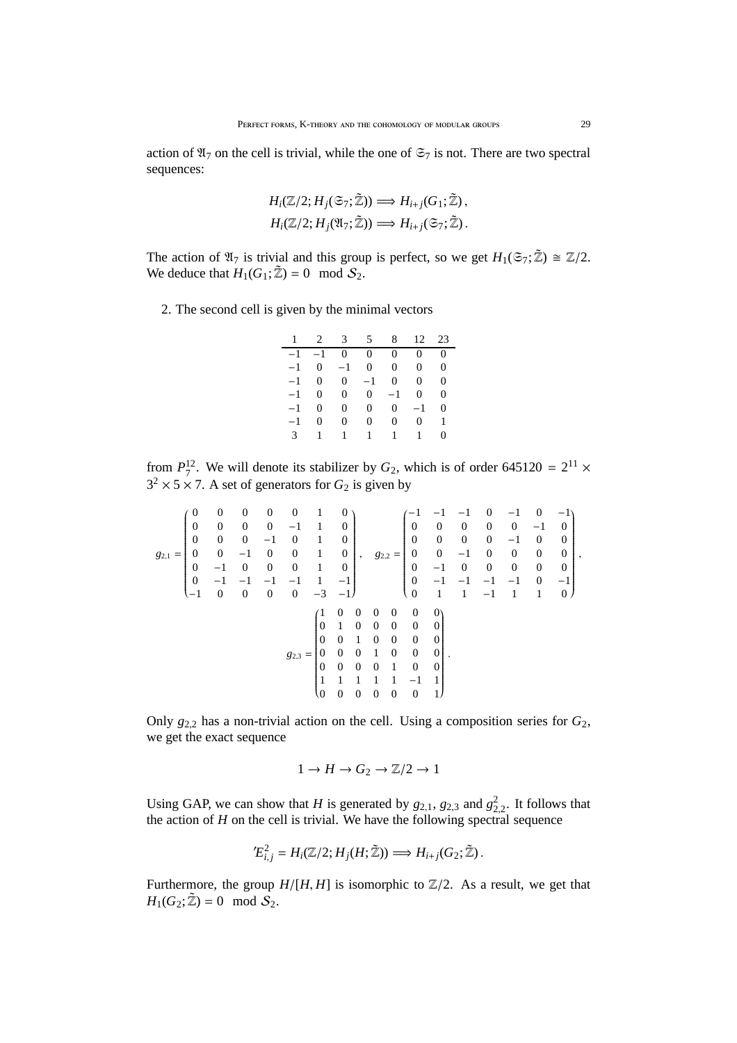action of  $\mathfrak{A}_7$  on the cell is trivial, while the one of  $\mathfrak{S}_7$  is not. There are two spectral sequences:

$$
H_i(\mathbb{Z}/2; H_j(\mathfrak{S}_7; \mathbb{Z})) \Longrightarrow H_{i+j}(G_1; \mathbb{Z}),
$$
  

$$
H_i(\mathbb{Z}/2; H_j(\mathfrak{A}_7; \mathbb{Z})) \Longrightarrow H_{i+j}(\mathfrak{S}_7; \mathbb{Z}).
$$

The action of  $\mathfrak{A}_7$  is trivial and this group is perfect, so we get  $H_1(\mathfrak{S}_7; \mathbb{Z}) \cong \mathbb{Z}/2$ . We deduce that  $H_1(G_1; \tilde{Z}) = 0 \mod S_2$ .

2. The second cell is given by the minimal vectors

| 1             |           | $2 \quad 3$    | 5            | 8              | 12             | 23       |
|---------------|-----------|----------------|--------------|----------------|----------------|----------|
|               | $-1$ $-1$ | $\overline{0}$ | $\mathbf{0}$ | $\Omega$       | $\overline{0}$ | $\theta$ |
| $-1$          | 0         | $-1$           | $\Omega$     | $\overline{0}$ | 0              | 0        |
| $-1$          | $\theta$  | $\overline{0}$ | $-1$         | $\Omega$       | 0              | $\Omega$ |
| $-1$          | $\theta$  | $\Omega$       | 0            | $-1$           | $\theta$       | $\theta$ |
| $-1$          | $\theta$  | $\Omega$       | $\mathbf{0}$ | 0              | $-1$           | 0        |
| -1            | 0         | 0              | 0            | $\Omega$       | 0              | 1        |
| $\mathcal{F}$ | 1         | $\mathbf{1}$   | $\mathbf{1}$ | $\mathbf{1}$   | $\mathbf{1}$   | 0        |

from  $P_7^{12}$ . We will denote its stabilizer by  $G_2$ , which is of order 645120 =  $2^{11}$  ×  $3^2 \times 5 \times 7$ . A set of generators for  $G_2$  is given by

$$
g_{2,1} = \begin{pmatrix} 0 & 0 & 0 & 0 & 0 & 1 & 0 \\ 0 & 0 & 0 & 0 & -1 & 1 & 0 \\ 0 & 0 & 0 & -1 & 0 & 1 & 0 \\ 0 & -1 & 0 & 0 & 1 & 0 \\ 0 & -1 & -1 & -1 & -1 & 1 & -1 \\ -1 & 0 & 0 & 0 & 0 & -3 & -1 \end{pmatrix}, \quad g_{2,2} = \begin{pmatrix} -1 & -1 & -1 & 0 & -1 & 0 & -1 \\ 0 & 0 & 0 & 0 & 0 & -1 & 0 \\ 0 & 0 & 0 & 0 & 0 & 0 & 0 \\ 0 & -1 & 0 & 0 & 0 & 0 & 0 \\ 0 & -1 & -1 & -1 & -1 & 1 & -1 \\ 0 & 1 & 1 & -1 & 1 & 1 & 0 \end{pmatrix}, \quad g_{3,3} = \begin{pmatrix} -1 & -1 & -1 & 0 & -1 & 0 & -1 \\ 0 & 0 & 0 & 0 & 0 & 0 & 0 \\ 0 & -1 & 0 & 0 & 0 & 0 & 0 \\ 0 & -1 & -1 & -1 & -1 & 1 & 1 \\ 0 & 1 & 1 & 0 & 0 & 0 & 0 \\ 0 & 0 & 0 & 0 & 0 & 0 & 0 \\ 0 & 0 & 0 & 1 & 0 & 0 & 0 \\ 0 & 0 & 0 & 0 & 1 & 0 & 0 \\ 0 & 0 & 0 & 0 & 0 & 0 & 1 \end{pmatrix}.
$$

Only  $g_{2,2}$  has a non-trivial action on the cell. Using a composition series for  $G_2$ , we get the exact sequence

$$
1 \to H \to G_2 \to \mathbb{Z}/2 \to 1
$$

Using GAP, we can show that *H* is generated by  $g_{2,1}$ ,  $g_{2,3}$  and  $g_{2,2}^2$ . It follows that the action of  $H$  on the cell is trivial. We have the following spectral sequence

$$
{}^{\prime}E_{i,j}^2 = H_i(\mathbb{Z}/2; H_j(H; \mathbb{Z})) \Longrightarrow H_{i+j}(G_2; \mathbb{Z}).
$$

Furthermore, the group  $H/[H, H]$  is isomorphic to  $\mathbb{Z}/2$ . As a result, we get that  $H_1(G_2; \tilde{Z}) = 0 \mod S_2.$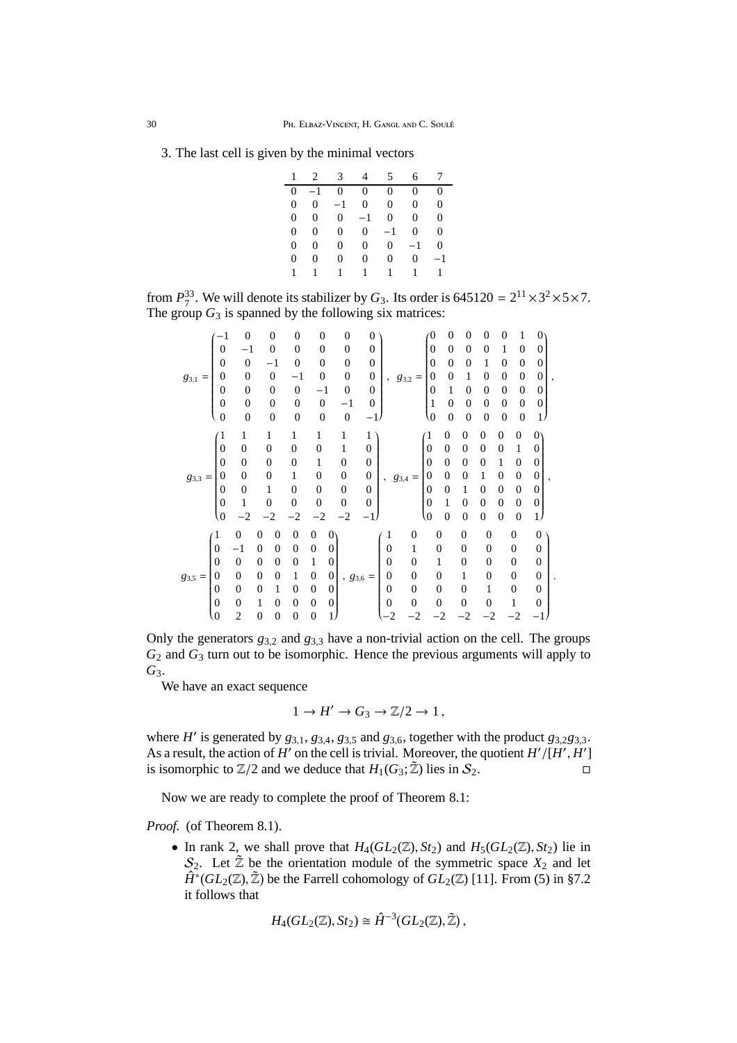3. The last cell is given by the minimal vectors

| $\mathbf{1}$   |                | 2 3            | 4            | 5              | б.           | 7            |
|----------------|----------------|----------------|--------------|----------------|--------------|--------------|
|                | $0 -1$         | $\overline{0}$ | $\mathbf{0}$ | $\overline{0}$ | $\theta$     | $\theta$     |
| $\overline{0}$ | $\overline{0}$ | $-1$           | 0            | $\overline{0}$ | $\Omega$     | $\Omega$     |
| 0              | $\overline{0}$ | $\overline{0}$ | $-1$         | $\theta$       | 0            | $\Omega$     |
| 0              | 0              | $\overline{0}$ | $\Omega$     | $-1$           | 0            | $\theta$     |
| 0              | 0              | $\Omega$       | $\Omega$     | $\overline{0}$ | $-1$         | $\Omega$     |
| 0              | 0              | 0              | 0            | 0              | $\Omega$     | $^{-1}$      |
| 1              | $\mathbf{1}$   | $\mathbf{1}$   | $\mathbf{1}$ | 1              | $\mathbf{1}$ | $\mathbf{1}$ |

from  $P_7^{33}$ . We will denote its stabilizer by  $G_3$ . Its order is 645120 =  $2^{11} \times 3^2 \times 5 \times 7$ . The group  $G_3$  is spanned by the following six matrices:

| 83,1<br>$=$ | $^{-1}$          | $\overline{0}$   | $\boldsymbol{0}$ |                  | $\overline{0}$   | $\boldsymbol{0}$ | 0                               | 0                |              |               |                  | 0                | 0                | 0                | 0                | 0                | 1                |                  |  |
|-------------|------------------|------------------|------------------|------------------|------------------|------------------|---------------------------------|------------------|--------------|---------------|------------------|------------------|------------------|------------------|------------------|------------------|------------------|------------------|--|
|             | $\overline{0}$   | $^{-1}$          |                  | $\overline{0}$   | $\overline{0}$   | $\boldsymbol{0}$ | $\overline{0}$                  | 0                |              |               |                  | $\overline{0}$   | 0                | 0                | 0                |                  | $\overline{0}$   | 0                |  |
|             | $\boldsymbol{0}$ | $\boldsymbol{0}$ | $^{-1}$          |                  | $\overline{0}$   | $\boldsymbol{0}$ | $\overline{0}$                  | $\mathbf{0}$     |              |               |                  | $\mathbf{0}$     | $\mathbf{0}$     | $\boldsymbol{0}$ | 1                | $\overline{0}$   | $\boldsymbol{0}$ | 0                |  |
|             | $\boldsymbol{0}$ | $\overline{0}$   |                  | $\boldsymbol{0}$ | $^{-1}$          | $\boldsymbol{0}$ | $\overline{0}$                  | $\boldsymbol{0}$ | ,            | 83,2          | $=$              | 0                | $\boldsymbol{0}$ | 1                | 0                | $\overline{0}$   | $\boldsymbol{0}$ | $\boldsymbol{0}$ |  |
|             | $\boldsymbol{0}$ | $\overline{0}$   |                  | 0                | $\boldsymbol{0}$ | $^{-1}$          | 0                               | $\mathbf{0}$     |              |               |                  | 0                | 1                | 0                | 0                | $\overline{0}$   | $\boldsymbol{0}$ | 0                |  |
|             | $\boldsymbol{0}$ | $\overline{0}$   |                  | 0                | $\overline{0}$   | $\boldsymbol{0}$ | $^{-1}$                         | $\mathbf{0}$     |              |               |                  | 1                | $\mathbf{0}$     | $\boldsymbol{0}$ | 0                | $\overline{0}$   | $\boldsymbol{0}$ | $\boldsymbol{0}$ |  |
|             | $\boldsymbol{0}$ | $\overline{0}$   | $\mathbf{0}$     |                  | $\boldsymbol{0}$ | $\boldsymbol{0}$ | $\mathbf{0}$                    | $^{-1}$          |              |               |                  | $\overline{0}$   | $\mathbf{0}$     | $\overline{0}$   | $\overline{0}$   | $\overline{0}$   | $\boldsymbol{0}$ | $\mathbf{1}$     |  |
|             | $\epsilon$       | $\mathbf{1}$     | 1                |                  | 1                | 1                | 1                               | 1                |              |               |                  | $\mathbf{1}$     | $\overline{0}$   | 0                | 0                | $\boldsymbol{0}$ | 0                | 0                |  |
|             | $\boldsymbol{0}$ | $\boldsymbol{0}$ | $\overline{0}$   |                  | 0                | $\overline{0}$   | 1                               | $\boldsymbol{0}$ |              |               |                  | $\overline{0}$   | $\overline{0}$   | $\overline{0}$   | 0                | 0                | 1                | $\Omega$         |  |
|             | $\overline{0}$   | $\boldsymbol{0}$ | $\overline{0}$   |                  | 0                | 1                | $\boldsymbol{0}$                | $\boldsymbol{0}$ |              |               |                  | $\boldsymbol{0}$ | $\overline{0}$   | $\boldsymbol{0}$ | 0                | 1                | 0                | $\overline{0}$   |  |
| 83,3<br>$=$ | $\overline{0}$   | $\boldsymbol{0}$ | $\overline{0}$   |                  | 1                | 0                | $\boldsymbol{0}$                | $\boldsymbol{0}$ | $\cdot$      | $g_{\rm 3,4}$ | $=$              | $\boldsymbol{0}$ | $\overline{0}$   | 0                |                  | 0                | 0                | $\overline{0}$   |  |
|             | $\overline{0}$   | $\overline{0}$   | 1                |                  | 0                | $\overline{0}$   | $\boldsymbol{0}$                | $\overline{0}$   |              |               |                  | $\overline{0}$   | $\theta$         | 1                | 0                | $\boldsymbol{0}$ | 0                | $\theta$         |  |
|             | $\boldsymbol{0}$ | 1                | $\overline{0}$   |                  | $\overline{0}$   | $\mathbf{0}$     | $\boldsymbol{0}$                | $\boldsymbol{0}$ |              |               |                  | $\overline{0}$   | 1                | $\boldsymbol{0}$ | $\boldsymbol{0}$ | $\boldsymbol{0}$ | 0                | $\overline{0}$   |  |
|             | $\langle 0$      | $^{-2}$          |                  |                  |                  | -2               | -2                              | $^{-1}$          |              |               |                  | (0               | $\boldsymbol{0}$ | $\boldsymbol{0}$ | $\boldsymbol{0}$ | $\boldsymbol{0}$ | 0                | 1)               |  |
| $g_{3,5} =$ | $\mathbf{1}$     | $\overline{0}$   | 0                | 0                | 0                | 0                | 0                               |                  |              |               | $\boldsymbol{0}$ | $\boldsymbol{0}$ |                  | $\boldsymbol{0}$ | $\boldsymbol{0}$ |                  | $\boldsymbol{0}$ | 0                |  |
|             | $\overline{0}$   | $^{-1}$          | $\overline{0}$   | $\theta$         | 0                | 0                | 0                               |                  | 0            |               | 1                | 0                |                  | $\overline{0}$   | 0                |                  | $\mathbf{0}$     | 0                |  |
|             | $\overline{0}$   | $\boldsymbol{0}$ | $\overline{0}$   | $\overline{0}$   | $\overline{0}$   | 1                | $\boldsymbol{0}$                |                  | $\mathbf{0}$ |               | $\boldsymbol{0}$ | 1                |                  | 0                | 0                |                  | $\boldsymbol{0}$ | $\overline{0}$   |  |
|             | $\boldsymbol{0}$ | $\overline{0}$   | 0                | $\overline{0}$   | 1                | $\boldsymbol{0}$ | $\boldsymbol{0}$<br>$, g_{3,6}$ |                  | 0            |               | 0                | $\overline{0}$   |                  | 1                | 0                |                  | $\overline{0}$   | 0                |  |
|             | $\boldsymbol{0}$ | $\overline{0}$   | 0                | 1                | 0                | 0                | $\theta$                        |                  | 0            |               | $\boldsymbol{0}$ | $\boldsymbol{0}$ |                  | $\overline{0}$   |                  |                  | $\overline{0}$   | $\overline{0}$   |  |
|             | $\boldsymbol{0}$ | $\overline{0}$   | 1                | $\Omega$         | 0                | 0                | $\boldsymbol{0}$                |                  | 0            |               | $\overline{0}$   | $\overline{0}$   |                  | $\theta$         | 0                |                  | 1                | 0                |  |
|             | $\boldsymbol{0}$ | $\overline{2}$   | 0                | $\boldsymbol{0}$ | $\boldsymbol{0}$ | $\mathbf{0}$     | 1                               |                  | $-2$         |               |                  |                  |                  |                  |                  |                  |                  |                  |  |

Only the generators  $g_{3,2}$  and  $g_{3,3}$  have a non-trivial action on the cell. The groups *G*<sup>2</sup> and *G*<sup>3</sup> turn out to be isomorphic. Hence the previous arguments will apply to *G*3.

.

We have an exact sequence

$$
1 \to H' \to G_3 \to \mathbb{Z}/2 \to 1,
$$

where  $H'$  is generated by  $g_{3,1}$ ,  $g_{3,4}$ ,  $g_{3,5}$  and  $g_{3,6}$ , together with the product  $g_{3,2}g_{3,3}$ . As a result, the action of  $H'$  on the cell is trivial. Moreover, the quotient  $H'/[H', H']$ is isomorphic to  $\mathbb{Z}/2$  and we deduce that  $H_1(G_3; \tilde{\mathbb{Z}})$  lies in  $S_2$ .

Now we are ready to complete the proof of Theorem 8.1:

*Proof.* (of Theorem 8.1).

• In rank 2, we shall prove that  $H_4(GL_2(\mathbb{Z}), St_2)$  and  $H_5(GL_2(\mathbb{Z}), St_2)$  lie in  $S_2$ . Let  $\tilde{Z}$  be the orientation module of the symmetric space  $X_2$  and let  $\hat{H}^*(GL_2(\mathbb{Z}), \tilde{\mathbb{Z}})$  be the Farrell cohomology of  $GL_2(\mathbb{Z})$  [11]. From (5) in §7.2 it follows that

$$
H_4(GL_2(\mathbb{Z}),St_2)\cong \hat{H}^{-3}(GL_2(\mathbb{Z}),\tilde{\mathbb{Z}}),
$$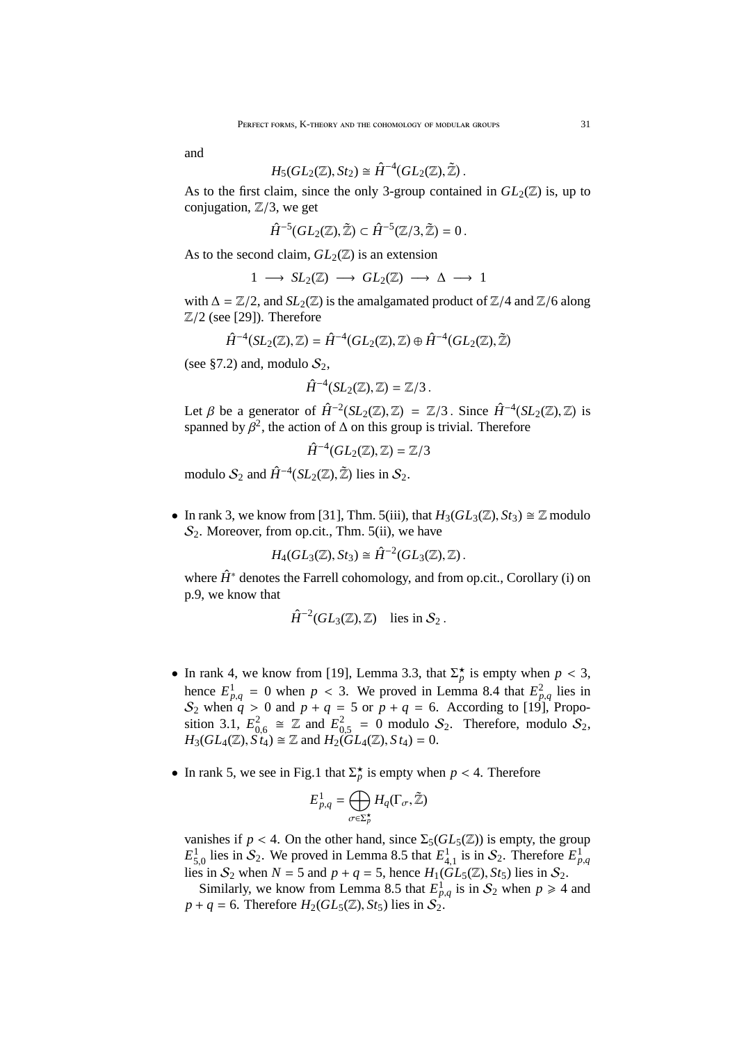and

$$
H_5(GL_2(\mathbb{Z}), St_2) \cong \hat{H}^{-4}(GL_2(\mathbb{Z}), \tilde{\mathbb{Z}})
$$

As to the first claim, since the only 3-group contained in  $GL_2(\mathbb{Z})$  is, up to conjugation,  $\mathbb{Z}/3$ , we get

.

$$
\hat{H}^{-5}(GL_2(\mathbb{Z}),\tilde{\mathbb{Z}})\subset \hat{H}^{-5}(\mathbb{Z}/3,\tilde{\mathbb{Z}})=0\,.
$$

As to the second claim,  $GL_2(\mathbb{Z})$  is an extension

$$
1 \longrightarrow SL_2(\mathbb{Z}) \longrightarrow GL_2(\mathbb{Z}) \longrightarrow \Delta \longrightarrow 1
$$

with  $\Delta = \mathbb{Z}/2$ , and  $SL_2(\mathbb{Z})$  is the amalgamated product of  $\mathbb{Z}/4$  and  $\mathbb{Z}/6$  along  $\mathbb{Z}/2$  (see [29]). Therefore

$$
\hat{H}^{-4}(SL_2(\mathbb{Z}),\mathbb{Z})=\hat{H}^{-4}(GL_2(\mathbb{Z}),\mathbb{Z})\oplus \hat{H}^{-4}(GL_2(\mathbb{Z}),\tilde{\mathbb{Z}})
$$

(see §7.2) and, modulo  $S_2$ ,

$$
\hat{H}^{-4}(SL_2(\mathbb{Z}),\mathbb{Z})=\mathbb{Z}/3.
$$

Let  $\beta$  be a generator of  $\hat{H}^{-2}(SL_2(\mathbb{Z}), \mathbb{Z}) = \mathbb{Z}/3$ . Since  $\hat{H}^{-4}(SL_2(\mathbb{Z}), \mathbb{Z})$  is spanned by  $\beta^2$ , the action of  $\Delta$  on this group is trivial. Therefore

$$
\hat{H}^{-4}(GL_2(\mathbb{Z}),\mathbb{Z})=\mathbb{Z}/3
$$

modulo  $\mathcal{S}_2$  and  $\hat{H}^{-4}(SL_2(\mathbb{Z}), \tilde{\mathbb{Z}})$  lies in  $\mathcal{S}_2$ .

• In rank 3, we know from [31], Thm. 5(iii), that  $H_3(GL_3(\mathbb{Z}), St_3) \cong \mathbb{Z}$  modulo  $S_2$ . Moreover, from op.cit., Thm. 5(ii), we have

$$
H_4(GL_3(\mathbb{Z}), St_3) \cong \hat{H}^{-2}(GL_3(\mathbb{Z}), \mathbb{Z}).
$$

where  $\hat{H}^*$  denotes the Farrell cohomology, and from op.cit., Corollary (i) on p.9, we know that

$$
\hat{H}^{-2}(GL_3(\mathbb{Z}),\mathbb{Z}) \quad \text{lies in } \mathcal{S}_2 \, .
$$

- In rank 4, we know from [19], Lemma 3.3, that  $\sum_{p}^{*}$  is empty when  $p < 3$ , hence  $E_{p,q}^1 = 0$  when  $p < 3$ . We proved in Lemma 8.4 that  $E_{p,q}^2$  lies in  $S_2$  when  $q > 0$  and  $p + q = 5$  or  $p + q = 6$ . According to [19], Proposition 3.1,  $E_{0,6}^2 \cong \mathbb{Z}$  and  $E_{0,5}^2 = 0$  modulo  $S_2$ . Therefore, modulo  $S_2$ ,  $H_3(GL_4(\mathbb{Z}), S_{t_4}) \cong \mathbb{Z}$  and  $H_2(GL_4(\mathbb{Z}), S_{t_4}) = 0$ .
- In rank 5, we see in Fig.1 that  $\sum_{p}^{*}$  is empty when  $p < 4$ . Therefore

$$
E_{p,q}^1=\bigoplus_{\sigma\in \Sigma_p^{\star}}H_q(\Gamma_{\sigma},\tilde{\mathbb{Z}})
$$

vanishes if  $p < 4$ . On the other hand, since  $\Sigma_5(GL_5(\mathbb{Z}))$  is empty, the group  $E_{5,0}^1$  lies in  $S_2$ . We proved in Lemma 8.5 that  $E_{4,1}^1$  is in  $S_2$ . Therefore  $E_{p,q}^1$ lies in  $S_2$  when  $N = 5$  and  $p + q = 5$ , hence  $H_1(\tilde{GL}_5(\mathbb{Z}), St_5)$  lies in  $S_2$ .

Similarly, we know from Lemma 8.5 that  $E_{p,q}^1$  is in  $S_2$  when  $p \ge 4$  and  $p + q = 6$ . Therefore  $H_2(GL_5(\mathbb{Z}), St_5)$  lies in  $S_2$ .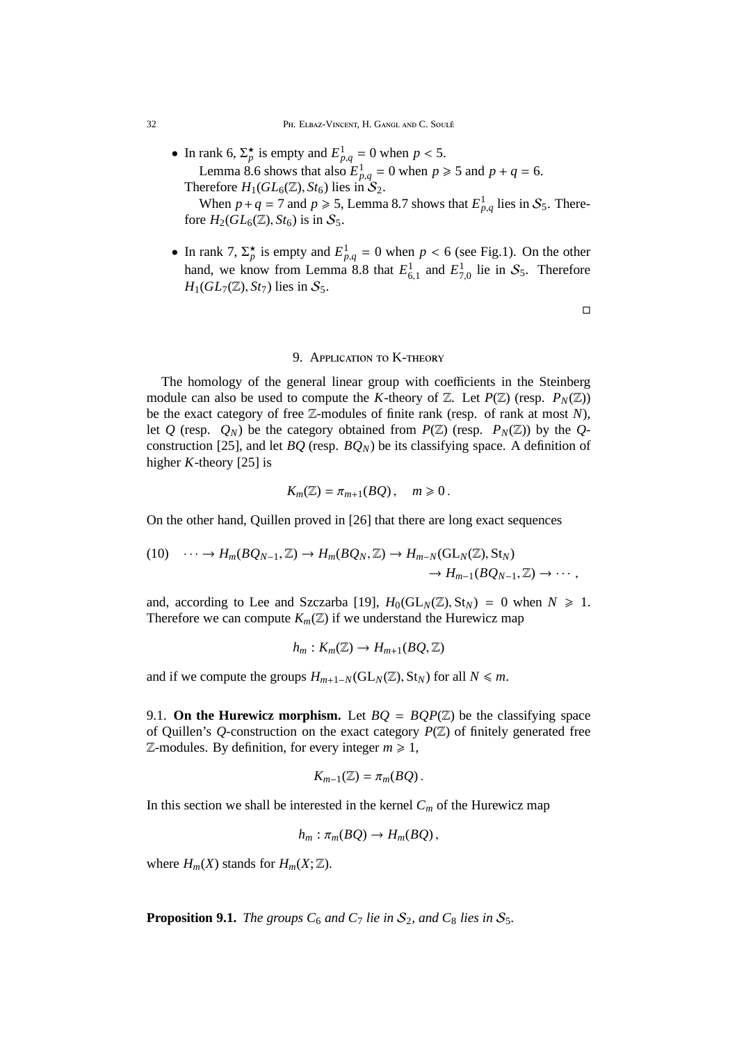• In rank 6,  $\Sigma_p^*$  is empty and  $E_{p,q}^1 = 0$  when  $p < 5$ . Lemma 8.6 shows that also  $E_{p,q}^1 = 0$  when  $p \ge 5$  and  $p + q = 6$ . Therefore  $H_1(GL_6(\mathbb{Z}), St_6)$  lies in  $S_2$ .

When  $p + q = 7$  and  $p \ge 5$ , Lemma 8.7 shows that  $E_{p,q}^1$  lies in  $S_5$ . Therefore  $H_2(GL_6(\mathbb{Z}), St_6)$  is in  $S_5$ .

• In rank 7,  $\Sigma_p^*$  is empty and  $E_{p,q}^1 = 0$  when  $p < 6$  (see Fig.1). On the other hand, we know from Lemma 8.8 that  $E_{6,1}^1$  and  $E_{7,0}^1$  lie in  $S_5$ . Therefore  $H_1(GL_7(\mathbb{Z}), St_7)$  lies in  $S_5$ .

 $\Box$ 

# 9. Application to K-theory

The homology of the general linear group with coefficients in the Steinberg module can also be used to compute the *K*-theory of  $\mathbb{Z}$ . Let  $P(\mathbb{Z})$  (resp.  $P_N(\mathbb{Z})$ ) be the exact category of free Z-modules of finite rank (resp. of rank at most *N*), let *Q* (resp.  $Q_N$ ) be the category obtained from  $P(\mathbb{Z})$  (resp.  $P_N(\mathbb{Z})$ ) by the *Q*construction [25], and let  $BQ$  (resp.  $BQ_N$ ) be its classifying space. A definition of higher *K*-theory [25] is

$$
K_m(\mathbb{Z})=\pi_{m+1}(BQ)\,,\quad m\geq 0\,.
$$

On the other hand, Quillen proved in [26] that there are long exact sequences

(10) 
$$
\cdots \to H_m(BQ_{N-1}, \mathbb{Z}) \to H_m(BQ_N, \mathbb{Z}) \to H_{m-N}(\mathrm{GL}_N(\mathbb{Z}), \mathrm{St}_N) \to H_{m-1}(BQ_{N-1}, \mathbb{Z}) \to \cdots,
$$

and, according to Lee and Szczarba [19],  $H_0(GL_N(\mathbb{Z}), St_N) = 0$  when  $N \ge 1$ . Therefore we can compute  $K_m(\mathbb{Z})$  if we understand the Hurewicz map

$$
h_m: K_m(\mathbb{Z}) \to H_{m+1}(BQ, \mathbb{Z})
$$

and if we compute the groups  $H_{m+1-N}(\text{GL}_N(\mathbb{Z}), \text{St}_N)$  for all  $N \leq m$ .

9.1. **On the Hurewicz morphism.** Let  $BO = BOP(\mathbb{Z})$  be the classifying space of Quillen's *Q*-construction on the exact category *P*(Z) of finitely generated free  $\mathbb{Z}$ -modules. By definition, for every integer  $m \geq 1$ ,

$$
K_{m-1}(\mathbb{Z})=\pi_m(BQ)\,.
$$

In this section we shall be interested in the kernel  $C_m$  of the Hurewicz map

$$
h_m: \pi_m(BQ) \to H_m(BQ),
$$

where  $H_m(X)$  stands for  $H_m(X; \mathbb{Z})$ .

**Proposition 9.1.** *The groups*  $C_6$  *and*  $C_7$  *lie in*  $S_2$ *, and*  $C_8$  *lies in*  $S_5$ *.*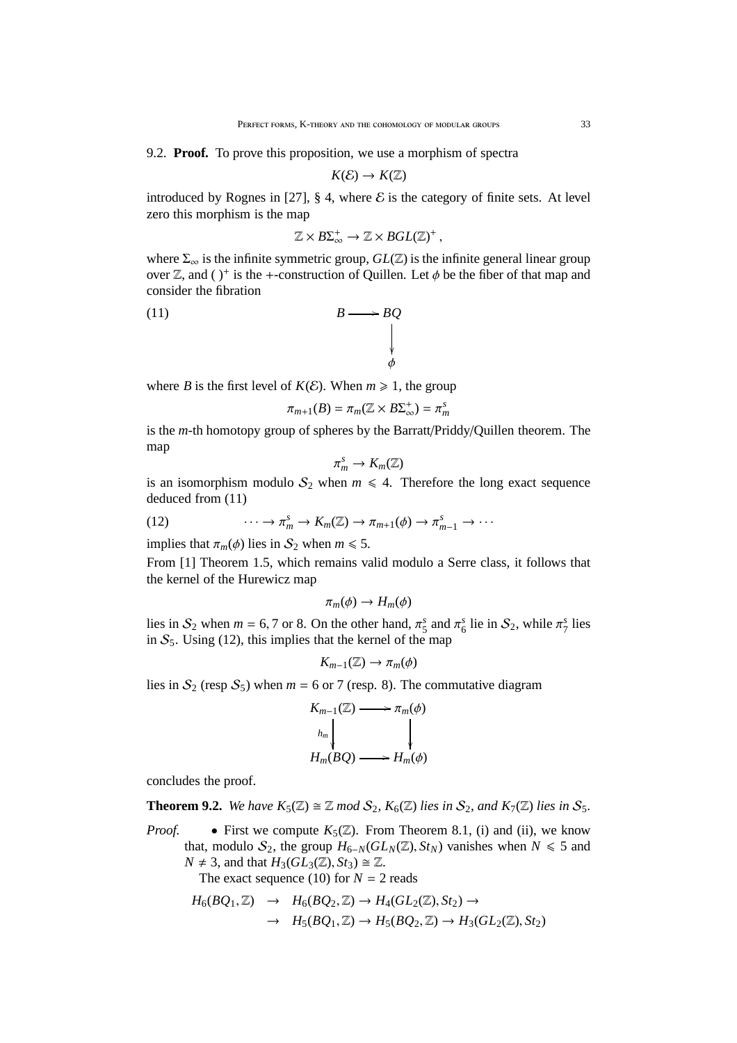9.2. **Proof.** To prove this proposition, we use a morphism of spectra

$$
K(\mathcal{E}) \to K(\mathbb{Z})
$$

introduced by Rognes in [27], § 4, where  $\mathcal E$  is the category of finite sets. At level zero this morphism is the map

$$
\mathbb{Z} \times B\Sigma_{\infty}^+ \to \mathbb{Z} \times BGL(\mathbb{Z})^+,
$$

where  $\Sigma_{\infty}$  is the infinite symmetric group,  $GL(\mathbb{Z})$  is the infinite general linear group over  $\mathbb{Z}$ , and ( )<sup>+</sup> is the +-construction of Quillen. Let  $\phi$  be the fiber of that map and consider the fibration

(11) 
$$
B \longrightarrow BQ
$$

where *B* is the first level of  $K(E)$ . When  $m \ge 1$ , the group

$$
\pi_{m+1}(B) = \pi_m(\mathbb{Z} \times B\Sigma_{\infty}^+) = \pi_m^s
$$

is the *m*-th homotopy group of spheres by the Barratt/Priddy/Quillen theorem. The map

$$
\pi_m^s\to K_m(\mathbb{Z})
$$

is an isomorphism modulo  $S_2$  when  $m \leq 4$ . Therefore the long exact sequence deduced from (11)

(12) 
$$
\cdots \to \pi_m^s \to K_m(\mathbb{Z}) \to \pi_{m+1}(\phi) \to \pi_{m-1}^s \to \cdots
$$

implies that  $\pi_m(\phi)$  lies in  $S_2$  when  $m \leq 5$ .

From [1] Theorem 1.5, which remains valid modulo a Serre class, it follows that the kernel of the Hurewicz map

$$
\pi_m(\phi) \to H_m(\phi)
$$

lies in  $S_2$  when  $m = 6, 7$  or 8. On the other hand,  $\pi_5$  $\frac{s}{5}$  and  $\pi^s_6$  $\frac{s}{6}$  lie in  $S_2$ , while  $\pi^s$  lies in  $S_5$ . Using (12), this implies that the kernel of the map

$$
K_{m-1}(\mathbb{Z}) \to \pi_m(\phi)
$$

lies in  $S_2$  (resp  $S_5$ ) when  $m = 6$  or 7 (resp. 8). The commutative diagram

$$
K_{m-1}(\mathbb{Z}) \longrightarrow \pi_m(\phi)
$$
  
\n
$$
h_m \downarrow \qquad \qquad \downarrow
$$
  
\n
$$
H_m(BQ) \longrightarrow H_m(\phi)
$$

concludes the proof.

**Theorem 9.2.** We have  $K_5(\mathbb{Z}) \cong \mathbb{Z}$  mod  $\mathcal{S}_2$ ,  $K_6(\mathbb{Z})$  *lies in*  $\mathcal{S}_2$ , and  $K_7(\mathbb{Z})$  *lies in*  $\mathcal{S}_5$ *.* 

*Proof.* • First we compute  $K_5(\mathbb{Z})$ . From Theorem 8.1, (i) and (ii), we know that, modulo  $S_2$ , the group  $H_{6-N}(GL_N(\mathbb{Z}), St_N)$  vanishes when  $N \leq 5$  and  $N \neq 3$ , and that  $H_3(GL_3(\mathbb{Z}), St_3) \cong \mathbb{Z}$ .

The exact sequence (10) for  $N = 2$  reads

$$
H_6(BQ_1, \mathbb{Z}) \rightarrow H_6(BQ_2, \mathbb{Z}) \rightarrow H_4(GL_2(\mathbb{Z}), St_2) \rightarrow
$$
  

$$
\rightarrow H_5(BQ_1, \mathbb{Z}) \rightarrow H_5(BQ_2, \mathbb{Z}) \rightarrow H_3(GL_2(\mathbb{Z}), St_2)
$$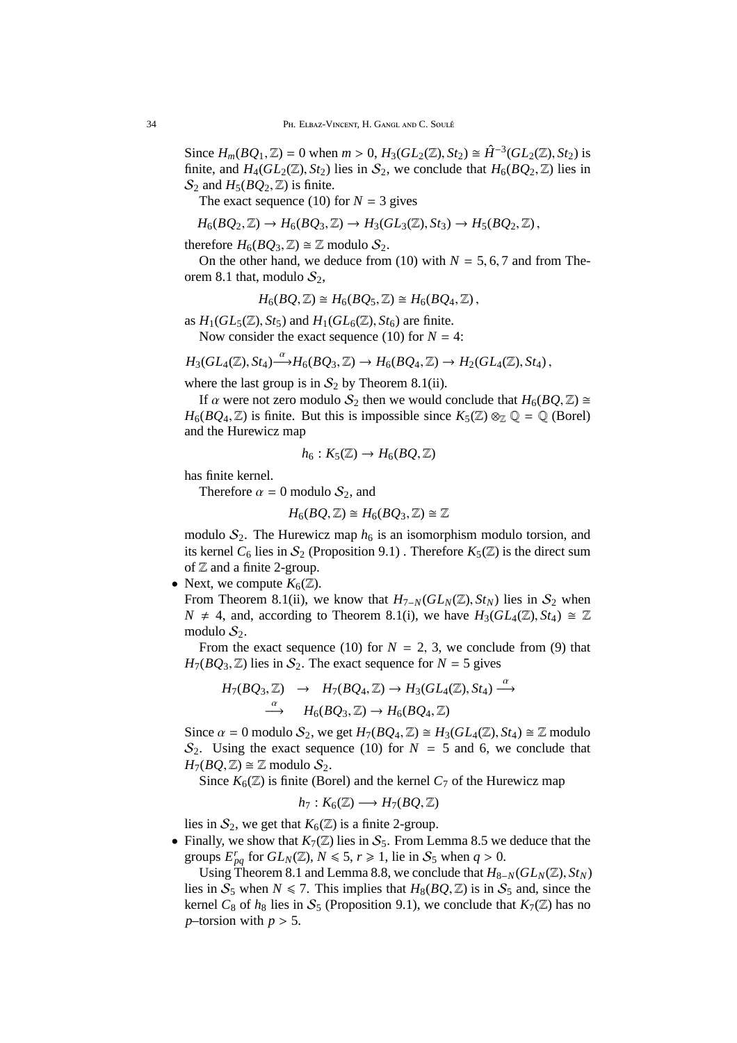Since  $H_m(BQ_1, \mathbb{Z}) = 0$  when  $m > 0$ ,  $H_3(GL_2(\mathbb{Z}), St_2) \cong \hat{H}^{-3}(GL_2(\mathbb{Z}), St_2)$  is finite, and  $H_4(GL_2(\mathbb{Z}), St_2)$  lies in  $S_2$ , we conclude that  $H_6(BQ_2, \mathbb{Z})$  lies in  $\mathcal{S}_2$  and  $H_5(BQ_2, \mathbb{Z})$  is finite.

The exact sequence (10) for  $N = 3$  gives

$$
H_6(BQ_2, \mathbb{Z}) \to H_6(BQ_3, \mathbb{Z}) \to H_3(GL_3(\mathbb{Z}), St_3) \to H_5(BQ_2, \mathbb{Z}),
$$

therefore  $H_6(BQ_3, \mathbb{Z}) \cong \mathbb{Z}$  modulo  $S_2$ .

On the other hand, we deduce from (10) with  $N = 5, 6, 7$  and from Theorem 8.1 that, modulo  $S_2$ ,

$$
H_6(BQ,\mathbb{Z})\cong H_6(BQ_5,\mathbb{Z})\cong H_6(BQ_4,\mathbb{Z}),
$$

as  $H_1(GL_5(\mathbb{Z}), St_5)$  and  $H_1(GL_6(\mathbb{Z}), St_6)$  are finite. Now consider the exact sequence (10) for  $N = 4$ :

$$
H_3(GL_4(\mathbb{Z}), St_4) \xrightarrow{\alpha} H_6(BQ_3, \mathbb{Z}) \to H_6(BQ_4, \mathbb{Z}) \to H_2(GL_4(\mathbb{Z}), St_4),
$$

where the last group is in  $S_2$  by Theorem 8.1(ii).

If  $\alpha$  were not zero modulo  $S_2$  then we would conclude that  $H_6(BQ, \mathbb{Z}) \cong$  $H_6(BQ_4, \mathbb{Z})$  is finite. But this is impossible since  $K_5(\mathbb{Z}) \otimes_{\mathbb{Z}} \mathbb{Q} = \mathbb{Q}$  (Borel) and the Hurewicz map

$$
h_6: K_5(\mathbb{Z}) \to H_6(BQ, \mathbb{Z})
$$

has finite kernel.

Therefore  $\alpha = 0$  modulo  $S_2$ , and

$$
H_6(BQ,\mathbb{Z})\cong H_6(BQ_3,\mathbb{Z})\cong \mathbb{Z}
$$

modulo  $S_2$ . The Hurewicz map  $h_6$  is an isomorphism modulo torsion, and its kernel  $C_6$  lies in  $S_2$  (Proposition 9.1). Therefore  $K_5(\mathbb{Z})$  is the direct sum of  $\mathbb Z$  and a finite 2-group.

• Next, we compute  $K_6(\mathbb{Z})$ .

From Theorem 8.1(ii), we know that  $H_{7-N}(GL_N(\mathbb{Z}), St_N)$  lies in  $S_2$  when  $N \neq 4$ , and, according to Theorem 8.1(i), we have  $H_3(GL_4(\mathbb{Z}), St_4) \cong \mathbb{Z}$ modulo  $S_2$ .

From the exact sequence (10) for  $N = 2, 3$ , we conclude from (9) that  $H_7(BQ_3, \mathbb{Z})$  lies in  $S_2$ . The exact sequence for  $N = 5$  gives

$$
H_7(BQ_3, \mathbb{Z}) \rightarrow H_7(BQ_4, \mathbb{Z}) \rightarrow H_3(GL_4(\mathbb{Z}), St_4) \xrightarrow{\alpha} \xrightarrow{\alpha} H_6(BQ_3, \mathbb{Z}) \rightarrow H_6(BQ_4, \mathbb{Z})
$$

Since  $\alpha = 0$  modulo  $S_2$ , we get  $H_7(BQ_4, \mathbb{Z}) \cong H_3(GL_4(\mathbb{Z}), St_4) \cong \mathbb{Z}$  modulo  $S_2$ . Using the exact sequence (10) for  $N = 5$  and 6, we conclude that  $H_7(BQ, \mathbb{Z}) \cong \mathbb{Z}$  modulo  $S_2$ .

Since  $K_6(\mathbb{Z})$  is finite (Borel) and the kernel  $C_7$  of the Hurewicz map

$$
h_7: K_6(\mathbb{Z}) \longrightarrow H_7(BQ, \mathbb{Z})
$$

lies in  $S_2$ , we get that  $K_6(\mathbb{Z})$  is a finite 2-group.

• Finally, we show that  $K_7(\mathbb{Z})$  lies in  $S_5$ . From Lemma 8.5 we deduce that the groups  $E_{pq}^r$  for  $GL_N(\mathbb{Z})$ ,  $N \leq 5$ ,  $r \geq 1$ , lie in  $S_5$  when  $q > 0$ .

Using Theorem 8.1 and Lemma 8.8, we conclude that  $H_{8-N}(GL_N(\mathbb{Z}), St_N)$ lies in  $S_5$  when  $N \le 7$ . This implies that  $H_8(BQ, \mathbb{Z})$  is in  $S_5$  and, since the kernel  $C_8$  of  $h_8$  lies in  $S_5$  (Proposition 9.1), we conclude that  $K_7(\mathbb{Z})$  has no *p*–torsion with  $p > 5$ .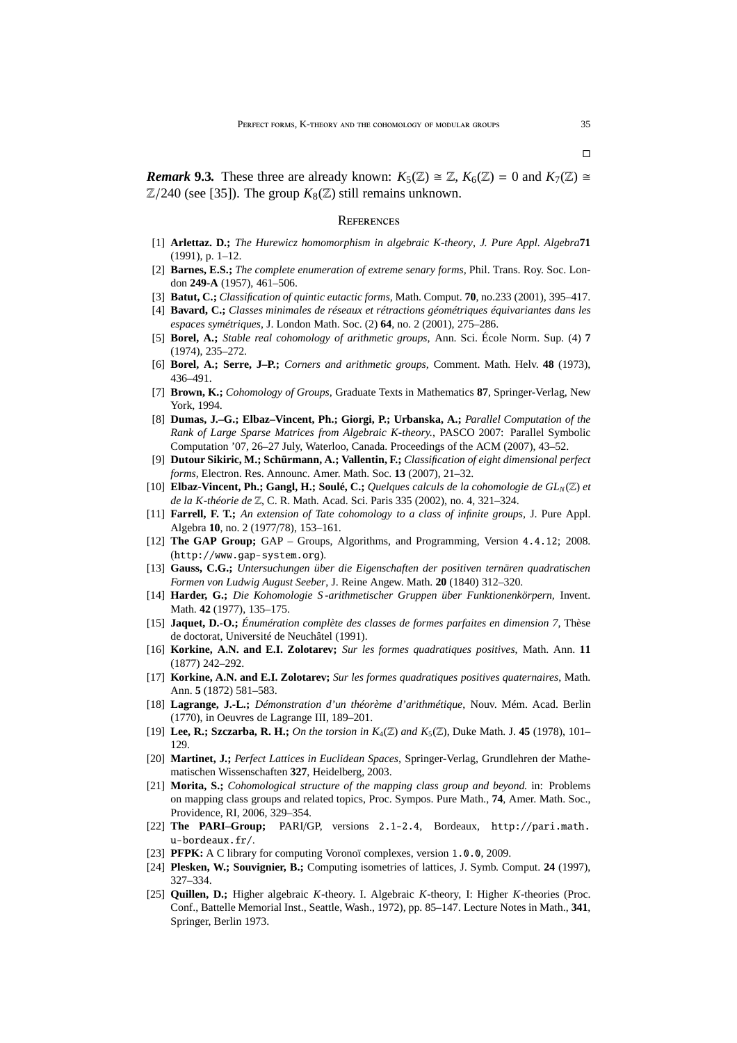*Remark* 9.3. These three are already known:  $K_5(\mathbb{Z}) \cong \mathbb{Z}$ ,  $K_6(\mathbb{Z}) = 0$  and  $K_7(\mathbb{Z}) \cong$  $\mathbb{Z}/240$  (see [35]). The group  $K_8(\mathbb{Z})$  still remains unknown.

#### **REFERENCES**

- [1] **Arlettaz. D.;** *The Hurewicz homomorphism in algebraic K-theory*, *J. Pure Appl. Algebra***71** (1991), p. 1–12.
- [2] **Barnes, E.S.;** *The complete enumeration of extreme senary forms,* Phil. Trans. Roy. Soc. London **249-A** (1957), 461–506.
- [3] **Batut, C.;** *Classification of quintic eutactic forms,* Math. Comput. **70**, no.233 (2001), 395–417.
- [4] **Bavard, C.;** *Classes minimales de réseaux et rétractions géométriques équivariantes dans les espaces symétriques*, J. London Math. Soc. (2) **64**, no. 2 (2001), 275–286.
- [5] **Borel, A.;** *Stable real cohomology of arithmetic groups,* Ann. Sci. École Norm. Sup. (4) **7** (1974), 235–272.
- [6] **Borel, A.; Serre, J–P.;** *Corners and arithmetic groups,* Comment. Math. Helv. **48** (1973), 436–491.
- [7] **Brown, K.;** *Cohomology of Groups,* Graduate Texts in Mathematics **87**, Springer-Verlag, New York, 1994.
- [8] **Dumas, J.–G.; Elbaz–Vincent, Ph.; Giorgi, P.; Urbanska, A.;** *Parallel Computation of the Rank of Large Sparse Matrices from Algebraic K-theory.*, PASCO 2007: Parallel Symbolic Computation '07, 26–27 July, Waterloo, Canada. Proceedings of the ACM (2007), 43–52.
- [9] **Dutour Sikiric, M.; Schürmann, A.; Vallentin, F.;** *Classification of eight dimensional perfect forms,* Electron. Res. Announc. Amer. Math. Soc. **13** (2007), 21–32.
- [10] **Elbaz-Vincent, Ph.; Gangl, H.; Soulé, C.;** *Quelques calculs de la cohomologie de GLN*(Z) *et de la K-théorie de* Z, C. R. Math. Acad. Sci. Paris 335 (2002), no. 4, 321–324.
- [11] **Farrell, F. T.;** *An extension of Tate cohomology to a class of infinite groups,* J. Pure Appl. Algebra **10**, no. 2 (1977/78), 153–161.
- [12] **The GAP Group;** GAP Groups, Algorithms, and Programming, Version 4.4.12; 2008. (http://www.gap-system.org).
- [13] **Gauss, C.G.;** *Untersuchungen über die Eigenschaften der positiven ternären quadratischen Formen von Ludwig August Seeber*, J. Reine Angew. Math. **20** (1840) 312–320.
- [14] **Harder, G.;** *Die Kohomologie S -arithmetischer Gruppen über Funktionenkörpern,* Invent. Math. **42** (1977), 135–175.
- [15] **Jaquet, D.-O.;** *Énumération complète des classes de formes parfaites en dimension 7*, Thèse de doctorat, Université de Neuchâtel (1991).
- [16] **Korkine, A.N. and E.I. Zolotarev;** *Sur les formes quadratiques positives*, Math. Ann. **11** (1877) 242–292.
- [17] **Korkine, A.N. and E.I. Zolotarev;** *Sur les formes quadratiques positives quaternaires*, Math. Ann. **5** (1872) 581–583.
- [18] **Lagrange, J.-L.;** *Démonstration d'un théorème d'arithmétique*, Nouv. Mém. Acad. Berlin (1770), in Oeuvres de Lagrange III, 189–201.
- [19] **Lee, R.; Szczarba, R. H.;** *On the torsion in*  $K_4(\mathbb{Z})$  *and*  $K_5(\mathbb{Z})$ , Duke Math. J. 45 (1978), 101– 129.
- [20] **Martinet, J.;** *Perfect Lattices in Euclidean Spaces,* Springer-Verlag, Grundlehren der Mathematischen Wissenschaften **327**, Heidelberg, 2003.
- [21] **Morita, S.;** *Cohomological structure of the mapping class group and beyond.* in: Problems on mapping class groups and related topics, Proc. Sympos. Pure Math., **74**, Amer. Math. Soc., Providence, RI, 2006, 329–354.
- [22] **The PARI–Group;** PARI/GP, versions 2.12.4, Bordeaux, http://pari.math. u-bordeaux.fr/.
- [23] **PFPK:** A C library for computing Voronoï complexes, version 1.0.0, 2009.
- [24] **Plesken, W.; Souvignier, B.;** Computing isometries of lattices, J. Symb. Comput. **24** (1997), 327–334.
- [25] **Quillen, D.;** Higher algebraic *K*-theory. I. Algebraic *K*-theory, I: Higher *K*-theories (Proc. Conf., Battelle Memorial Inst., Seattle, Wash., 1972), pp. 85–147. Lecture Notes in Math., **341**, Springer, Berlin 1973.

 $\Box$